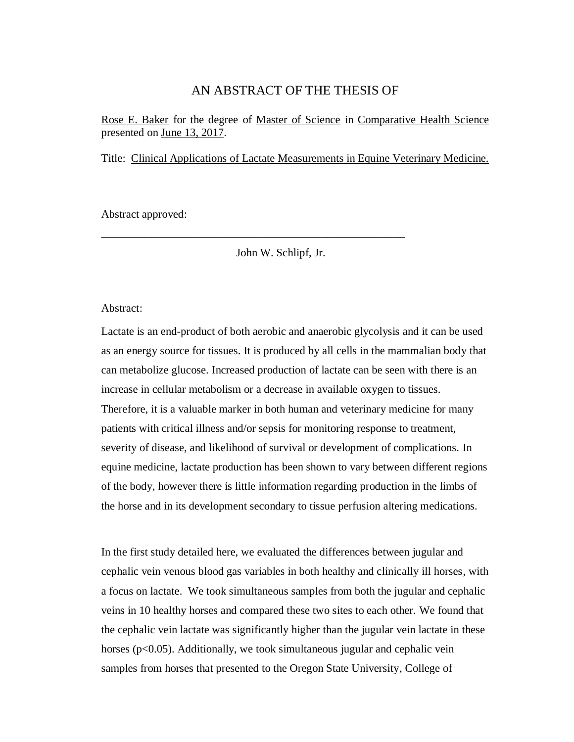### AN ABSTRACT OF THE THESIS OF

Rose E. Baker for the degree of Master of Science in Comparative Health Science presented on June 13, 2017.

Title: Clinical Applications of Lactate Measurements in Equine Veterinary Medicine.

Abstract approved:

John W. Schlipf, Jr.

\_\_\_\_\_\_\_\_\_\_\_\_\_\_\_\_\_\_\_\_\_\_\_\_\_\_\_\_\_\_\_\_\_\_\_\_\_\_\_\_\_\_\_\_\_\_\_\_\_\_\_\_\_\_

### Abstract:

Lactate is an end-product of both aerobic and anaerobic glycolysis and it can be used as an energy source for tissues. It is produced by all cells in the mammalian body that can metabolize glucose. Increased production of lactate can be seen with there is an increase in cellular metabolism or a decrease in available oxygen to tissues. Therefore, it is a valuable marker in both human and veterinary medicine for many patients with critical illness and/or sepsis for monitoring response to treatment, severity of disease, and likelihood of survival or development of complications. In equine medicine, lactate production has been shown to vary between different regions of the body, however there is little information regarding production in the limbs of the horse and in its development secondary to tissue perfusion altering medications.

In the first study detailed here, we evaluated the differences between jugular and cephalic vein venous blood gas variables in both healthy and clinically ill horses, with a focus on lactate. We took simultaneous samples from both the jugular and cephalic veins in 10 healthy horses and compared these two sites to each other. We found that the cephalic vein lactate was significantly higher than the jugular vein lactate in these horses (p<0.05). Additionally, we took simultaneous jugular and cephalic vein samples from horses that presented to the Oregon State University, College of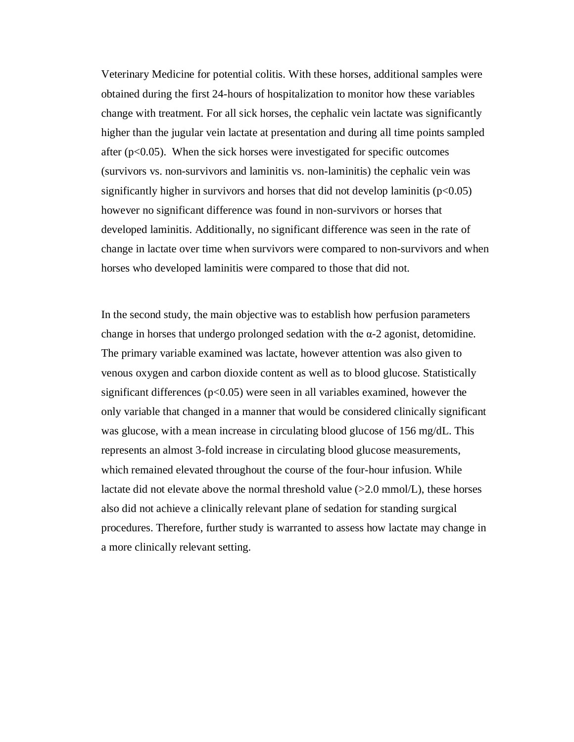Veterinary Medicine for potential colitis. With these horses, additional samples were obtained during the first 24-hours of hospitalization to monitor how these variables change with treatment. For all sick horses, the cephalic vein lactate was significantly higher than the jugular vein lactate at presentation and during all time points sampled after  $(p<0.05)$ . When the sick horses were investigated for specific outcomes (survivors vs. non-survivors and laminitis vs. non-laminitis) the cephalic vein was significantly higher in survivors and horses that did not develop laminitis  $(p<0.05)$ however no significant difference was found in non-survivors or horses that developed laminitis. Additionally, no significant difference was seen in the rate of change in lactate over time when survivors were compared to non-survivors and when horses who developed laminitis were compared to those that did not.

In the second study, the main objective was to establish how perfusion parameters change in horses that undergo prolonged sedation with the  $\alpha$ -2 agonist, detomidine. The primary variable examined was lactate, however attention was also given to venous oxygen and carbon dioxide content as well as to blood glucose. Statistically significant differences ( $p<0.05$ ) were seen in all variables examined, however the only variable that changed in a manner that would be considered clinically significant was glucose, with a mean increase in circulating blood glucose of 156 mg/dL. This represents an almost 3-fold increase in circulating blood glucose measurements, which remained elevated throughout the course of the four-hour infusion. While lactate did not elevate above the normal threshold value  $(>2.0 \text{ mmol/L})$ , these horses also did not achieve a clinically relevant plane of sedation for standing surgical procedures. Therefore, further study is warranted to assess how lactate may change in a more clinically relevant setting.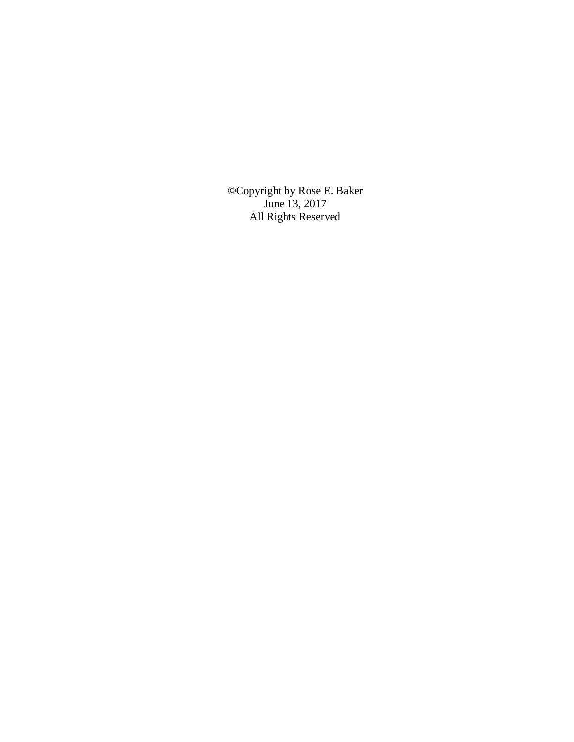©Copyright by Rose E. Baker June 13, 2017 All Rights Reserved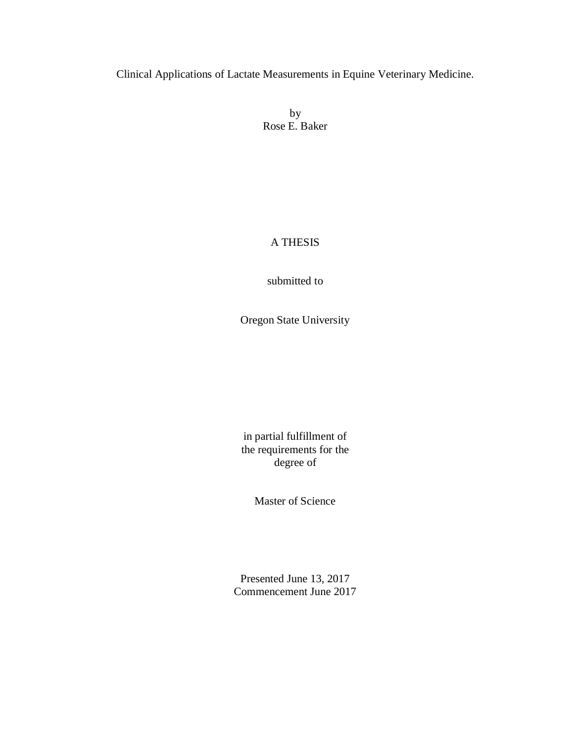Clinical Applications of Lactate Measurements in Equine Veterinary Medicine.

by Rose E. Baker

### A THESIS

submitted to

Oregon State University

in partial fulfillment of the requirements for the degree of

Master of Science

Presented June 13, 2017 Commencement June 2017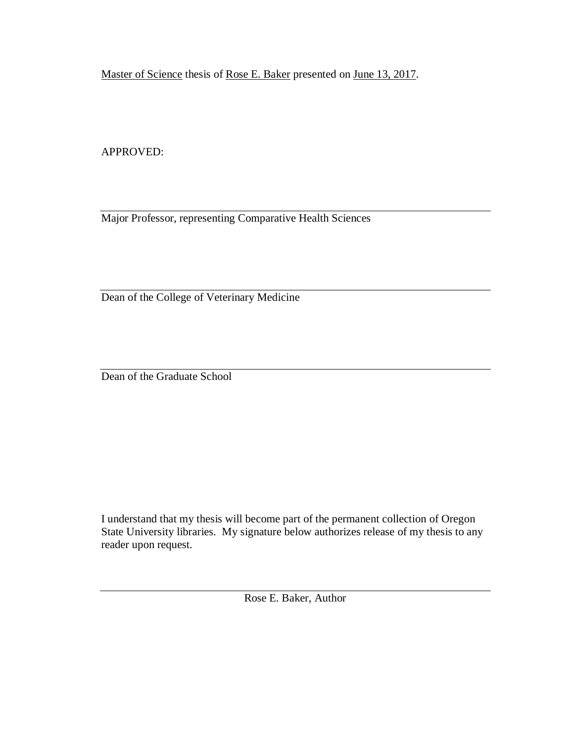Master of Science thesis of Rose E. Baker presented on June 13, 2017.

APPROVED:

Major Professor, representing Comparative Health Sciences

Dean of the College of Veterinary Medicine

Dean of the Graduate School

I understand that my thesis will become part of the permanent collection of Oregon State University libraries. My signature below authorizes release of my thesis to any reader upon request.

Rose E. Baker, Author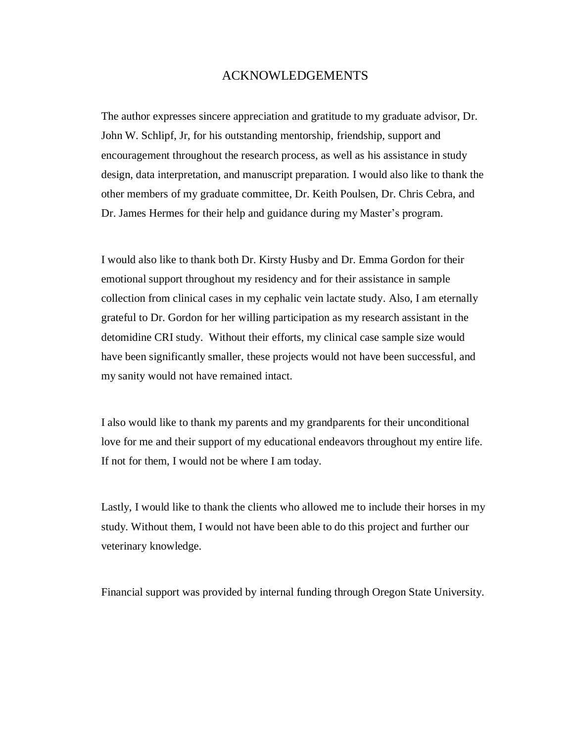### ACKNOWLEDGEMENTS

The author expresses sincere appreciation and gratitude to my graduate advisor, Dr. John W. Schlipf, Jr, for his outstanding mentorship, friendship, support and encouragement throughout the research process, as well as his assistance in study design, data interpretation, and manuscript preparation. I would also like to thank the other members of my graduate committee, Dr. Keith Poulsen, Dr. Chris Cebra, and Dr. James Hermes for their help and guidance during my Master's program.

I would also like to thank both Dr. Kirsty Husby and Dr. Emma Gordon for their emotional support throughout my residency and for their assistance in sample collection from clinical cases in my cephalic vein lactate study. Also, I am eternally grateful to Dr. Gordon for her willing participation as my research assistant in the detomidine CRI study. Without their efforts, my clinical case sample size would have been significantly smaller, these projects would not have been successful, and my sanity would not have remained intact.

I also would like to thank my parents and my grandparents for their unconditional love for me and their support of my educational endeavors throughout my entire life. If not for them, I would not be where I am today.

Lastly, I would like to thank the clients who allowed me to include their horses in my study. Without them, I would not have been able to do this project and further our veterinary knowledge.

Financial support was provided by internal funding through Oregon State University.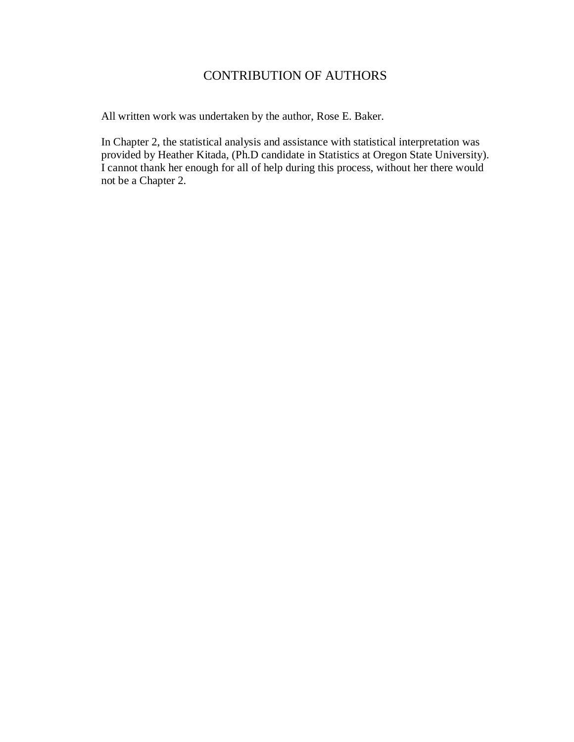## CONTRIBUTION OF AUTHORS

All written work was undertaken by the author, Rose E. Baker.

In Chapter 2, the statistical analysis and assistance with statistical interpretation was provided by Heather Kitada, (Ph.D candidate in Statistics at Oregon State University). I cannot thank her enough for all of help during this process, without her there would not be a Chapter 2.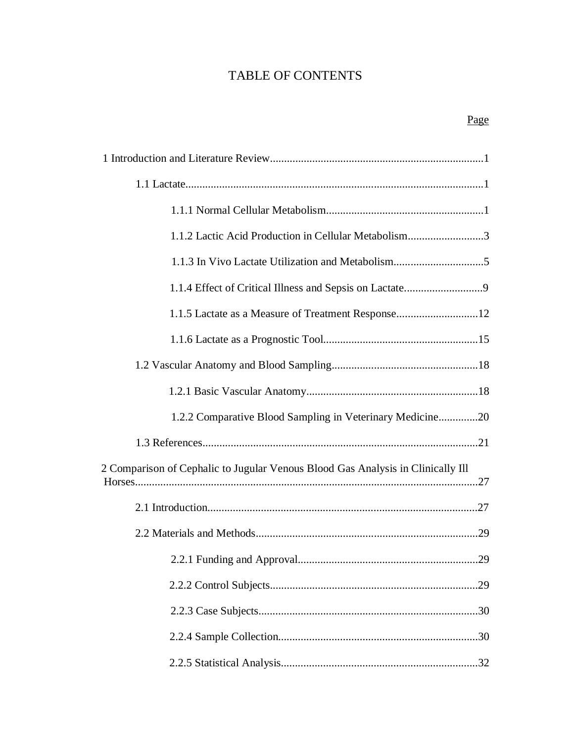# TABLE OF CONTENTS

| 1.1.2 Lactic Acid Production in Cellular Metabolism3                            |
|---------------------------------------------------------------------------------|
|                                                                                 |
|                                                                                 |
| 1.1.5 Lactate as a Measure of Treatment Response12                              |
|                                                                                 |
|                                                                                 |
|                                                                                 |
| 1.2.2 Comparative Blood Sampling in Veterinary Medicine20                       |
|                                                                                 |
| 2 Comparison of Cephalic to Jugular Venous Blood Gas Analysis in Clinically Ill |
|                                                                                 |
|                                                                                 |
|                                                                                 |
|                                                                                 |
|                                                                                 |
|                                                                                 |
|                                                                                 |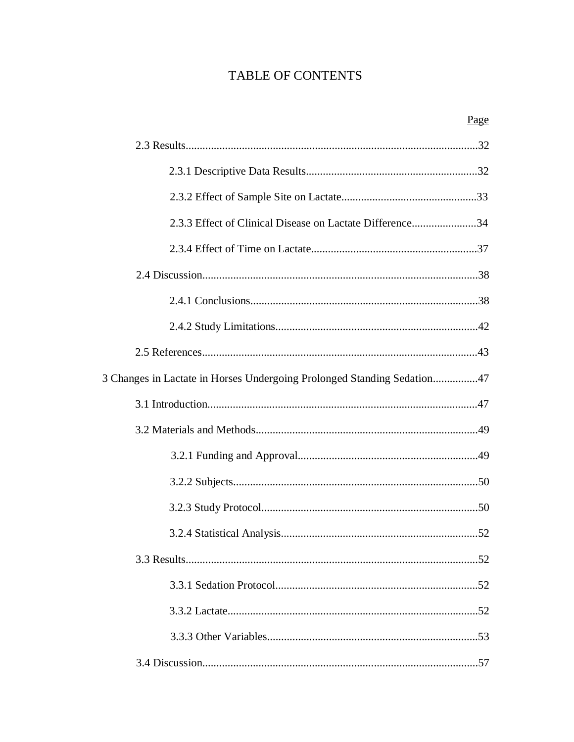# TABLE OF CONTENTS

|                                                                         | Page |
|-------------------------------------------------------------------------|------|
|                                                                         |      |
|                                                                         |      |
|                                                                         |      |
| 2.3.3 Effect of Clinical Disease on Lactate Difference34                |      |
|                                                                         |      |
|                                                                         |      |
|                                                                         |      |
|                                                                         |      |
|                                                                         |      |
| 3 Changes in Lactate in Horses Undergoing Prolonged Standing Sedation47 |      |
|                                                                         |      |
|                                                                         |      |
|                                                                         |      |
|                                                                         |      |
|                                                                         |      |
|                                                                         | 52   |
|                                                                         |      |
|                                                                         |      |
|                                                                         |      |
|                                                                         |      |
|                                                                         |      |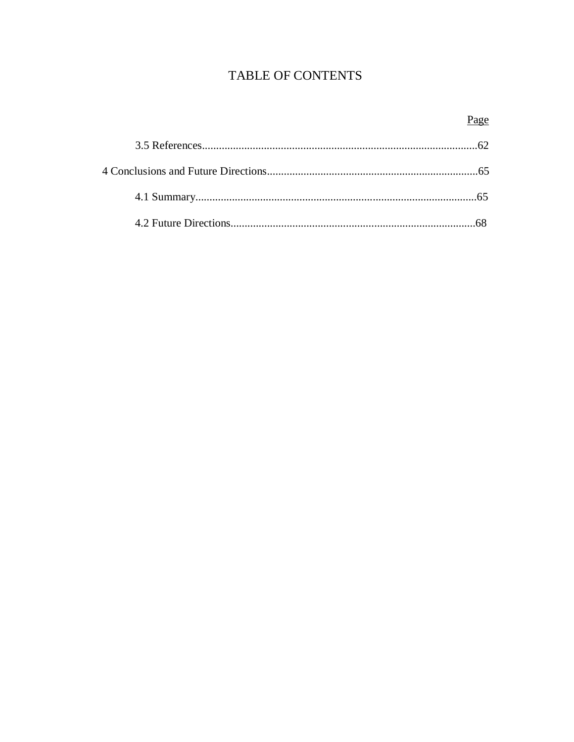# TABLE OF CONTENTS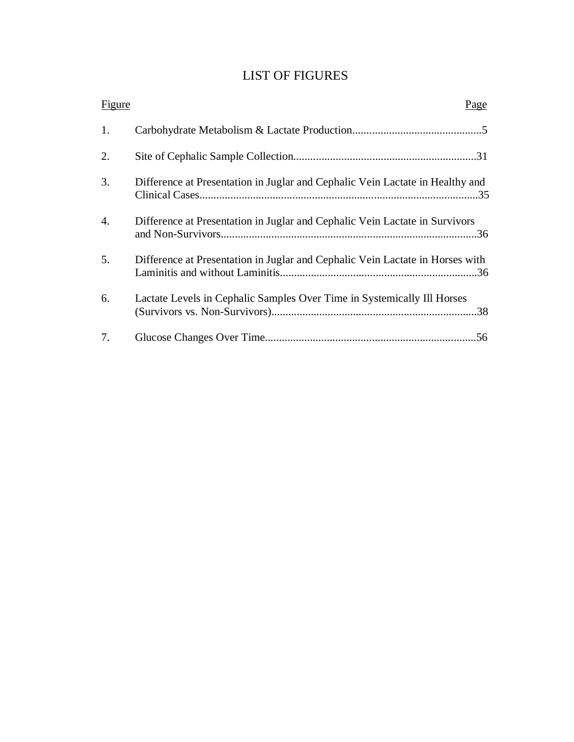## LIST OF FIGURES

| Figure | <u>Page</u>                                                                   |
|--------|-------------------------------------------------------------------------------|
| 1.     |                                                                               |
| 2.     |                                                                               |
| 3.     | Difference at Presentation in Juglar and Cephalic Vein Lactate in Healthy and |
| 4.     | Difference at Presentation in Juglar and Cephalic Vein Lactate in Survivors   |
| 5.     | Difference at Presentation in Juglar and Cephalic Vein Lactate in Horses with |
| 6.     | Lactate Levels in Cephalic Samples Over Time in Systemically Ill Horses       |
| 7.     |                                                                               |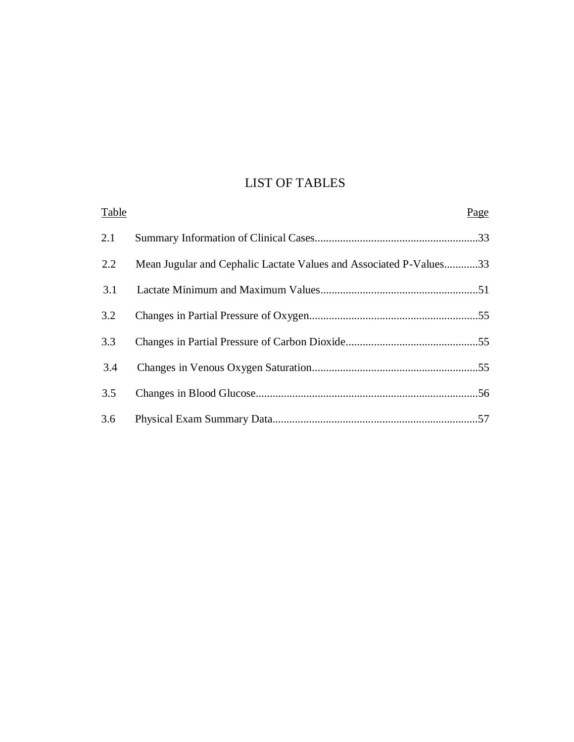# LIST OF TABLES

| Table |                                                                    | Page |
|-------|--------------------------------------------------------------------|------|
| 2.1   |                                                                    |      |
| 2.2   | Mean Jugular and Cephalic Lactate Values and Associated P-Values33 |      |
| 3.1   |                                                                    |      |
| 3.2   |                                                                    |      |
| 3.3   |                                                                    |      |
| 3.4   |                                                                    |      |
| 3.5   |                                                                    |      |
| 3.6   |                                                                    |      |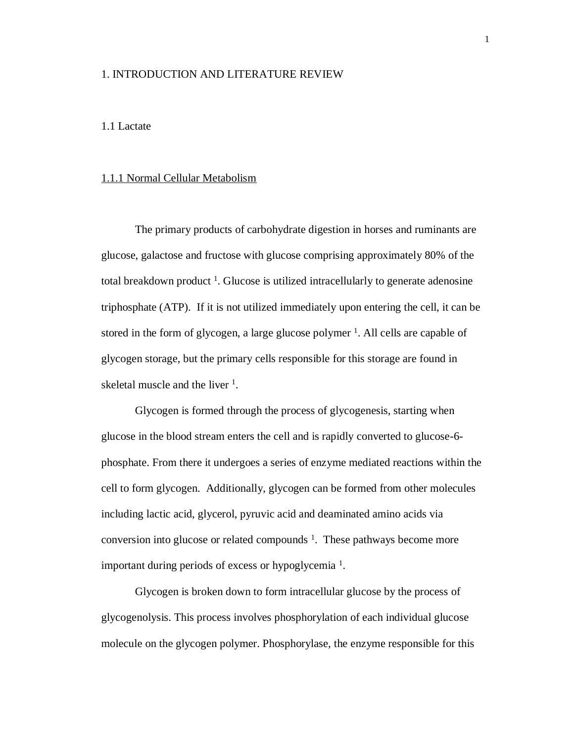### 1. INTRODUCTION AND LITERATURE REVIEW

#### 1.1 Lactate

### 1.1.1 Normal Cellular Metabolism

The primary products of carbohydrate digestion in horses and ruminants are glucose, galactose and fructose with glucose comprising approximately 80% of the total breakdown product<sup>1</sup>. Glucose is utilized intracellularly to generate adenosine triphosphate (ATP). If it is not utilized immediately upon entering the cell, it can be stored in the form of glycogen, a large glucose polymer <sup>1</sup>. All cells are capable of glycogen storage, but the primary cells responsible for this storage are found in skeletal muscle and the liver <sup>1</sup>.

Glycogen is formed through the process of glycogenesis, starting when glucose in the blood stream enters the cell and is rapidly converted to glucose-6 phosphate. From there it undergoes a series of enzyme mediated reactions within the cell to form glycogen. Additionally, glycogen can be formed from other molecules including lactic acid, glycerol, pyruvic acid and deaminated amino acids via conversion into glucose or related compounds  $<sup>1</sup>$ . These pathways become more</sup> important during periods of excess or hypoglycemia<sup>1</sup>.

Glycogen is broken down to form intracellular glucose by the process of glycogenolysis. This process involves phosphorylation of each individual glucose molecule on the glycogen polymer. Phosphorylase, the enzyme responsible for this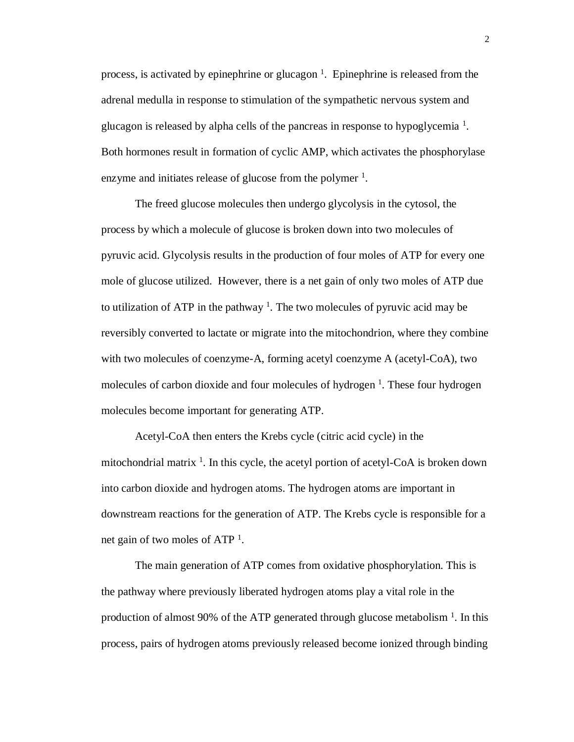process, is activated by epinephrine or glucagon  $<sup>1</sup>$ . Epinephrine is released from the</sup> adrenal medulla in response to stimulation of the sympathetic nervous system and glucagon is released by alpha cells of the pancreas in response to hypoglycemia<sup>1</sup>. Both hormones result in formation of cyclic AMP, which activates the phosphorylase enzyme and initiates release of glucose from the polymer  $<sup>1</sup>$ .</sup>

The freed glucose molecules then undergo glycolysis in the cytosol, the process by which a molecule of glucose is broken down into two molecules of pyruvic acid. Glycolysis results in the production of four moles of ATP for every one mole of glucose utilized. However, there is a net gain of only two moles of ATP due to utilization of ATP in the pathway<sup>1</sup>. The two molecules of pyruvic acid may be reversibly converted to lactate or migrate into the mitochondrion, where they combine with two molecules of coenzyme-A, forming acetyl coenzyme A (acetyl-CoA), two molecules of carbon dioxide and four molecules of hydrogen<sup>1</sup>. These four hydrogen molecules become important for generating ATP.

Acetyl-CoA then enters the Krebs cycle (citric acid cycle) in the mitochondrial matrix <sup>1</sup>. In this cycle, the acetyl portion of acetyl-CoA is broken down into carbon dioxide and hydrogen atoms. The hydrogen atoms are important in downstream reactions for the generation of ATP. The Krebs cycle is responsible for a net gain of two moles of ATP<sup>1</sup>.

The main generation of ATP comes from oxidative phosphorylation. This is the pathway where previously liberated hydrogen atoms play a vital role in the production of almost 90% of the ATP generated through glucose metabolism  $<sup>1</sup>$ . In this</sup> process, pairs of hydrogen atoms previously released become ionized through binding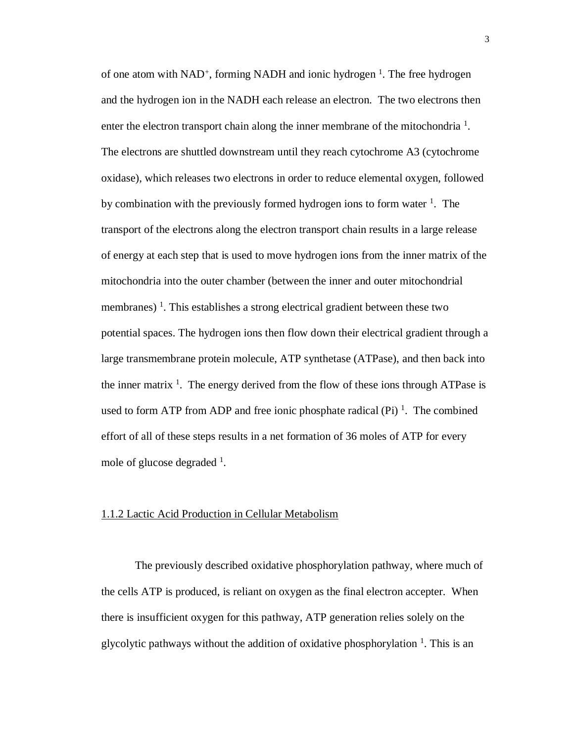of one atom with NAD<sup>+</sup>, forming NADH and ionic hydrogen<sup>1</sup>. The free hydrogen and the hydrogen ion in the NADH each release an electron. The two electrons then enter the electron transport chain along the inner membrane of the mitochondria<sup>1</sup>. The electrons are shuttled downstream until they reach cytochrome A3 (cytochrome oxidase), which releases two electrons in order to reduce elemental oxygen, followed by combination with the previously formed hydrogen ions to form water <sup>1</sup>. The transport of the electrons along the electron transport chain results in a large release of energy at each step that is used to move hydrogen ions from the inner matrix of the mitochondria into the outer chamber (between the inner and outer mitochondrial membranes)<sup>1</sup>. This establishes a strong electrical gradient between these two potential spaces. The hydrogen ions then flow down their electrical gradient through a large transmembrane protein molecule, ATP synthetase (ATPase), and then back into the inner matrix  $<sup>1</sup>$ . The energy derived from the flow of these ions through ATPase is</sup> used to form ATP from ADP and free ionic phosphate radical  $(Pi)^1$ . The combined effort of all of these steps results in a net formation of 36 moles of ATP for every mole of glucose degraded <sup>1</sup>.

#### 1.1.2 Lactic Acid Production in Cellular Metabolism

The previously described oxidative phosphorylation pathway, where much of the cells ATP is produced, is reliant on oxygen as the final electron accepter. When there is insufficient oxygen for this pathway, ATP generation relies solely on the glycolytic pathways without the addition of oxidative phosphorylation  $<sup>1</sup>$ . This is an</sup>

3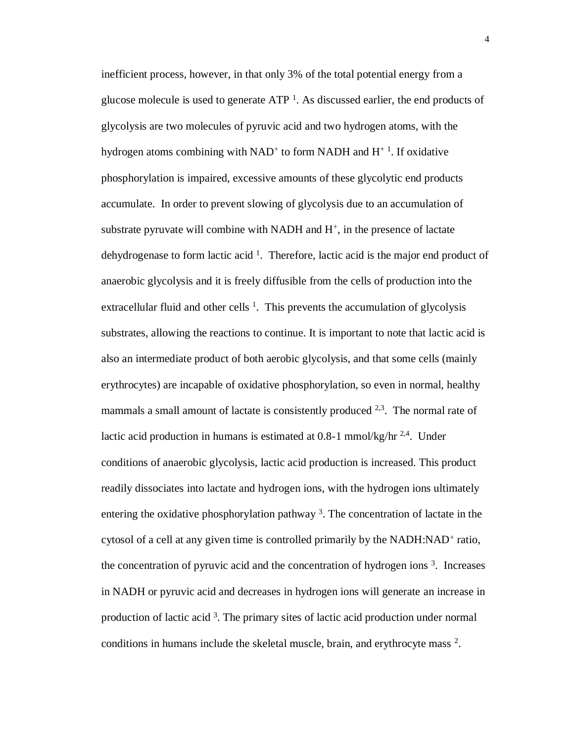inefficient process, however, in that only 3% of the total potential energy from a glucose molecule is used to generate  $ATP<sup>1</sup>$ . As discussed earlier, the end products of glycolysis are two molecules of pyruvic acid and two hydrogen atoms, with the hydrogen atoms combining with  $NAD<sup>+</sup>$  to form  $NADH$  and  $H<sup>+</sup>$ <sup>1</sup>. If oxidative phosphorylation is impaired, excessive amounts of these glycolytic end products accumulate. In order to prevent slowing of glycolysis due to an accumulation of substrate pyruvate will combine with NADH and  $H^+$ , in the presence of lactate dehydrogenase to form lactic acid  $<sup>1</sup>$ . Therefore, lactic acid is the major end product of</sup> anaerobic glycolysis and it is freely diffusible from the cells of production into the extracellular fluid and other cells  $<sup>1</sup>$ . This prevents the accumulation of glycolysis</sup> substrates, allowing the reactions to continue. It is important to note that lactic acid is also an intermediate product of both aerobic glycolysis, and that some cells (mainly erythrocytes) are incapable of oxidative phosphorylation, so even in normal, healthy mammals a small amount of lactate is consistently produced  $2,3$ . The normal rate of lactic acid production in humans is estimated at  $0.8-1$  mmol/kg/hr<sup>2,4</sup>. Under conditions of anaerobic glycolysis, lactic acid production is increased. This product readily dissociates into lactate and hydrogen ions, with the hydrogen ions ultimately entering the oxidative phosphorylation pathway<sup>3</sup>. The concentration of lactate in the cytosol of a cell at any given time is controlled primarily by the NADH:NAD<sup>+</sup> ratio, the concentration of pyruvic acid and the concentration of hydrogen ions  $3$ . Increases in NADH or pyruvic acid and decreases in hydrogen ions will generate an increase in production of lactic acid<sup>3</sup>. The primary sites of lactic acid production under normal conditions in humans include the skeletal muscle, brain, and erythrocyte mass <sup>2</sup>.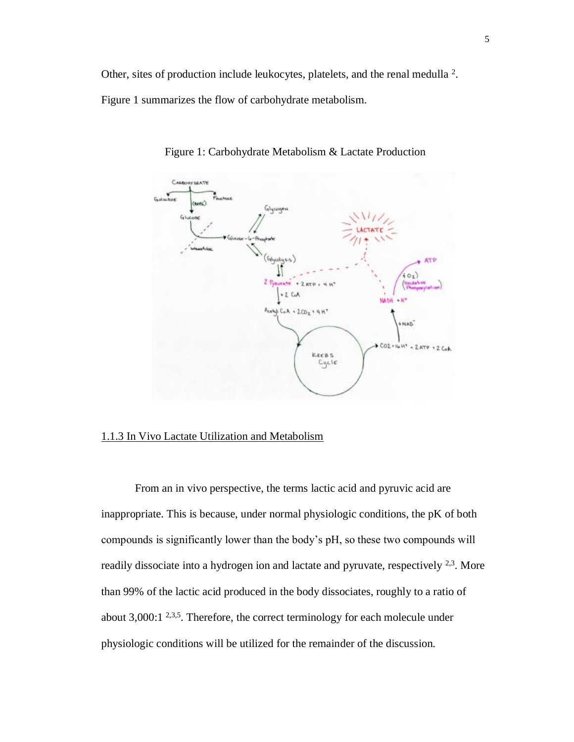Other, sites of production include leukocytes, platelets, and the renal medulla <sup>2</sup>.

Figure 1 summarizes the flow of carbohydrate metabolism.



Figure 1: Carbohydrate Metabolism & Lactate Production

### 1.1.3 In Vivo Lactate Utilization and Metabolism

From an in vivo perspective, the terms lactic acid and pyruvic acid are inappropriate. This is because, under normal physiologic conditions, the pK of both compounds is significantly lower than the body's pH, so these two compounds will readily dissociate into a hydrogen ion and lactate and pyruvate, respectively  $^{2,3}$ . More than 99% of the lactic acid produced in the body dissociates, roughly to a ratio of about  $3,000:1$  <sup>2,3,5</sup>. Therefore, the correct terminology for each molecule under physiologic conditions will be utilized for the remainder of the discussion.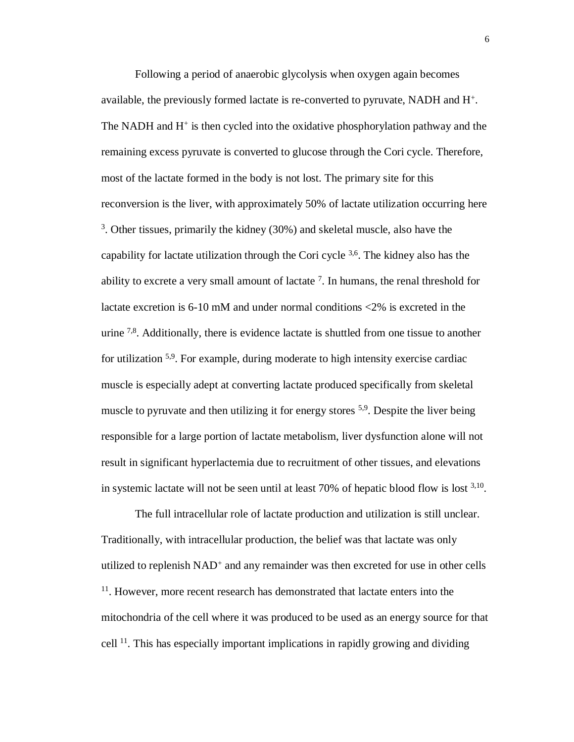Following a period of anaerobic glycolysis when oxygen again becomes available, the previously formed lactate is re-converted to pyruvate, NADH and H<sup>+</sup>. The NADH and  $H^+$  is then cycled into the oxidative phosphorylation pathway and the remaining excess pyruvate is converted to glucose through the Cori cycle. Therefore, most of the lactate formed in the body is not lost. The primary site for this reconversion is the liver, with approximately 50% of lactate utilization occurring here <sup>3</sup>. Other tissues, primarily the kidney (30%) and skeletal muscle, also have the capability for lactate utilization through the Cori cycle  $3,6$ . The kidney also has the ability to excrete a very small amount of lactate  $7$ . In humans, the renal threshold for lactate excretion is 6-10 mM and under normal conditions <2% is excreted in the urine  $7,8$ . Additionally, there is evidence lactate is shuttled from one tissue to another for utilization 5,9. For example, during moderate to high intensity exercise cardiac muscle is especially adept at converting lactate produced specifically from skeletal muscle to pyruvate and then utilizing it for energy stores  $5.9$ . Despite the liver being responsible for a large portion of lactate metabolism, liver dysfunction alone will not result in significant hyperlactemia due to recruitment of other tissues, and elevations in systemic lactate will not be seen until at least  $70\%$  of hepatic blood flow is lost  $3,10$ .

The full intracellular role of lactate production and utilization is still unclear. Traditionally, with intracellular production, the belief was that lactate was only utilized to replenish NAD<sup>+</sup> and any remainder was then excreted for use in other cells <sup>11</sup>. However, more recent research has demonstrated that lactate enters into the mitochondria of the cell where it was produced to be used as an energy source for that cell 11. This has especially important implications in rapidly growing and dividing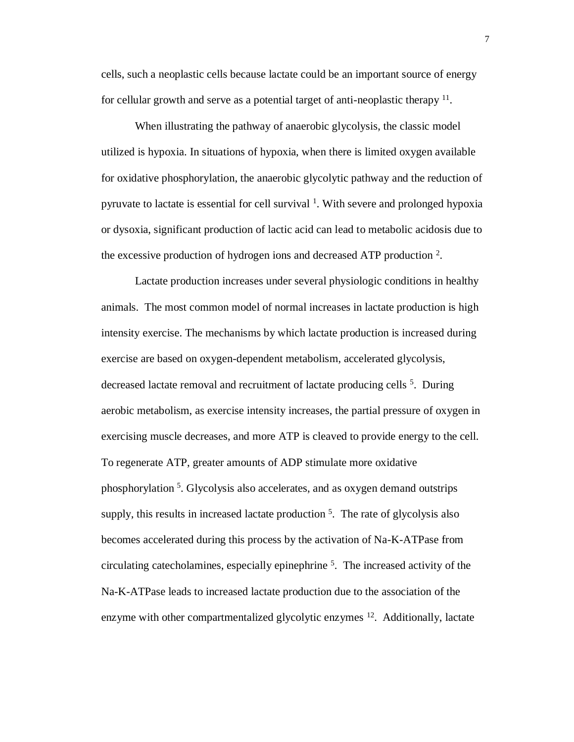cells, such a neoplastic cells because lactate could be an important source of energy for cellular growth and serve as a potential target of anti-neoplastic therapy <sup>11</sup>.

When illustrating the pathway of anaerobic glycolysis, the classic model utilized is hypoxia. In situations of hypoxia, when there is limited oxygen available for oxidative phosphorylation, the anaerobic glycolytic pathway and the reduction of pyruvate to lactate is essential for cell survival <sup>1</sup>. With severe and prolonged hypoxia or dysoxia, significant production of lactic acid can lead to metabolic acidosis due to the excessive production of hydrogen ions and decreased ATP production  $2$ .

Lactate production increases under several physiologic conditions in healthy animals. The most common model of normal increases in lactate production is high intensity exercise. The mechanisms by which lactate production is increased during exercise are based on oxygen-dependent metabolism, accelerated glycolysis, decreased lactate removal and recruitment of lactate producing cells<sup>5</sup>. During aerobic metabolism, as exercise intensity increases, the partial pressure of oxygen in exercising muscle decreases, and more ATP is cleaved to provide energy to the cell. To regenerate ATP, greater amounts of ADP stimulate more oxidative phosphorylation<sup>5</sup>. Glycolysis also accelerates, and as oxygen demand outstrips supply, this results in increased lactate production<sup>5</sup>. The rate of glycolysis also becomes accelerated during this process by the activation of Na-K-ATPase from circulating cate cholamines, especially epinephrine  $5$ . The increased activity of the Na-K-ATPase leads to increased lactate production due to the association of the enzyme with other compartmentalized glycolytic enzymes <sup>12</sup>. Additionally, lactate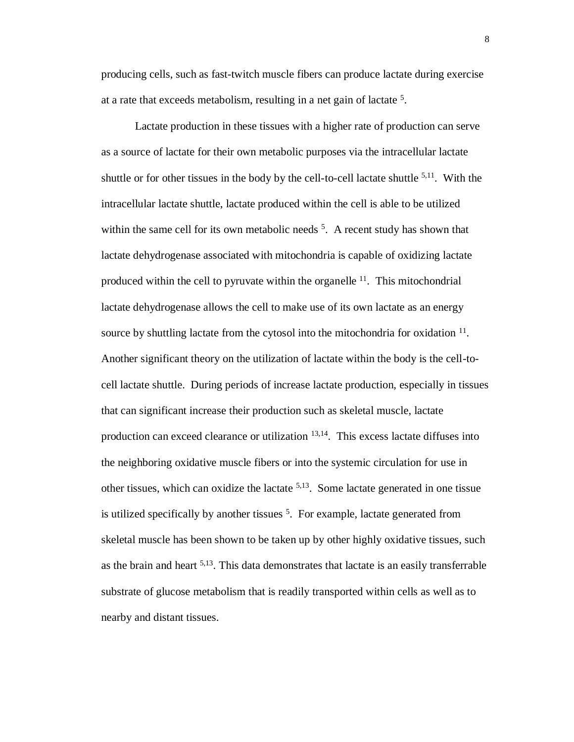producing cells, such as fast-twitch muscle fibers can produce lactate during exercise at a rate that exceeds metabolism, resulting in a net gain of lactate <sup>5</sup>.

Lactate production in these tissues with a higher rate of production can serve as a source of lactate for their own metabolic purposes via the intracellular lactate shuttle or for other tissues in the body by the cell-to-cell lactate shuttle  $5,11$ . With the intracellular lactate shuttle, lactate produced within the cell is able to be utilized within the same cell for its own metabolic needs  $5$ . A recent study has shown that lactate dehydrogenase associated with mitochondria is capable of oxidizing lactate produced within the cell to pyruvate within the organelle  $11$ . This mitochondrial lactate dehydrogenase allows the cell to make use of its own lactate as an energy source by shuttling lactate from the cytosol into the mitochondria for oxidation <sup>11</sup>. Another significant theory on the utilization of lactate within the body is the cell-tocell lactate shuttle. During periods of increase lactate production, especially in tissues that can significant increase their production such as skeletal muscle, lactate production can exceed clearance or utilization 13,14. This excess lactate diffuses into the neighboring oxidative muscle fibers or into the systemic circulation for use in other tissues, which can oxidize the lactate  $5,13$ . Some lactate generated in one tissue is utilized specifically by another tissues  $5$ . For example, lactate generated from skeletal muscle has been shown to be taken up by other highly oxidative tissues, such as the brain and heart  $5,13$ . This data demonstrates that lactate is an easily transferrable substrate of glucose metabolism that is readily transported within cells as well as to nearby and distant tissues.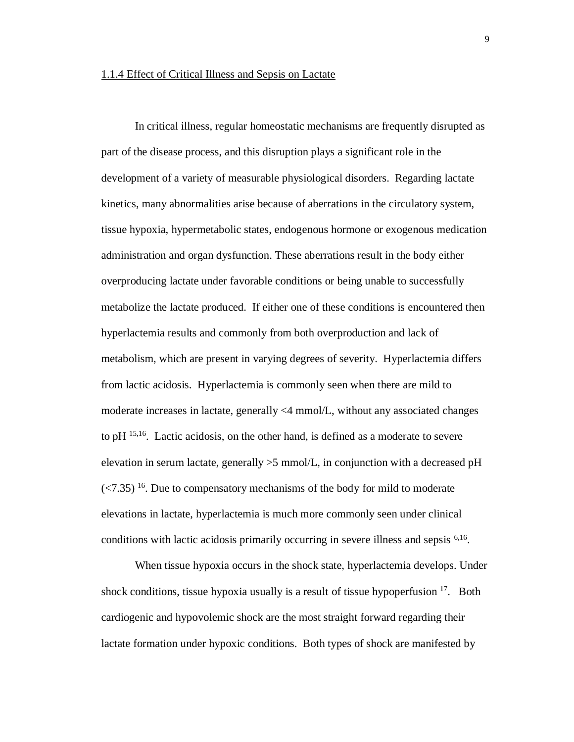#### 1.1.4 Effect of Critical Illness and Sepsis on Lactate

In critical illness, regular homeostatic mechanisms are frequently disrupted as part of the disease process, and this disruption plays a significant role in the development of a variety of measurable physiological disorders. Regarding lactate kinetics, many abnormalities arise because of aberrations in the circulatory system, tissue hypoxia, hypermetabolic states, endogenous hormone or exogenous medication administration and organ dysfunction. These aberrations result in the body either overproducing lactate under favorable conditions or being unable to successfully metabolize the lactate produced. If either one of these conditions is encountered then hyperlactemia results and commonly from both overproduction and lack of metabolism, which are present in varying degrees of severity. Hyperlactemia differs from lactic acidosis. Hyperlactemia is commonly seen when there are mild to moderate increases in lactate, generally <4 mmol/L, without any associated changes to pH 15,16. Lactic acidosis, on the other hand, is defined as a moderate to severe elevation in serum lactate, generally  $>5$  mmol/L, in conjunction with a decreased pH  $\left($  <7.35)<sup>16</sup>. Due to compensatory mechanisms of the body for mild to moderate elevations in lactate, hyperlactemia is much more commonly seen under clinical conditions with lactic acidosis primarily occurring in severe illness and sepsis <sup>6,16</sup>.

When tissue hypoxia occurs in the shock state, hyperlactemia develops. Under shock conditions, tissue hypoxia usually is a result of tissue hypoperfusion  $17$ . Both cardiogenic and hypovolemic shock are the most straight forward regarding their lactate formation under hypoxic conditions. Both types of shock are manifested by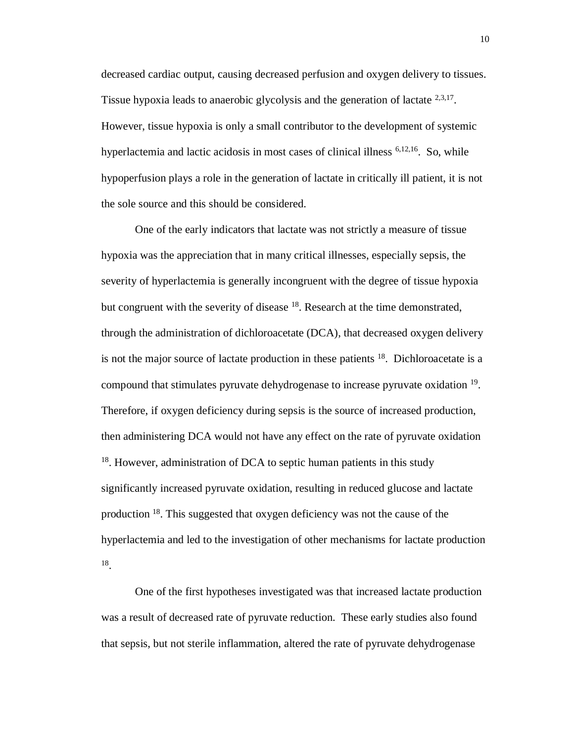decreased cardiac output, causing decreased perfusion and oxygen delivery to tissues. Tissue hypoxia leads to anaerobic glycolysis and the generation of lactate <sup>2,3,17</sup>. However, tissue hypoxia is only a small contributor to the development of systemic hyperlactemia and lactic acidosis in most cases of clinical illness <sup>6,12,16</sup>. So, while hypoperfusion plays a role in the generation of lactate in critically ill patient, it is not the sole source and this should be considered.

One of the early indicators that lactate was not strictly a measure of tissue hypoxia was the appreciation that in many critical illnesses, especially sepsis, the severity of hyperlactemia is generally incongruent with the degree of tissue hypoxia but congruent with the severity of disease  $^{18}$ . Research at the time demonstrated, through the administration of dichloroacetate (DCA), that decreased oxygen delivery is not the major source of lactate production in these patients  $18$ . Dichloroacetate is a compound that stimulates pyruvate dehydrogenase to increase pyruvate oxidation <sup>19</sup>. Therefore, if oxygen deficiency during sepsis is the source of increased production, then administering DCA would not have any effect on the rate of pyruvate oxidation <sup>18</sup>. However, administration of DCA to septic human patients in this study significantly increased pyruvate oxidation, resulting in reduced glucose and lactate production <sup>18</sup>. This suggested that oxygen deficiency was not the cause of the hyperlactemia and led to the investigation of other mechanisms for lactate production 18 .

One of the first hypotheses investigated was that increased lactate production was a result of decreased rate of pyruvate reduction. These early studies also found that sepsis, but not sterile inflammation, altered the rate of pyruvate dehydrogenase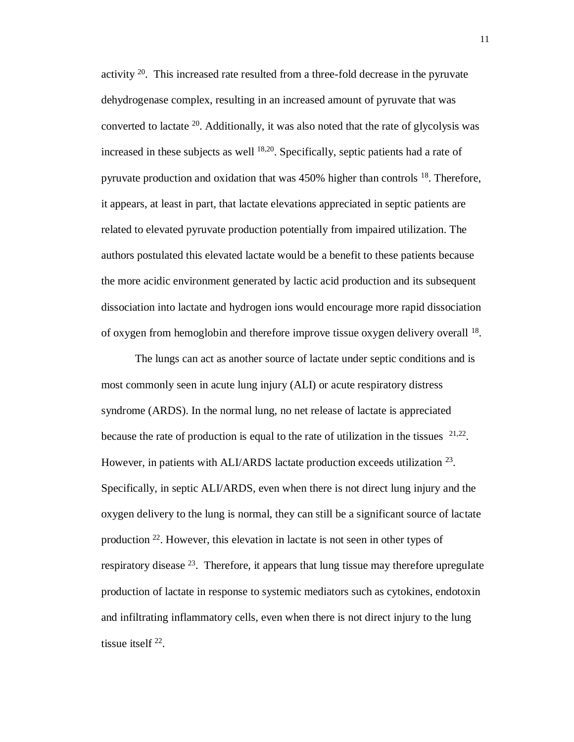activity  $2^0$ . This increased rate resulted from a three-fold decrease in the pyruvate dehydrogenase complex, resulting in an increased amount of pyruvate that was converted to lactate  $20$ . Additionally, it was also noted that the rate of glycolysis was increased in these subjects as well  $^{18,20}$ . Specifically, septic patients had a rate of pyruvate production and oxidation that was 450% higher than controls <sup>18</sup>. Therefore, it appears, at least in part, that lactate elevations appreciated in septic patients are related to elevated pyruvate production potentially from impaired utilization. The authors postulated this elevated lactate would be a benefit to these patients because the more acidic environment generated by lactic acid production and its subsequent dissociation into lactate and hydrogen ions would encourage more rapid dissociation of oxygen from hemoglobin and therefore improve tissue oxygen delivery overall <sup>18</sup>.

The lungs can act as another source of lactate under septic conditions and is most commonly seen in acute lung injury (ALI) or acute respiratory distress syndrome (ARDS). In the normal lung, no net release of lactate is appreciated because the rate of production is equal to the rate of utilization in the tissues  $21,22$ . However, in patients with ALI/ARDS lactate production exceeds utilization <sup>23</sup>. Specifically, in septic ALI/ARDS, even when there is not direct lung injury and the oxygen delivery to the lung is normal, they can still be a significant source of lactate production <sup>22</sup>. However, this elevation in lactate is not seen in other types of respiratory disease  $^{23}$ . Therefore, it appears that lung tissue may therefore upregulate production of lactate in response to systemic mediators such as cytokines, endotoxin and infiltrating inflammatory cells, even when there is not direct injury to the lung tissue itself  $^{22}$ .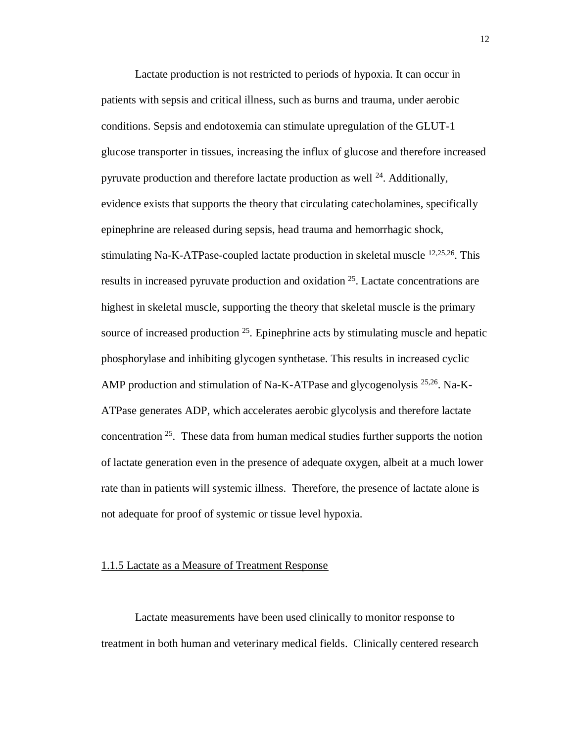Lactate production is not restricted to periods of hypoxia. It can occur in patients with sepsis and critical illness, such as burns and trauma, under aerobic conditions. Sepsis and endotoxemia can stimulate upregulation of the GLUT-1 glucose transporter in tissues, increasing the influx of glucose and therefore increased pyruvate production and therefore lactate production as well  $^{24}$ . Additionally, evidence exists that supports the theory that circulating catecholamines, specifically epinephrine are released during sepsis, head trauma and hemorrhagic shock, stimulating Na-K-ATPase-coupled lactate production in skeletal muscle 12,25,26. This results in increased pyruvate production and oxidation <sup>25</sup>. Lactate concentrations are highest in skeletal muscle, supporting the theory that skeletal muscle is the primary source of increased production  $25$ . Epinephrine acts by stimulating muscle and hepatic phosphorylase and inhibiting glycogen synthetase. This results in increased cyclic AMP production and stimulation of Na-K-ATPase and glycogenolysis  $^{25,26}$ . Na-K-ATPase generates ADP, which accelerates aerobic glycolysis and therefore lactate concentration <sup>25</sup>. These data from human medical studies further supports the notion of lactate generation even in the presence of adequate oxygen, albeit at a much lower rate than in patients will systemic illness. Therefore, the presence of lactate alone is not adequate for proof of systemic or tissue level hypoxia.

#### 1.1.5 Lactate as a Measure of Treatment Response

Lactate measurements have been used clinically to monitor response to treatment in both human and veterinary medical fields. Clinically centered research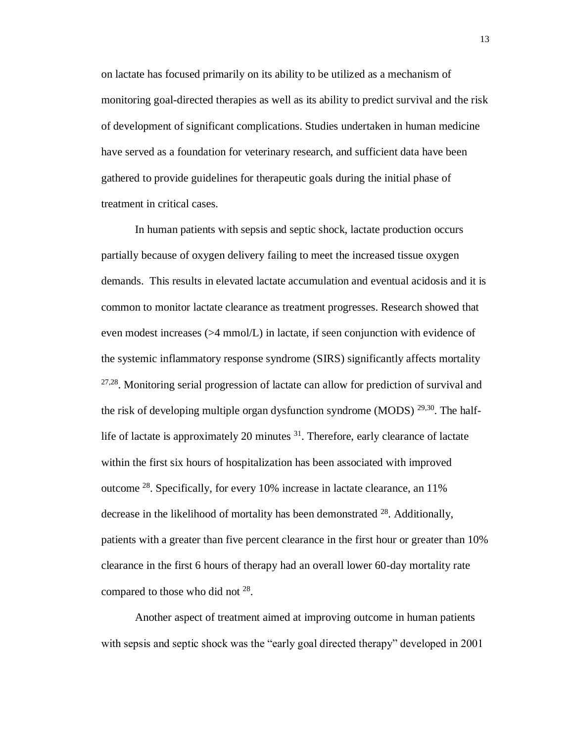on lactate has focused primarily on its ability to be utilized as a mechanism of monitoring goal-directed therapies as well as its ability to predict survival and the risk of development of significant complications. Studies undertaken in human medicine have served as a foundation for veterinary research, and sufficient data have been gathered to provide guidelines for therapeutic goals during the initial phase of treatment in critical cases.

In human patients with sepsis and septic shock, lactate production occurs partially because of oxygen delivery failing to meet the increased tissue oxygen demands. This results in elevated lactate accumulation and eventual acidosis and it is common to monitor lactate clearance as treatment progresses. Research showed that even modest increases (>4 mmol/L) in lactate, if seen conjunction with evidence of the systemic inflammatory response syndrome (SIRS) significantly affects mortality <sup>27,28</sup>. Monitoring serial progression of lactate can allow for prediction of survival and the risk of developing multiple organ dysfunction syndrome (MODS)  $^{29,30}$ . The halflife of lactate is approximately 20 minutes <sup>31</sup>. Therefore, early clearance of lactate within the first six hours of hospitalization has been associated with improved outcome <sup>28</sup>. Specifically, for every 10% increase in lactate clearance, an 11% decrease in the likelihood of mortality has been demonstrated  $^{28}$ . Additionally, patients with a greater than five percent clearance in the first hour or greater than 10% clearance in the first 6 hours of therapy had an overall lower 60-day mortality rate compared to those who did not  $28$ .

Another aspect of treatment aimed at improving outcome in human patients with sepsis and septic shock was the "early goal directed therapy" developed in 2001

13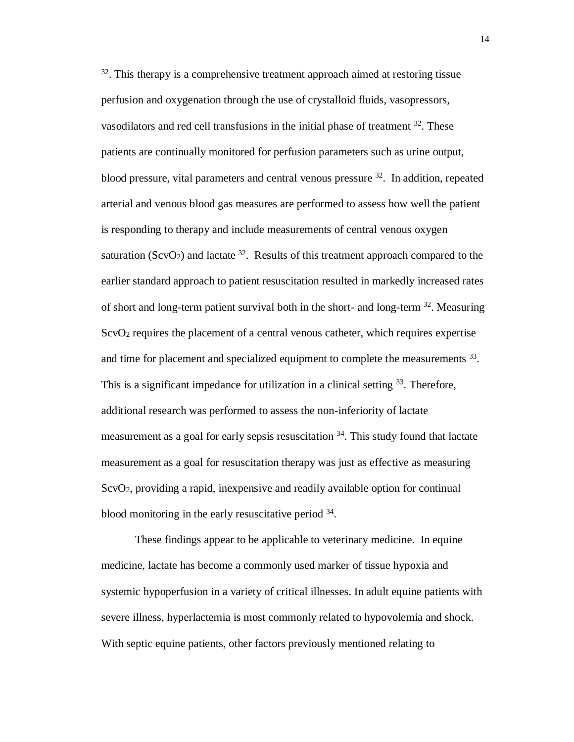$32$ . This therapy is a comprehensive treatment approach aimed at restoring tissue perfusion and oxygenation through the use of crystalloid fluids, vasopressors, vasodilators and red cell transfusions in the initial phase of treatment <sup>32</sup>. These patients are continually monitored for perfusion parameters such as urine output, blood pressure, vital parameters and central venous pressure <sup>32</sup>. In addition, repeated arterial and venous blood gas measures are performed to assess how well the patient is responding to therapy and include measurements of central venous oxygen saturation (ScvO<sub>2</sub>) and lactate  $32$ . Results of this treatment approach compared to the earlier standard approach to patient resuscitation resulted in markedly increased rates of short and long-term patient survival both in the short- and long-term <sup>32</sup>. Measuring  $ScvO<sub>2</sub>$  requires the placement of a central venous catheter, which requires expertise and time for placement and specialized equipment to complete the measurements <sup>33</sup>. This is a significant impedance for utilization in a clinical setting  $33$ . Therefore, additional research was performed to assess the non-inferiority of lactate measurement as a goal for early sepsis resuscitation <sup>34</sup>. This study found that lactate measurement as a goal for resuscitation therapy was just as effective as measuring ScvO2, providing a rapid, inexpensive and readily available option for continual blood monitoring in the early resuscitative period <sup>34</sup>.

These findings appear to be applicable to veterinary medicine. In equine medicine, lactate has become a commonly used marker of tissue hypoxia and systemic hypoperfusion in a variety of critical illnesses. In adult equine patients with severe illness, hyperlactemia is most commonly related to hypovolemia and shock. With septic equine patients, other factors previously mentioned relating to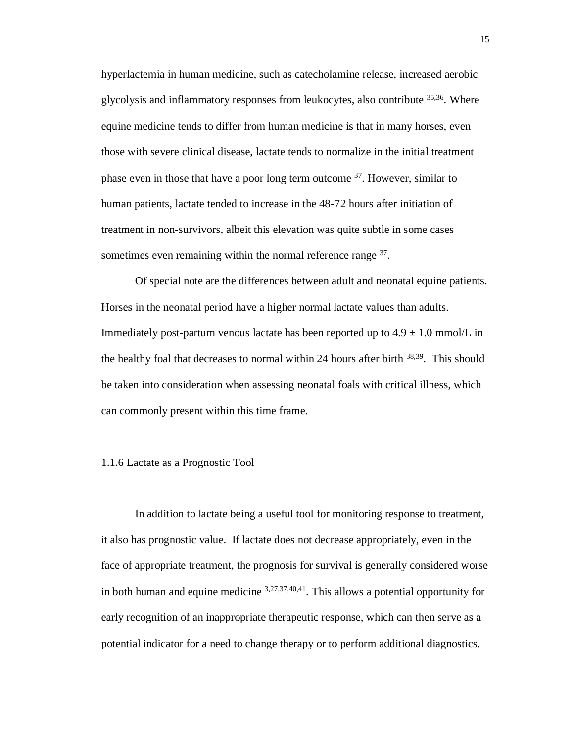hyperlactemia in human medicine, such as catecholamine release, increased aerobic glycolysis and inflammatory responses from leukocytes, also contribute 35,36. Where equine medicine tends to differ from human medicine is that in many horses, even those with severe clinical disease, lactate tends to normalize in the initial treatment phase even in those that have a poor long term outcome  $37$ . However, similar to human patients, lactate tended to increase in the 48-72 hours after initiation of treatment in non-survivors, albeit this elevation was quite subtle in some cases sometimes even remaining within the normal reference range <sup>37</sup>.

Of special note are the differences between adult and neonatal equine patients. Horses in the neonatal period have a higher normal lactate values than adults. Immediately post-partum venous lactate has been reported up to  $4.9 \pm 1.0$  mmol/L in the healthy foal that decreases to normal within 24 hours after birth <sup>38,39</sup>. This should be taken into consideration when assessing neonatal foals with critical illness, which can commonly present within this time frame.

### 1.1.6 Lactate as a Prognostic Tool

In addition to lactate being a useful tool for monitoring response to treatment, it also has prognostic value. If lactate does not decrease appropriately, even in the face of appropriate treatment, the prognosis for survival is generally considered worse in both human and equine medicine  $3,27,37,40,41$ . This allows a potential opportunity for early recognition of an inappropriate therapeutic response, which can then serve as a potential indicator for a need to change therapy or to perform additional diagnostics.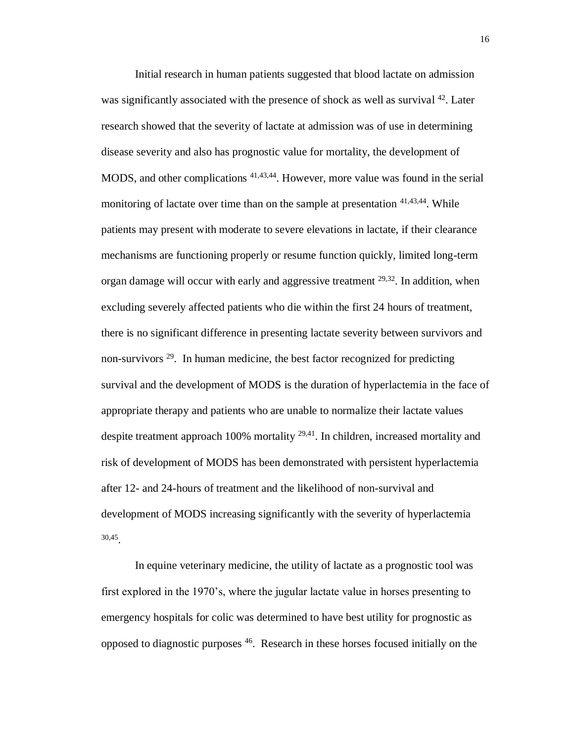Initial research in human patients suggested that blood lactate on admission was significantly associated with the presence of shock as well as survival <sup>42</sup>. Later research showed that the severity of lactate at admission was of use in determining disease severity and also has prognostic value for mortality, the development of MODS, and other complications 41,43,44. However, more value was found in the serial monitoring of lactate over time than on the sample at presentation <sup>41,43,44</sup>. While patients may present with moderate to severe elevations in lactate, if their clearance mechanisms are functioning properly or resume function quickly, limited long-term organ damage will occur with early and aggressive treatment <sup>29,32</sup>. In addition, when excluding severely affected patients who die within the first 24 hours of treatment, there is no significant difference in presenting lactate severity between survivors and non-survivors  $29$ . In human medicine, the best factor recognized for predicting survival and the development of MODS is the duration of hyperlactemia in the face of appropriate therapy and patients who are unable to normalize their lactate values despite treatment approach 100% mortality <sup>29,41</sup>. In children, increased mortality and risk of development of MODS has been demonstrated with persistent hyperlactemia after 12- and 24-hours of treatment and the likelihood of non-survival and development of MODS increasing significantly with the severity of hyperlactemia 30,45 .

In equine veterinary medicine, the utility of lactate as a prognostic tool was first explored in the 1970's, where the jugular lactate value in horses presenting to emergency hospitals for colic was determined to have best utility for prognostic as opposed to diagnostic purposes 46. Research in these horses focused initially on the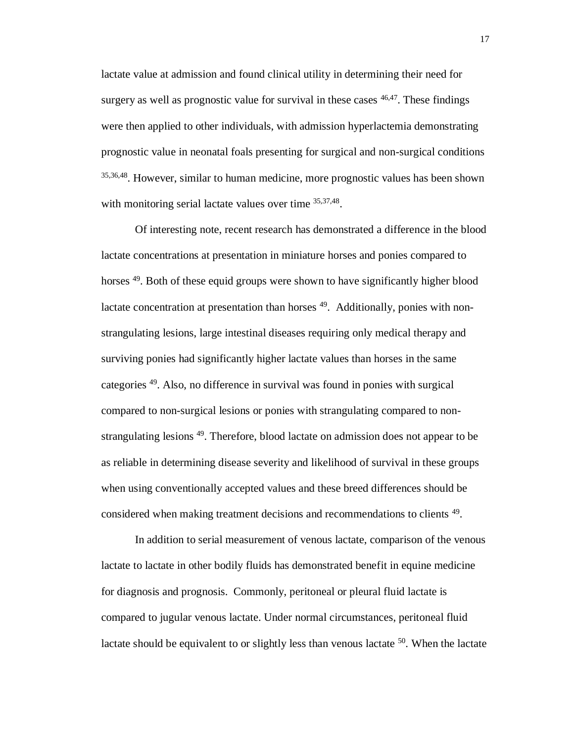lactate value at admission and found clinical utility in determining their need for surgery as well as prognostic value for survival in these cases  $46,47$ . These findings were then applied to other individuals, with admission hyperlactemia demonstrating prognostic value in neonatal foals presenting for surgical and non-surgical conditions 35,36,48. However, similar to human medicine, more prognostic values has been shown with monitoring serial lactate values over time 35,37,48.

Of interesting note, recent research has demonstrated a difference in the blood lactate concentrations at presentation in miniature horses and ponies compared to horses <sup>49</sup>. Both of these equid groups were shown to have significantly higher blood lactate concentration at presentation than horses <sup>49</sup>. Additionally, ponies with nonstrangulating lesions, large intestinal diseases requiring only medical therapy and surviving ponies had significantly higher lactate values than horses in the same categories <sup>49</sup>. Also, no difference in survival was found in ponies with surgical compared to non-surgical lesions or ponies with strangulating compared to nonstrangulating lesions <sup>49</sup>. Therefore, blood lactate on admission does not appear to be as reliable in determining disease severity and likelihood of survival in these groups when using conventionally accepted values and these breed differences should be considered when making treatment decisions and recommendations to clients <sup>49</sup>.

In addition to serial measurement of venous lactate, comparison of the venous lactate to lactate in other bodily fluids has demonstrated benefit in equine medicine for diagnosis and prognosis. Commonly, peritoneal or pleural fluid lactate is compared to jugular venous lactate. Under normal circumstances, peritoneal fluid lactate should be equivalent to or slightly less than venous lactate  $50$ . When the lactate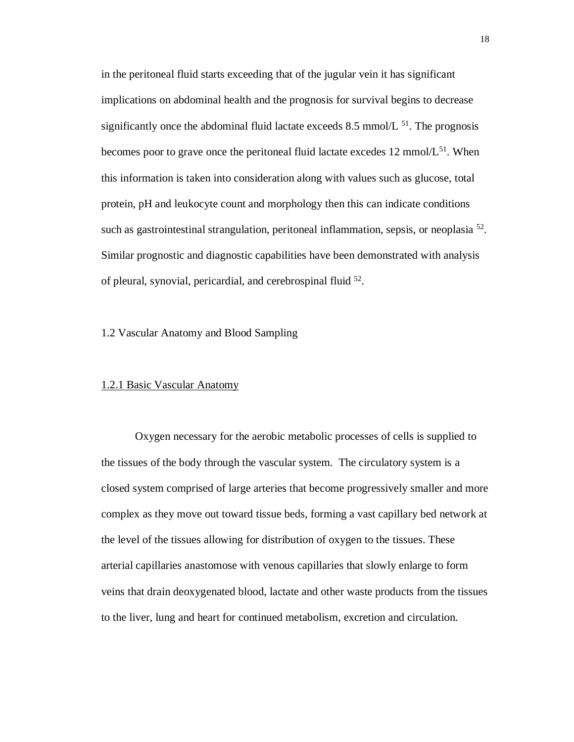in the peritoneal fluid starts exceeding that of the jugular vein it has significant implications on abdominal health and the prognosis for survival begins to decrease significantly once the abdominal fluid lactate exceeds 8.5 mmol/ $L^{51}$ . The prognosis becomes poor to grave once the peritoneal fluid lactate excedes 12 mmol/ $L^{51}$ . When this information is taken into consideration along with values such as glucose, total protein, pH and leukocyte count and morphology then this can indicate conditions such as gastrointestinal strangulation, peritoneal inflammation, sepsis, or neoplasia<sup>52</sup>. Similar prognostic and diagnostic capabilities have been demonstrated with analysis of pleural, synovial, pericardial, and cerebrospinal fluid <sup>52</sup>.

1.2 Vascular Anatomy and Blood Sampling

#### 1.2.1 Basic Vascular Anatomy

Oxygen necessary for the aerobic metabolic processes of cells is supplied to the tissues of the body through the vascular system. The circulatory system is a closed system comprised of large arteries that become progressively smaller and more complex as they move out toward tissue beds, forming a vast capillary bed network at the level of the tissues allowing for distribution of oxygen to the tissues. These arterial capillaries anastomose with venous capillaries that slowly enlarge to form veins that drain deoxygenated blood, lactate and other waste products from the tissues to the liver, lung and heart for continued metabolism, excretion and circulation.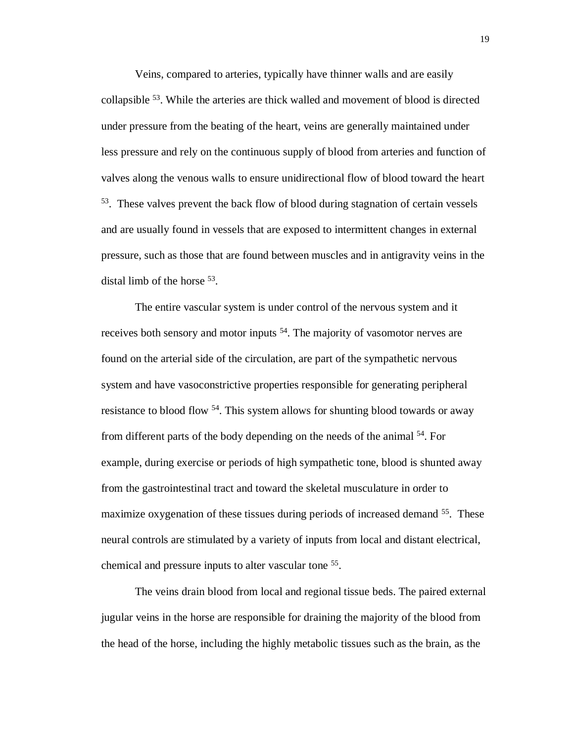Veins, compared to arteries, typically have thinner walls and are easily collapsible <sup>53</sup>. While the arteries are thick walled and movement of blood is directed under pressure from the beating of the heart, veins are generally maintained under less pressure and rely on the continuous supply of blood from arteries and function of valves along the venous walls to ensure unidirectional flow of blood toward the heart <sup>53</sup>. These valves prevent the back flow of blood during stagnation of certain vessels and are usually found in vessels that are exposed to intermittent changes in external pressure, such as those that are found between muscles and in antigravity veins in the distal limb of the horse <sup>53</sup>.

The entire vascular system is under control of the nervous system and it receives both sensory and motor inputs <sup>54</sup>. The majority of vasomotor nerves are found on the arterial side of the circulation, are part of the sympathetic nervous system and have vasoconstrictive properties responsible for generating peripheral resistance to blood flow <sup>54</sup>. This system allows for shunting blood towards or away from different parts of the body depending on the needs of the animal <sup>54</sup>. For example, during exercise or periods of high sympathetic tone, blood is shunted away from the gastrointestinal tract and toward the skeletal musculature in order to maximize oxygenation of these tissues during periods of increased demand <sup>55</sup>. These neural controls are stimulated by a variety of inputs from local and distant electrical, chemical and pressure inputs to alter vascular tone <sup>55</sup>.

The veins drain blood from local and regional tissue beds. The paired external jugular veins in the horse are responsible for draining the majority of the blood from the head of the horse, including the highly metabolic tissues such as the brain, as the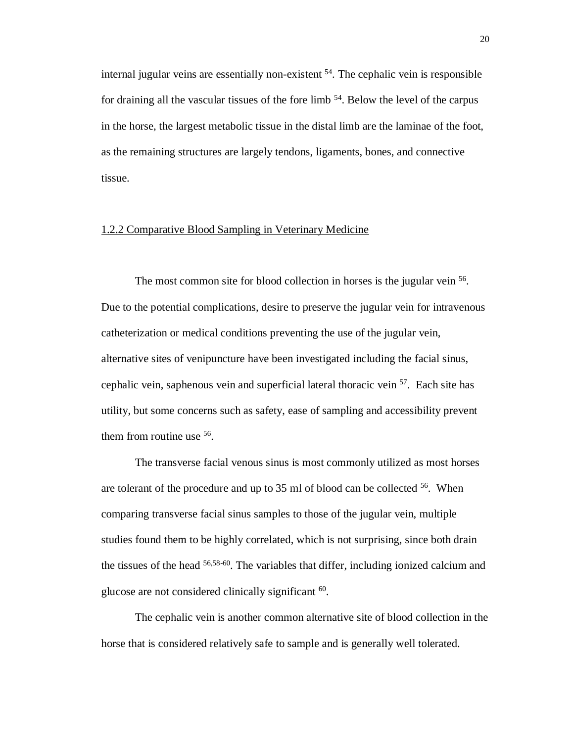internal jugular veins are essentially non-existent  $54$ . The cephalic vein is responsible for draining all the vascular tissues of the fore limb <sup>54</sup>. Below the level of the carpus in the horse, the largest metabolic tissue in the distal limb are the laminae of the foot, as the remaining structures are largely tendons, ligaments, bones, and connective tissue.

### 1.2.2 Comparative Blood Sampling in Veterinary Medicine

The most common site for blood collection in horses is the jugular vein <sup>56</sup>. Due to the potential complications, desire to preserve the jugular vein for intravenous catheterization or medical conditions preventing the use of the jugular vein, alternative sites of venipuncture have been investigated including the facial sinus, cephalic vein, saphenous vein and superficial lateral thoracic vein <sup>57</sup>. Each site has utility, but some concerns such as safety, ease of sampling and accessibility prevent them from routine use <sup>56</sup>.

The transverse facial venous sinus is most commonly utilized as most horses are tolerant of the procedure and up to 35 ml of blood can be collected <sup>56</sup>. When comparing transverse facial sinus samples to those of the jugular vein, multiple studies found them to be highly correlated, which is not surprising, since both drain the tissues of the head 56,58-60. The variables that differ, including ionized calcium and glucose are not considered clinically significant <sup>60</sup>.

The cephalic vein is another common alternative site of blood collection in the horse that is considered relatively safe to sample and is generally well tolerated.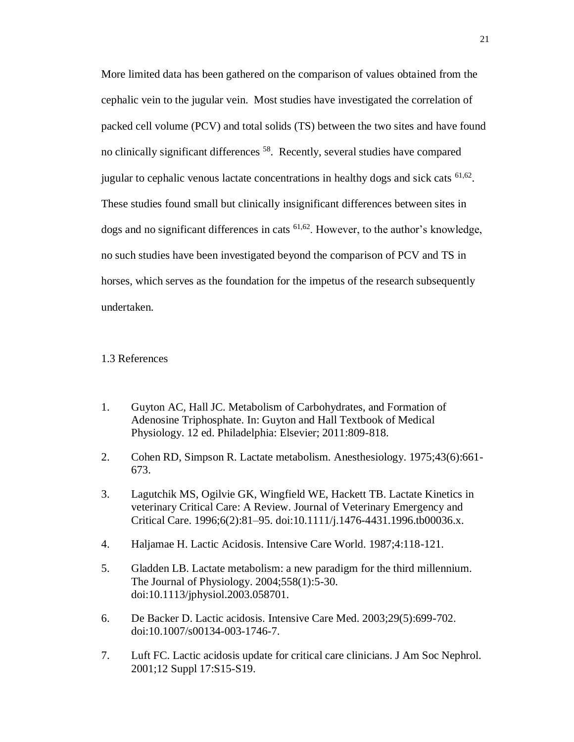More limited data has been gathered on the comparison of values obtained from the cephalic vein to the jugular vein. Most studies have investigated the correlation of packed cell volume (PCV) and total solids (TS) between the two sites and have found no clinically significant differences <sup>58</sup>. Recently, several studies have compared jugular to cephalic venous lactate concentrations in healthy dogs and sick cats  $61,62$ . These studies found small but clinically insignificant differences between sites in dogs and no significant differences in cats 61,62. However, to the author's knowledge, no such studies have been investigated beyond the comparison of PCV and TS in horses, which serves as the foundation for the impetus of the research subsequently undertaken.

#### 1.3 References

- 1. Guyton AC, Hall JC. Metabolism of Carbohydrates, and Formation of Adenosine Triphosphate. In: Guyton and Hall Textbook of Medical Physiology. 12 ed. Philadelphia: Elsevier; 2011:809-818.
- 2. Cohen RD, Simpson R. Lactate metabolism. Anesthesiology. 1975;43(6):661- 673.
- 3. Lagutchik MS, Ogilvie GK, Wingfield WE, Hackett TB. Lactate Kinetics in veterinary Critical Care: A Review. Journal of Veterinary Emergency and Critical Care. 1996;6(2):81–95. doi:10.1111/j.1476-4431.1996.tb00036.x.
- 4. Haljamae H. Lactic Acidosis. Intensive Care World. 1987;4:118-121.
- 5. Gladden LB. Lactate metabolism: a new paradigm for the third millennium. The Journal of Physiology. 2004;558(1):5-30. doi:10.1113/jphysiol.2003.058701.
- 6. De Backer D. Lactic acidosis. Intensive Care Med. 2003;29(5):699-702. doi:10.1007/s00134-003-1746-7.
- 7. Luft FC. Lactic acidosis update for critical care clinicians. J Am Soc Nephrol. 2001;12 Suppl 17:S15-S19.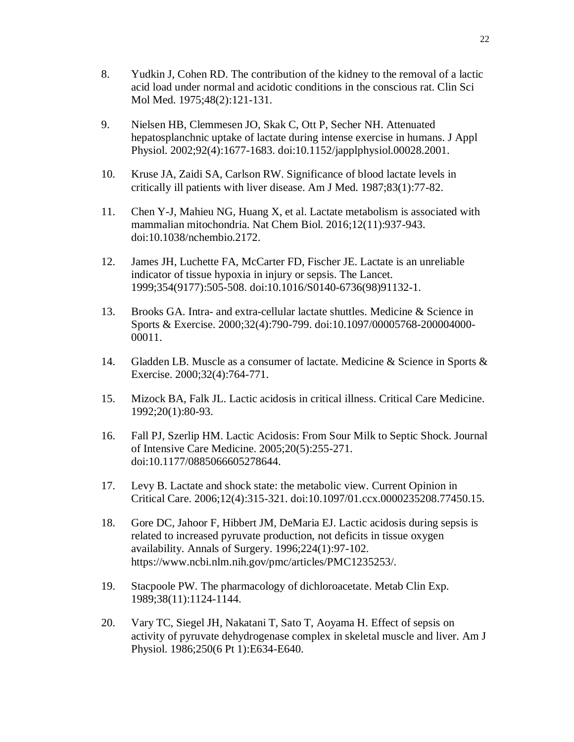- 8. Yudkin J, Cohen RD. The contribution of the kidney to the removal of a lactic acid load under normal and acidotic conditions in the conscious rat. Clin Sci Mol Med. 1975;48(2):121-131.
- 9. Nielsen HB, Clemmesen JO, Skak C, Ott P, Secher NH. Attenuated hepatosplanchnic uptake of lactate during intense exercise in humans. J Appl Physiol. 2002;92(4):1677-1683. doi:10.1152/japplphysiol.00028.2001.
- 10. Kruse JA, Zaidi SA, Carlson RW. Significance of blood lactate levels in critically ill patients with liver disease. Am J Med. 1987;83(1):77-82.
- 11. Chen Y-J, Mahieu NG, Huang X, et al. Lactate metabolism is associated with mammalian mitochondria. Nat Chem Biol. 2016;12(11):937-943. doi:10.1038/nchembio.2172.
- 12. James JH, Luchette FA, McCarter FD, Fischer JE. Lactate is an unreliable indicator of tissue hypoxia in injury or sepsis. The Lancet. 1999;354(9177):505-508. doi:10.1016/S0140-6736(98)91132-1.
- 13. Brooks GA. Intra- and extra-cellular lactate shuttles. Medicine & Science in Sports & Exercise. 2000;32(4):790-799. doi:10.1097/00005768-200004000- 00011.
- 14. Gladden LB. Muscle as a consumer of lactate. Medicine & Science in Sports & Exercise. 2000;32(4):764-771.
- 15. Mizock BA, Falk JL. Lactic acidosis in critical illness. Critical Care Medicine. 1992;20(1):80-93.
- 16. Fall PJ, Szerlip HM. Lactic Acidosis: From Sour Milk to Septic Shock. Journal of Intensive Care Medicine. 2005;20(5):255-271. doi:10.1177/0885066605278644.
- 17. Levy B. Lactate and shock state: the metabolic view. Current Opinion in Critical Care. 2006;12(4):315-321. doi:10.1097/01.ccx.0000235208.77450.15.
- 18. Gore DC, Jahoor F, Hibbert JM, DeMaria EJ. Lactic acidosis during sepsis is related to increased pyruvate production, not deficits in tissue oxygen availability. Annals of Surgery. 1996;224(1):97-102. https://www.ncbi.nlm.nih.gov/pmc/articles/PMC1235253/.
- 19. Stacpoole PW. The pharmacology of dichloroacetate. Metab Clin Exp. 1989;38(11):1124-1144.
- 20. Vary TC, Siegel JH, Nakatani T, Sato T, Aoyama H. Effect of sepsis on activity of pyruvate dehydrogenase complex in skeletal muscle and liver. Am J Physiol. 1986;250(6 Pt 1):E634-E640.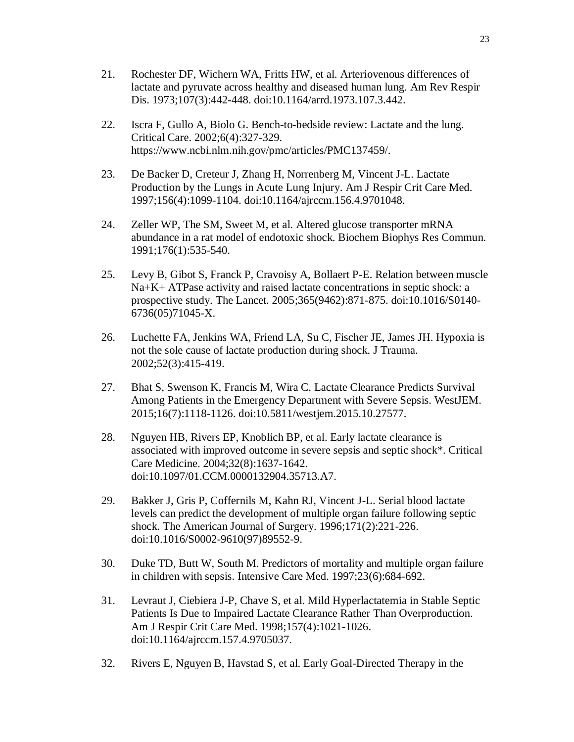- 21. Rochester DF, Wichern WA, Fritts HW, et al. Arteriovenous differences of lactate and pyruvate across healthy and diseased human lung. Am Rev Respir Dis. 1973;107(3):442-448. doi:10.1164/arrd.1973.107.3.442.
- 22. Iscra F, Gullo A, Biolo G. Bench-to-bedside review: Lactate and the lung. Critical Care. 2002;6(4):327-329. https://www.ncbi.nlm.nih.gov/pmc/articles/PMC137459/.
- 23. De Backer D, Creteur J, Zhang H, Norrenberg M, Vincent J-L. Lactate Production by the Lungs in Acute Lung Injury. Am J Respir Crit Care Med. 1997;156(4):1099-1104. doi:10.1164/ajrccm.156.4.9701048.
- 24. Zeller WP, The SM, Sweet M, et al. Altered glucose transporter mRNA abundance in a rat model of endotoxic shock. Biochem Biophys Res Commun. 1991;176(1):535-540.
- 25. Levy B, Gibot S, Franck P, Cravoisy A, Bollaert P-E. Relation between muscle Na+K+ ATPase activity and raised lactate concentrations in septic shock: a prospective study. The Lancet. 2005;365(9462):871-875. doi:10.1016/S0140- 6736(05)71045-X.
- 26. Luchette FA, Jenkins WA, Friend LA, Su C, Fischer JE, James JH. Hypoxia is not the sole cause of lactate production during shock. J Trauma. 2002;52(3):415-419.
- 27. Bhat S, Swenson K, Francis M, Wira C. Lactate Clearance Predicts Survival Among Patients in the Emergency Department with Severe Sepsis. WestJEM. 2015;16(7):1118-1126. doi:10.5811/westjem.2015.10.27577.
- 28. Nguyen HB, Rivers EP, Knoblich BP, et al. Early lactate clearance is associated with improved outcome in severe sepsis and septic shock\*. Critical Care Medicine. 2004;32(8):1637-1642. doi:10.1097/01.CCM.0000132904.35713.A7.
- 29. Bakker J, Gris P, Coffernils M, Kahn RJ, Vincent J-L. Serial blood lactate levels can predict the development of multiple organ failure following septic shock. The American Journal of Surgery. 1996;171(2):221-226. doi:10.1016/S0002-9610(97)89552-9.
- 30. Duke TD, Butt W, South M. Predictors of mortality and multiple organ failure in children with sepsis. Intensive Care Med. 1997;23(6):684-692.
- 31. Levraut J, Ciebiera J-P, Chave S, et al. Mild Hyperlactatemia in Stable Septic Patients Is Due to Impaired Lactate Clearance Rather Than Overproduction. Am J Respir Crit Care Med. 1998;157(4):1021-1026. doi:10.1164/ajrccm.157.4.9705037.
- 32. Rivers E, Nguyen B, Havstad S, et al. Early Goal-Directed Therapy in the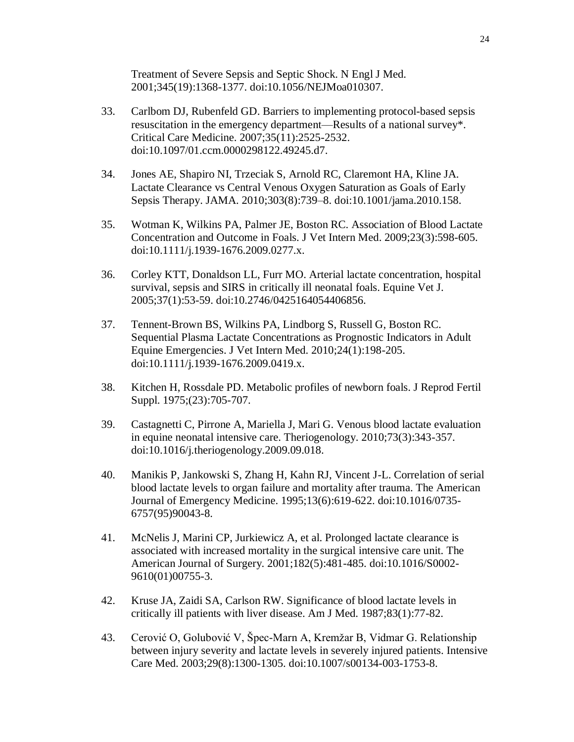Treatment of Severe Sepsis and Septic Shock. N Engl J Med. 2001;345(19):1368-1377. doi:10.1056/NEJMoa010307.

- 33. Carlbom DJ, Rubenfeld GD. Barriers to implementing protocol-based sepsis resuscitation in the emergency department—Results of a national survey\*. Critical Care Medicine. 2007;35(11):2525-2532. doi:10.1097/01.ccm.0000298122.49245.d7.
- 34. Jones AE, Shapiro NI, Trzeciak S, Arnold RC, Claremont HA, Kline JA. Lactate Clearance vs Central Venous Oxygen Saturation as Goals of Early Sepsis Therapy. JAMA. 2010;303(8):739–8. doi:10.1001/jama.2010.158.
- 35. Wotman K, Wilkins PA, Palmer JE, Boston RC. Association of Blood Lactate Concentration and Outcome in Foals. J Vet Intern Med. 2009;23(3):598-605. doi:10.1111/j.1939-1676.2009.0277.x.
- 36. Corley KTT, Donaldson LL, Furr MO. Arterial lactate concentration, hospital survival, sepsis and SIRS in critically ill neonatal foals. Equine Vet J. 2005;37(1):53-59. doi:10.2746/0425164054406856.
- 37. Tennent-Brown BS, Wilkins PA, Lindborg S, Russell G, Boston RC. Sequential Plasma Lactate Concentrations as Prognostic Indicators in Adult Equine Emergencies. J Vet Intern Med. 2010;24(1):198-205. doi:10.1111/j.1939-1676.2009.0419.x.
- 38. Kitchen H, Rossdale PD. Metabolic profiles of newborn foals. J Reprod Fertil Suppl. 1975;(23):705-707.
- 39. Castagnetti C, Pirrone A, Mariella J, Mari G. Venous blood lactate evaluation in equine neonatal intensive care. Theriogenology. 2010;73(3):343-357. doi:10.1016/j.theriogenology.2009.09.018.
- 40. Manikis P, Jankowski S, Zhang H, Kahn RJ, Vincent J-L. Correlation of serial blood lactate levels to organ failure and mortality after trauma. The American Journal of Emergency Medicine. 1995;13(6):619-622. doi:10.1016/0735- 6757(95)90043-8.
- 41. McNelis J, Marini CP, Jurkiewicz A, et al. Prolonged lactate clearance is associated with increased mortality in the surgical intensive care unit. The American Journal of Surgery. 2001;182(5):481-485. doi:10.1016/S0002- 9610(01)00755-3.
- 42. Kruse JA, Zaidi SA, Carlson RW. Significance of blood lactate levels in critically ill patients with liver disease. Am J Med. 1987;83(1):77-82.
- 43. Cerović O, Golubović V, Špec-Marn A, Kremžar B, Vidmar G. Relationship between injury severity and lactate levels in severely injured patients. Intensive Care Med. 2003;29(8):1300-1305. doi:10.1007/s00134-003-1753-8.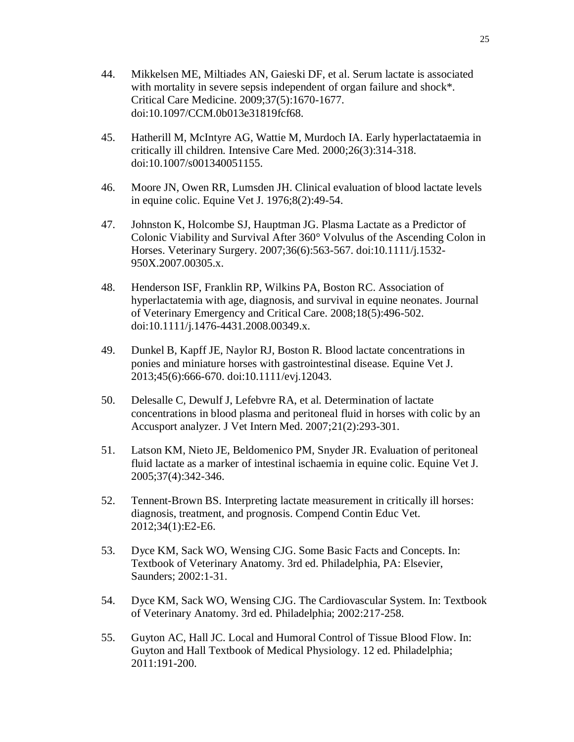- 44. Mikkelsen ME, Miltiades AN, Gaieski DF, et al. Serum lactate is associated with mortality in severe sepsis independent of organ failure and shock\*. Critical Care Medicine. 2009;37(5):1670-1677. doi:10.1097/CCM.0b013e31819fcf68.
- 45. Hatherill M, McIntyre AG, Wattie M, Murdoch IA. Early hyperlactataemia in critically ill children. Intensive Care Med. 2000;26(3):314-318. doi:10.1007/s001340051155.
- 46. Moore JN, Owen RR, Lumsden JH. Clinical evaluation of blood lactate levels in equine colic. Equine Vet J. 1976;8(2):49-54.
- 47. Johnston K, Holcombe SJ, Hauptman JG. Plasma Lactate as a Predictor of Colonic Viability and Survival After 360° Volvulus of the Ascending Colon in Horses. Veterinary Surgery. 2007;36(6):563-567. doi:10.1111/j.1532- 950X.2007.00305.x.
- 48. Henderson ISF, Franklin RP, Wilkins PA, Boston RC. Association of hyperlactatemia with age, diagnosis, and survival in equine neonates. Journal of Veterinary Emergency and Critical Care. 2008;18(5):496-502. doi:10.1111/j.1476-4431.2008.00349.x.
- 49. Dunkel B, Kapff JE, Naylor RJ, Boston R. Blood lactate concentrations in ponies and miniature horses with gastrointestinal disease. Equine Vet J. 2013;45(6):666-670. doi:10.1111/evj.12043.
- 50. Delesalle C, Dewulf J, Lefebvre RA, et al. Determination of lactate concentrations in blood plasma and peritoneal fluid in horses with colic by an Accusport analyzer. J Vet Intern Med. 2007;21(2):293-301.
- 51. Latson KM, Nieto JE, Beldomenico PM, Snyder JR. Evaluation of peritoneal fluid lactate as a marker of intestinal ischaemia in equine colic. Equine Vet J. 2005;37(4):342-346.
- 52. Tennent-Brown BS. Interpreting lactate measurement in critically ill horses: diagnosis, treatment, and prognosis. Compend Contin Educ Vet. 2012;34(1):E2-E6.
- 53. Dyce KM, Sack WO, Wensing CJG. Some Basic Facts and Concepts. In: Textbook of Veterinary Anatomy. 3rd ed. Philadelphia, PA: Elsevier, Saunders; 2002:1-31.
- 54. Dyce KM, Sack WO, Wensing CJG. The Cardiovascular System. In: Textbook of Veterinary Anatomy. 3rd ed. Philadelphia; 2002:217-258.
- 55. Guyton AC, Hall JC. Local and Humoral Control of Tissue Blood Flow. In: Guyton and Hall Textbook of Medical Physiology. 12 ed. Philadelphia; 2011:191-200.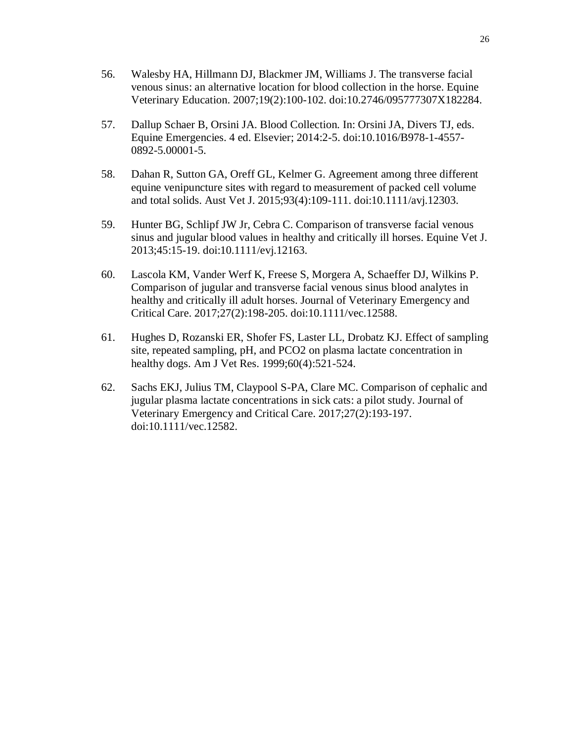- 56. Walesby HA, Hillmann DJ, Blackmer JM, Williams J. The transverse facial venous sinus: an alternative location for blood collection in the horse. Equine Veterinary Education. 2007;19(2):100-102. doi:10.2746/095777307X182284.
- 57. Dallup Schaer B, Orsini JA. Blood Collection. In: Orsini JA, Divers TJ, eds. Equine Emergencies. 4 ed. Elsevier; 2014:2-5. doi:10.1016/B978-1-4557- 0892-5.00001-5.
- 58. Dahan R, Sutton GA, Oreff GL, Kelmer G. Agreement among three different equine venipuncture sites with regard to measurement of packed cell volume and total solids. Aust Vet J. 2015;93(4):109-111. doi:10.1111/avj.12303.
- 59. Hunter BG, Schlipf JW Jr, Cebra C. Comparison of transverse facial venous sinus and jugular blood values in healthy and critically ill horses. Equine Vet J. 2013;45:15-19. doi:10.1111/evj.12163.
- 60. Lascola KM, Vander Werf K, Freese S, Morgera A, Schaeffer DJ, Wilkins P. Comparison of jugular and transverse facial venous sinus blood analytes in healthy and critically ill adult horses. Journal of Veterinary Emergency and Critical Care. 2017;27(2):198-205. doi:10.1111/vec.12588.
- 61. Hughes D, Rozanski ER, Shofer FS, Laster LL, Drobatz KJ. Effect of sampling site, repeated sampling, pH, and PCO2 on plasma lactate concentration in healthy dogs. Am J Vet Res. 1999;60(4):521-524.
- 62. Sachs EKJ, Julius TM, Claypool S-PA, Clare MC. Comparison of cephalic and jugular plasma lactate concentrations in sick cats: a pilot study. Journal of Veterinary Emergency and Critical Care. 2017;27(2):193-197. doi:10.1111/vec.12582.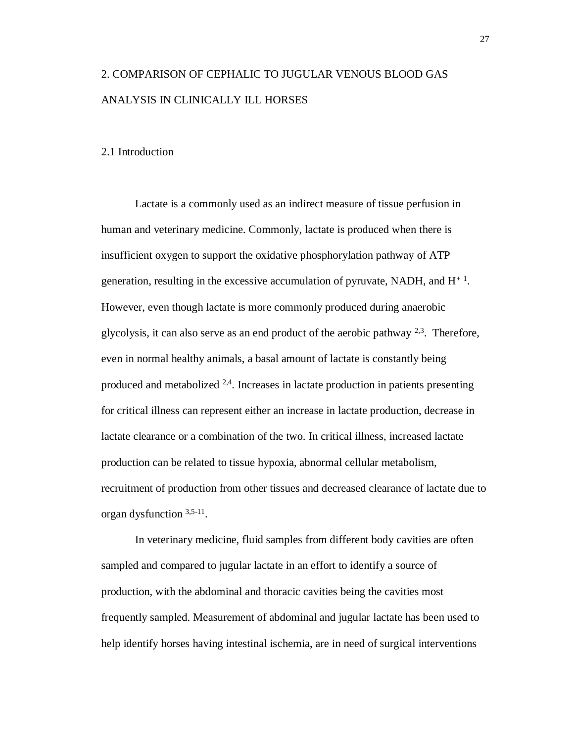# 2. COMPARISON OF CEPHALIC TO JUGULAR VENOUS BLOOD GAS ANALYSIS IN CLINICALLY ILL HORSES

## 2.1 Introduction

Lactate is a commonly used as an indirect measure of tissue perfusion in human and veterinary medicine. Commonly, lactate is produced when there is insufficient oxygen to support the oxidative phosphorylation pathway of ATP generation, resulting in the excessive accumulation of pyruvate, NADH, and  $H^{+1}$ . However, even though lactate is more commonly produced during anaerobic glycolysis, it can also serve as an end product of the aerobic pathway  $2.3$ . Therefore, even in normal healthy animals, a basal amount of lactate is constantly being produced and metabolized  $2.4$ . Increases in lactate production in patients presenting for critical illness can represent either an increase in lactate production, decrease in lactate clearance or a combination of the two. In critical illness, increased lactate production can be related to tissue hypoxia, abnormal cellular metabolism, recruitment of production from other tissues and decreased clearance of lactate due to organ dysfunction 3,5-11 .

In veterinary medicine, fluid samples from different body cavities are often sampled and compared to jugular lactate in an effort to identify a source of production, with the abdominal and thoracic cavities being the cavities most frequently sampled. Measurement of abdominal and jugular lactate has been used to help identify horses having intestinal ischemia, are in need of surgical interventions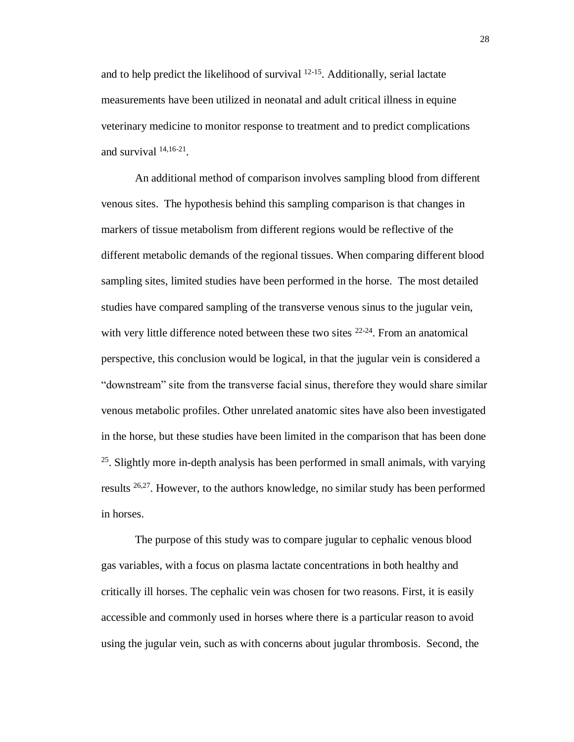and to help predict the likelihood of survival  $12-15$ . Additionally, serial lactate measurements have been utilized in neonatal and adult critical illness in equine veterinary medicine to monitor response to treatment and to predict complications and survival  $14,16-21$ .

An additional method of comparison involves sampling blood from different venous sites. The hypothesis behind this sampling comparison is that changes in markers of tissue metabolism from different regions would be reflective of the different metabolic demands of the regional tissues. When comparing different blood sampling sites, limited studies have been performed in the horse. The most detailed studies have compared sampling of the transverse venous sinus to the jugular vein, with very little difference noted between these two sites <sup>22-24</sup>. From an anatomical perspective, this conclusion would be logical, in that the jugular vein is considered a "downstream" site from the transverse facial sinus, therefore they would share similar venous metabolic profiles. Other unrelated anatomic sites have also been investigated in the horse, but these studies have been limited in the comparison that has been done  $25$ . Slightly more in-depth analysis has been performed in small animals, with varying results <sup>26,27</sup>. However, to the authors knowledge, no similar study has been performed in horses.

The purpose of this study was to compare jugular to cephalic venous blood gas variables, with a focus on plasma lactate concentrations in both healthy and critically ill horses. The cephalic vein was chosen for two reasons. First, it is easily accessible and commonly used in horses where there is a particular reason to avoid using the jugular vein, such as with concerns about jugular thrombosis. Second, the

28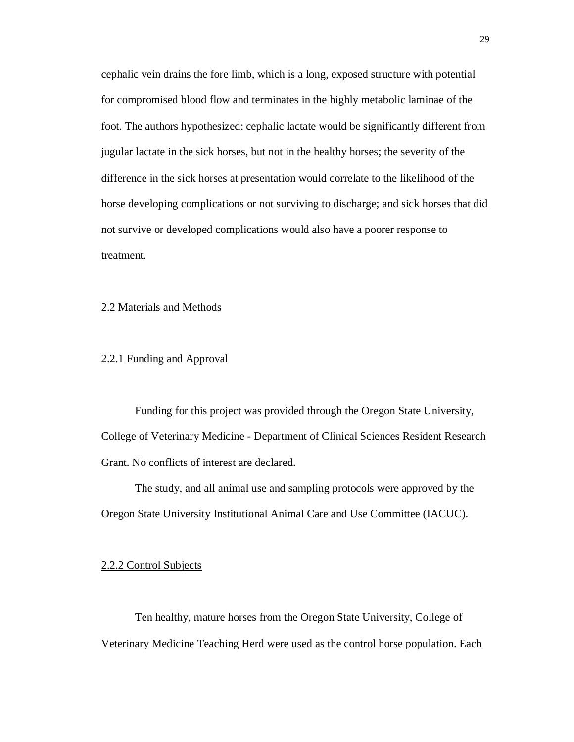cephalic vein drains the fore limb, which is a long, exposed structure with potential for compromised blood flow and terminates in the highly metabolic laminae of the foot. The authors hypothesized: cephalic lactate would be significantly different from jugular lactate in the sick horses, but not in the healthy horses; the severity of the difference in the sick horses at presentation would correlate to the likelihood of the horse developing complications or not surviving to discharge; and sick horses that did not survive or developed complications would also have a poorer response to treatment.

2.2 Materials and Methods

### 2.2.1 Funding and Approval

Funding for this project was provided through the Oregon State University, College of Veterinary Medicine - Department of Clinical Sciences Resident Research Grant. No conflicts of interest are declared.

The study, and all animal use and sampling protocols were approved by the Oregon State University Institutional Animal Care and Use Committee (IACUC).

## 2.2.2 Control Subjects

Ten healthy, mature horses from the Oregon State University, College of Veterinary Medicine Teaching Herd were used as the control horse population. Each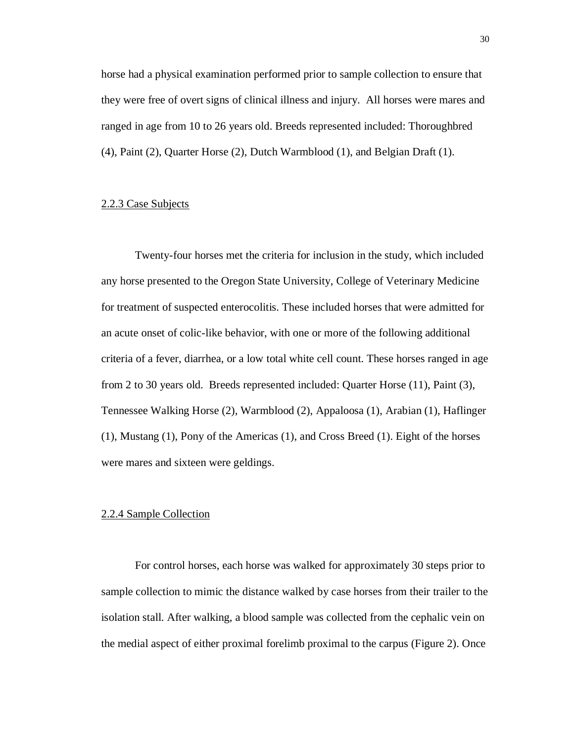horse had a physical examination performed prior to sample collection to ensure that they were free of overt signs of clinical illness and injury. All horses were mares and ranged in age from 10 to 26 years old. Breeds represented included: Thoroughbred (4), Paint (2), Quarter Horse (2), Dutch Warmblood (1), and Belgian Draft (1).

### 2.2.3 Case Subjects

Twenty-four horses met the criteria for inclusion in the study, which included any horse presented to the Oregon State University, College of Veterinary Medicine for treatment of suspected enterocolitis. These included horses that were admitted for an acute onset of colic-like behavior, with one or more of the following additional criteria of a fever, diarrhea, or a low total white cell count. These horses ranged in age from 2 to 30 years old. Breeds represented included: Quarter Horse (11), Paint (3), Tennessee Walking Horse (2), Warmblood (2), Appaloosa (1), Arabian (1), Haflinger (1), Mustang (1), Pony of the Americas (1), and Cross Breed (1). Eight of the horses were mares and sixteen were geldings.

### 2.2.4 Sample Collection

For control horses, each horse was walked for approximately 30 steps prior to sample collection to mimic the distance walked by case horses from their trailer to the isolation stall. After walking, a blood sample was collected from the cephalic vein on the medial aspect of either proximal forelimb proximal to the carpus (Figure 2). Once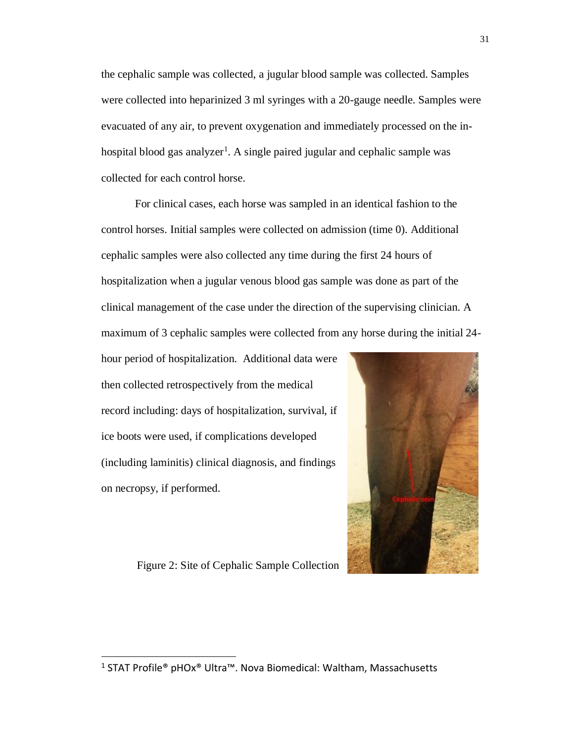the cephalic sample was collected, a jugular blood sample was collected. Samples were collected into heparinized 3 ml syringes with a 20-gauge needle. Samples were evacuated of any air, to prevent oxygenation and immediately processed on the inhospital blood gas analyzer<sup>1</sup>. A single paired jugular and cephalic sample was collected for each control horse.

For clinical cases, each horse was sampled in an identical fashion to the control horses. Initial samples were collected on admission (time 0). Additional cephalic samples were also collected any time during the first 24 hours of hospitalization when a jugular venous blood gas sample was done as part of the clinical management of the case under the direction of the supervising clinician. A maximum of 3 cephalic samples were collected from any horse during the initial 24-

hour period of hospitalization. Additional data were then collected retrospectively from the medical record including: days of hospitalization, survival, if ice boots were used, if complications developed (including laminitis) clinical diagnosis, and findings on necropsy, if performed.



Figure 2: Site of Cephalic Sample Collection

 $\overline{a}$ 

<sup>1</sup> STAT Profile® pHOx® Ultra™. Nova Biomedical: Waltham, Massachusetts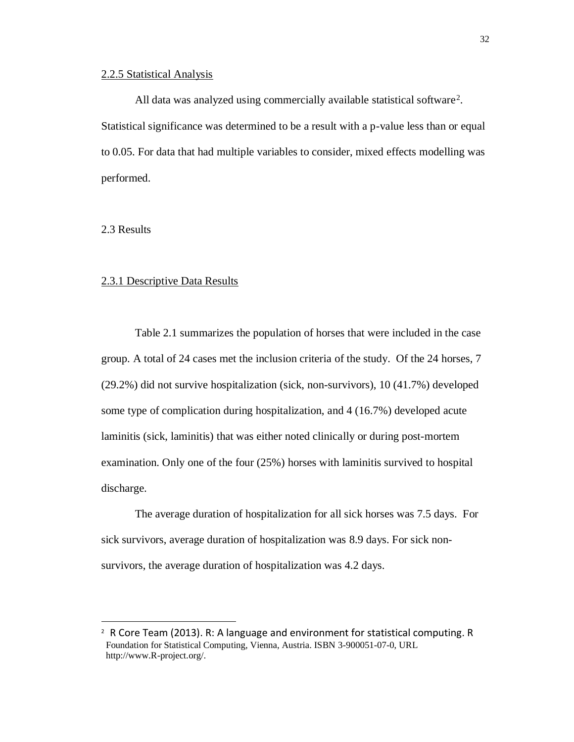### 2.2.5 Statistical Analysis

All data was analyzed using commercially available statistical software<sup>2</sup>. Statistical significance was determined to be a result with a p-value less than or equal to 0.05. For data that had multiple variables to consider, mixed effects modelling was performed.

2.3 Results

 $\overline{a}$ 

### 2.3.1 Descriptive Data Results

Table 2.1 summarizes the population of horses that were included in the case group. A total of 24 cases met the inclusion criteria of the study. Of the 24 horses, 7 (29.2%) did not survive hospitalization (sick, non-survivors), 10 (41.7%) developed some type of complication during hospitalization, and 4 (16.7%) developed acute laminitis (sick, laminitis) that was either noted clinically or during post-mortem examination. Only one of the four (25%) horses with laminitis survived to hospital discharge.

The average duration of hospitalization for all sick horses was 7.5 days. For sick survivors, average duration of hospitalization was 8.9 days. For sick nonsurvivors, the average duration of hospitalization was 4.2 days.

<sup>2</sup> R Core Team (2013). R: A language and environment for statistical computing. R Foundation for Statistical Computing, Vienna, Austria. ISBN 3-900051-07-0, URL http://www.R-project.org/.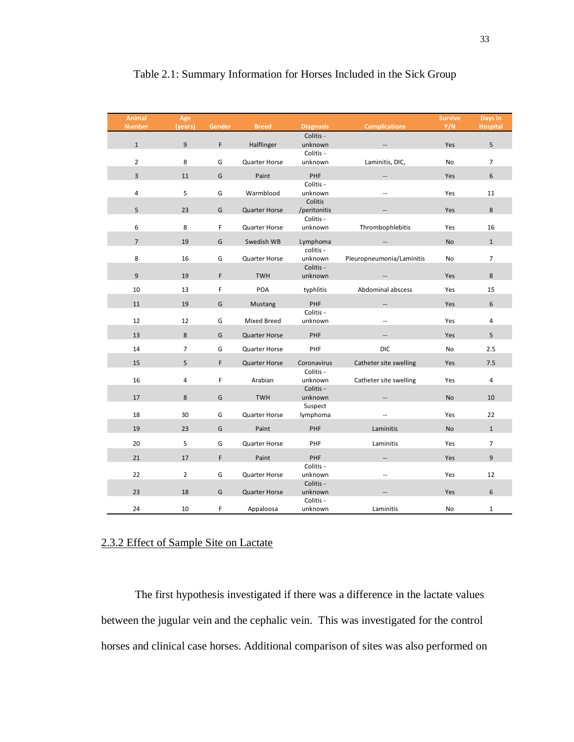| <b>Animal</b><br><b>Number</b> | Age<br>(years) | <b>Gender</b> | <b>Breed</b>         | <b>Diagnosis</b>          | <b>Complications</b>      | <b>Survive</b><br>Y/N | Days in<br><b>Hospital</b> |
|--------------------------------|----------------|---------------|----------------------|---------------------------|---------------------------|-----------------------|----------------------------|
|                                |                |               |                      | Colitis -                 |                           |                       |                            |
| $\mathbf{1}$                   | 9              | F             | Halflinger           | unknown                   |                           | Yes                   | 5                          |
| $\overline{2}$                 | 8              | G             | Quarter Horse        | Colitis -<br>unknown      | Laminitis, DIC,           | No                    | $\overline{7}$             |
|                                |                |               |                      |                           |                           |                       |                            |
| $\overline{3}$                 | 11             | G             | Paint                | PHF                       |                           | Yes                   | 6                          |
| 4                              | 5              | G             | Warmblood            | Colitis -<br>unknown      | ÷.                        | Yes                   | 11                         |
|                                |                |               |                      | Colitis                   |                           |                       |                            |
| 5                              | 23             | G             | <b>Quarter Horse</b> | /peritonitis<br>Colitis - | --                        | Yes                   | 8                          |
| 6                              | 8              | F             | Quarter Horse        | unknown                   | Thrombophlebitis          | Yes                   | 16                         |
| $\overline{7}$                 | 19             | G             | Swedish WB           | Lymphoma                  |                           | <b>No</b>             | $\mathbf{1}$               |
| 8                              | 16             |               |                      | colitis -                 |                           |                       | $\overline{7}$             |
|                                |                | G             | Quarter Horse        | unknown<br>Colitis -      | Pleuropneumonia/Laminitis | <b>No</b>             |                            |
| 9                              | 19             | F             | <b>TWH</b>           | unknown                   |                           | Yes                   | 8                          |
| 10                             | 13             | F             | POA                  | typhlitis                 | Abdominal abscess         | Yes                   | 15                         |
| 11                             | 19             | G             | <b>Mustang</b>       | PHF                       |                           | Yes                   | 6                          |
|                                |                |               |                      | Colitis -                 |                           |                       |                            |
| 12                             | 12             | G             | Mixed Breed          | unknown                   | $\overline{a}$            | Yes                   | 4                          |
| 13                             | 8              | G             | <b>Quarter Horse</b> | PHF                       | $\overline{\phantom{a}}$  | Yes                   | 5                          |
| 14                             | $\overline{7}$ | G             | Quarter Horse        | PHF                       | <b>DIC</b>                | No                    | 2.5                        |
| 15                             | 5              | $\mathsf F$   | <b>Quarter Horse</b> | Coronavirus               | Catheter site swelling    | Yes                   | 7.5                        |
|                                |                |               |                      | Colitis -                 |                           |                       |                            |
| 16                             | 4              | F             | Arabian              | unknown<br>Colitis -      | Catheter site swelling    | Yes                   | 4                          |
| 17                             | 8              | G             | <b>TWH</b>           | unknown                   |                           | <b>No</b>             | 10                         |
| 18                             | 30             | G             | Quarter Horse        | Suspect                   | Ξ.                        | Yes                   | 22                         |
|                                |                |               |                      | lymphoma                  |                           |                       |                            |
| 19                             | 23             | G             | Paint                | PHF                       | Laminitis                 | <b>No</b>             | $\mathbf{1}$               |
| 20                             | 5              | G             | Quarter Horse        | PHF                       | Laminitis                 | Yes                   | $\overline{7}$             |
| 21                             | 17             | F             | Paint                | PHF                       |                           | Yes                   | 9                          |
|                                |                |               |                      | Colitis -                 |                           |                       |                            |
| 22                             | $\overline{2}$ | G             | Quarter Horse        | unknown                   | $\overline{a}$            | Yes                   | 12                         |
| 23                             | 18             | G             | <b>Quarter Horse</b> | Colitis -<br>unknown      |                           | Yes                   | 6                          |
|                                |                |               |                      | Colitis -                 |                           |                       |                            |
| 24                             | 10             | F             | Appaloosa            | unknown                   | Laminitis                 | No                    | $\mathbf{1}$               |

## Table 2.1: Summary Information for Horses Included in the Sick Group

# 2.3.2 Effect of Sample Site on Lactate

The first hypothesis investigated if there was a difference in the lactate values between the jugular vein and the cephalic vein. This was investigated for the control horses and clinical case horses. Additional comparison of sites was also performed on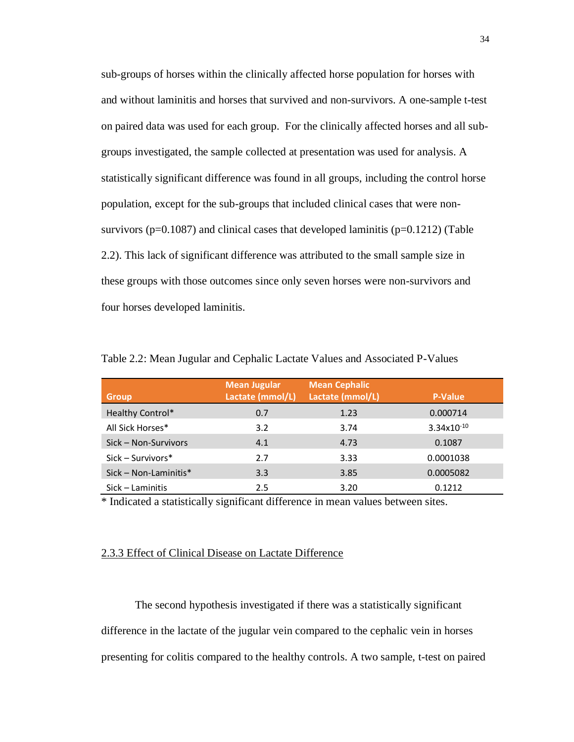sub-groups of horses within the clinically affected horse population for horses with and without laminitis and horses that survived and non-survivors. A one-sample t-test on paired data was used for each group. For the clinically affected horses and all subgroups investigated, the sample collected at presentation was used for analysis. A statistically significant difference was found in all groups, including the control horse population, except for the sub-groups that included clinical cases that were nonsurvivors ( $p=0.1087$ ) and clinical cases that developed laminitis ( $p=0.1212$ ) (Table 2.2). This lack of significant difference was attributed to the small sample size in these groups with those outcomes since only seven horses were non-survivors and four horses developed laminitis.

| <b>Group</b>            | <b>Mean Jugular</b><br>Lactate (mmol/L) | <b>Mean Cephalic</b><br>Lactate (mmol/L) | <b>P-Value</b>  |
|-------------------------|-----------------------------------------|------------------------------------------|-----------------|
| Healthy Control*        | 0.7                                     | 1.23                                     | 0.000714        |
| All Sick Horses*        | 3.2                                     | 3.74                                     | $3.34x10^{-10}$ |
| Sick – Non-Survivors    | 4.1                                     | 4.73                                     | 0.1087          |
| $Sick-Survivors*$       | 2.7                                     | 3.33                                     | 0.0001038       |
| $Sick - Non-Laminitis*$ | 3.3                                     | 3.85                                     | 0.0005082       |
| Sick – Laminitis        | 2.5                                     | 3.20                                     | 0.1212          |

Table 2.2: Mean Jugular and Cephalic Lactate Values and Associated P-Values

\* Indicated a statistically significant difference in mean values between sites.

### 2.3.3 Effect of Clinical Disease on Lactate Difference

The second hypothesis investigated if there was a statistically significant difference in the lactate of the jugular vein compared to the cephalic vein in horses presenting for colitis compared to the healthy controls. A two sample, t-test on paired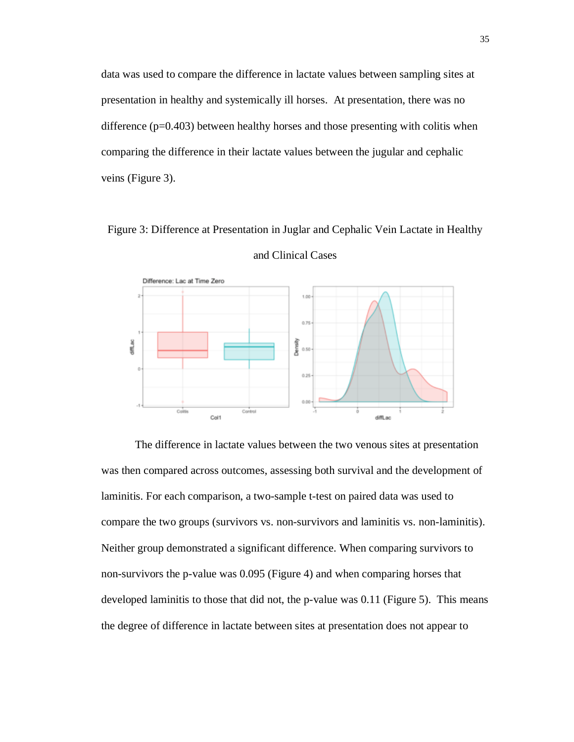data was used to compare the difference in lactate values between sampling sites at presentation in healthy and systemically ill horses. At presentation, there was no difference  $(p=0.403)$  between healthy horses and those presenting with colitis when comparing the difference in their lactate values between the jugular and cephalic veins (Figure 3).

Figure 3: Difference at Presentation in Juglar and Cephalic Vein Lactate in Healthy



and Clinical Cases

The difference in lactate values between the two venous sites at presentation was then compared across outcomes, assessing both survival and the development of laminitis. For each comparison, a two-sample t-test on paired data was used to compare the two groups (survivors vs. non-survivors and laminitis vs. non-laminitis). Neither group demonstrated a significant difference. When comparing survivors to non-survivors the p-value was 0.095 (Figure 4) and when comparing horses that developed laminitis to those that did not, the p-value was 0.11 (Figure 5). This means the degree of difference in lactate between sites at presentation does not appear to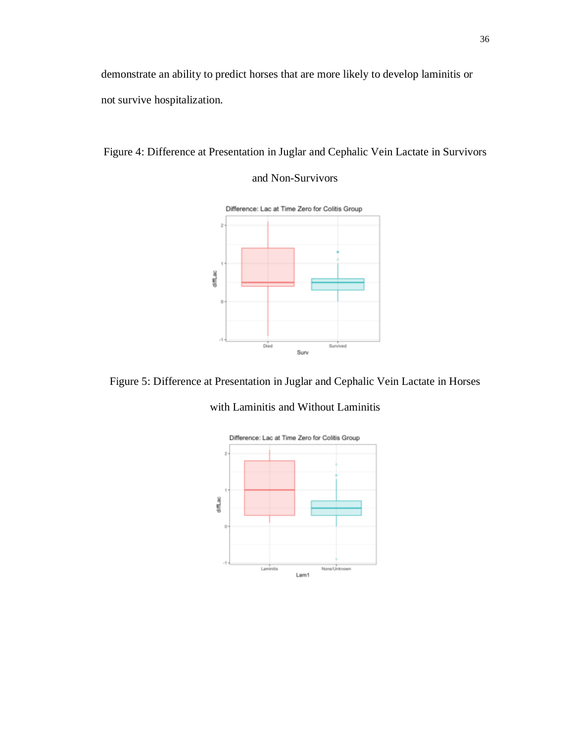demonstrate an ability to predict horses that are more likely to develop laminitis or not survive hospitalization.



## and Non-Survivors



Figure 5: Difference at Presentation in Juglar and Cephalic Vein Lactate in Horses

with Laminitis and Without Laminitis

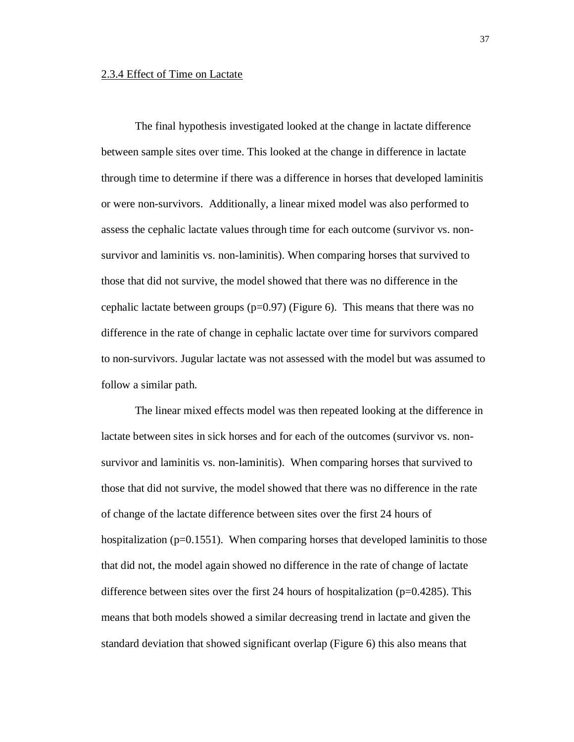### 2.3.4 Effect of Time on Lactate

The final hypothesis investigated looked at the change in lactate difference between sample sites over time. This looked at the change in difference in lactate through time to determine if there was a difference in horses that developed laminitis or were non-survivors. Additionally, a linear mixed model was also performed to assess the cephalic lactate values through time for each outcome (survivor vs. nonsurvivor and laminitis vs. non-laminitis). When comparing horses that survived to those that did not survive, the model showed that there was no difference in the cephalic lactate between groups  $(p=0.97)$  (Figure 6). This means that there was no difference in the rate of change in cephalic lactate over time for survivors compared to non-survivors. Jugular lactate was not assessed with the model but was assumed to follow a similar path.

The linear mixed effects model was then repeated looking at the difference in lactate between sites in sick horses and for each of the outcomes (survivor vs. nonsurvivor and laminitis vs. non-laminitis). When comparing horses that survived to those that did not survive, the model showed that there was no difference in the rate of change of the lactate difference between sites over the first 24 hours of hospitalization ( $p=0.1551$ ). When comparing horses that developed laminitis to those that did not, the model again showed no difference in the rate of change of lactate difference between sites over the first 24 hours of hospitalization (p=0.4285). This means that both models showed a similar decreasing trend in lactate and given the standard deviation that showed significant overlap (Figure 6) this also means that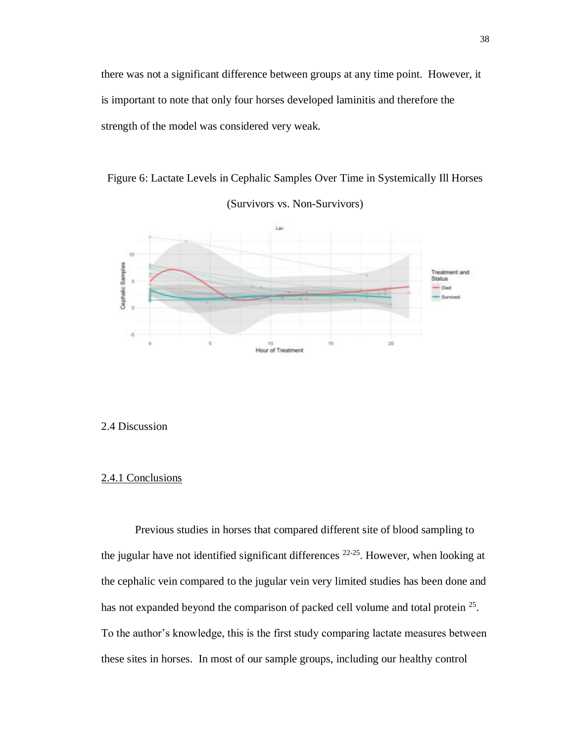there was not a significant difference between groups at any time point. However, it is important to note that only four horses developed laminitis and therefore the strength of the model was considered very weak.

Figure 6: Lactate Levels in Cephalic Samples Over Time in Systemically Ill Horses



(Survivors vs. Non-Survivors)

#### 2.4 Discussion

### 2.4.1 Conclusions

Previous studies in horses that compared different site of blood sampling to the jugular have not identified significant differences  $22-25$ . However, when looking at the cephalic vein compared to the jugular vein very limited studies has been done and has not expanded beyond the comparison of packed cell volume and total protein <sup>25</sup>. To the author's knowledge, this is the first study comparing lactate measures between these sites in horses. In most of our sample groups, including our healthy control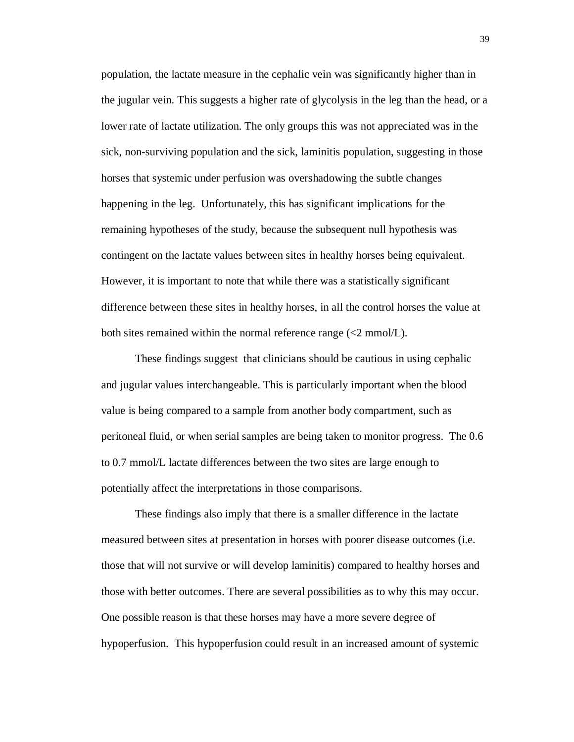population, the lactate measure in the cephalic vein was significantly higher than in the jugular vein. This suggests a higher rate of glycolysis in the leg than the head, or a lower rate of lactate utilization. The only groups this was not appreciated was in the sick, non-surviving population and the sick, laminitis population, suggesting in those horses that systemic under perfusion was overshadowing the subtle changes happening in the leg. Unfortunately, this has significant implications for the remaining hypotheses of the study, because the subsequent null hypothesis was contingent on the lactate values between sites in healthy horses being equivalent. However, it is important to note that while there was a statistically significant difference between these sites in healthy horses, in all the control horses the value at both sites remained within the normal reference range  $\ll 2$  mmol/L).

These findings suggest that clinicians should be cautious in using cephalic and jugular values interchangeable. This is particularly important when the blood value is being compared to a sample from another body compartment, such as peritoneal fluid, or when serial samples are being taken to monitor progress. The 0.6 to 0.7 mmol/L lactate differences between the two sites are large enough to potentially affect the interpretations in those comparisons.

These findings also imply that there is a smaller difference in the lactate measured between sites at presentation in horses with poorer disease outcomes (i.e. those that will not survive or will develop laminitis) compared to healthy horses and those with better outcomes. There are several possibilities as to why this may occur. One possible reason is that these horses may have a more severe degree of hypoperfusion. This hypoperfusion could result in an increased amount of systemic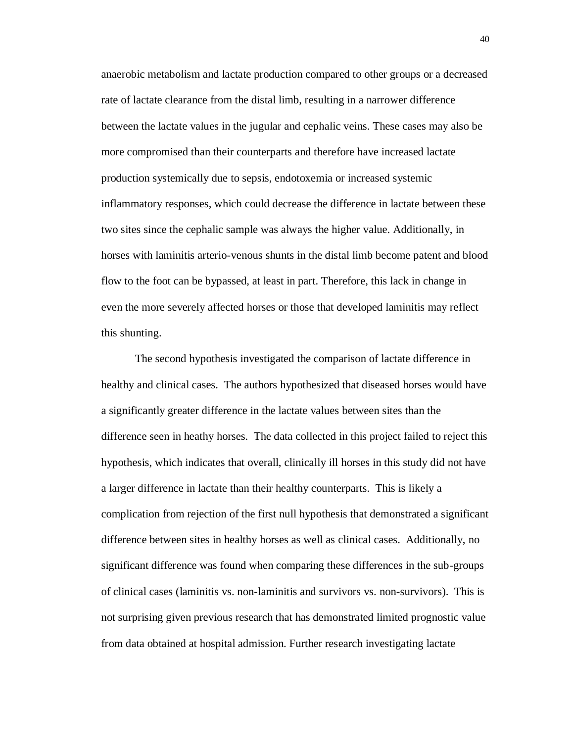anaerobic metabolism and lactate production compared to other groups or a decreased rate of lactate clearance from the distal limb, resulting in a narrower difference between the lactate values in the jugular and cephalic veins. These cases may also be more compromised than their counterparts and therefore have increased lactate production systemically due to sepsis, endotoxemia or increased systemic inflammatory responses, which could decrease the difference in lactate between these two sites since the cephalic sample was always the higher value. Additionally, in horses with laminitis arterio-venous shunts in the distal limb become patent and blood flow to the foot can be bypassed, at least in part. Therefore, this lack in change in even the more severely affected horses or those that developed laminitis may reflect this shunting.

The second hypothesis investigated the comparison of lactate difference in healthy and clinical cases. The authors hypothesized that diseased horses would have a significantly greater difference in the lactate values between sites than the difference seen in heathy horses. The data collected in this project failed to reject this hypothesis, which indicates that overall, clinically ill horses in this study did not have a larger difference in lactate than their healthy counterparts. This is likely a complication from rejection of the first null hypothesis that demonstrated a significant difference between sites in healthy horses as well as clinical cases. Additionally, no significant difference was found when comparing these differences in the sub-groups of clinical cases (laminitis vs. non-laminitis and survivors vs. non-survivors). This is not surprising given previous research that has demonstrated limited prognostic value from data obtained at hospital admission. Further research investigating lactate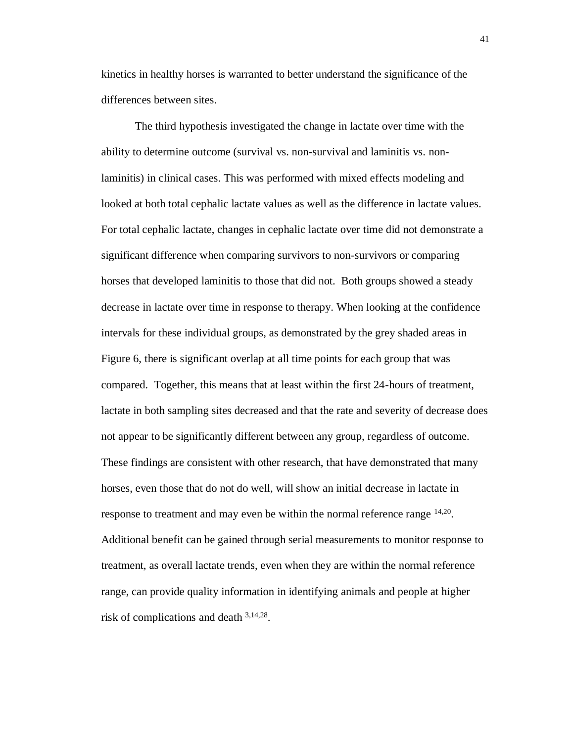kinetics in healthy horses is warranted to better understand the significance of the differences between sites.

The third hypothesis investigated the change in lactate over time with the ability to determine outcome (survival vs. non-survival and laminitis vs. nonlaminitis) in clinical cases. This was performed with mixed effects modeling and looked at both total cephalic lactate values as well as the difference in lactate values. For total cephalic lactate, changes in cephalic lactate over time did not demonstrate a significant difference when comparing survivors to non-survivors or comparing horses that developed laminitis to those that did not. Both groups showed a steady decrease in lactate over time in response to therapy. When looking at the confidence intervals for these individual groups, as demonstrated by the grey shaded areas in Figure 6, there is significant overlap at all time points for each group that was compared. Together, this means that at least within the first 24-hours of treatment, lactate in both sampling sites decreased and that the rate and severity of decrease does not appear to be significantly different between any group, regardless of outcome. These findings are consistent with other research, that have demonstrated that many horses, even those that do not do well, will show an initial decrease in lactate in response to treatment and may even be within the normal reference range <sup>14,20</sup>. Additional benefit can be gained through serial measurements to monitor response to treatment, as overall lactate trends, even when they are within the normal reference range, can provide quality information in identifying animals and people at higher risk of complications and death 3,14,28.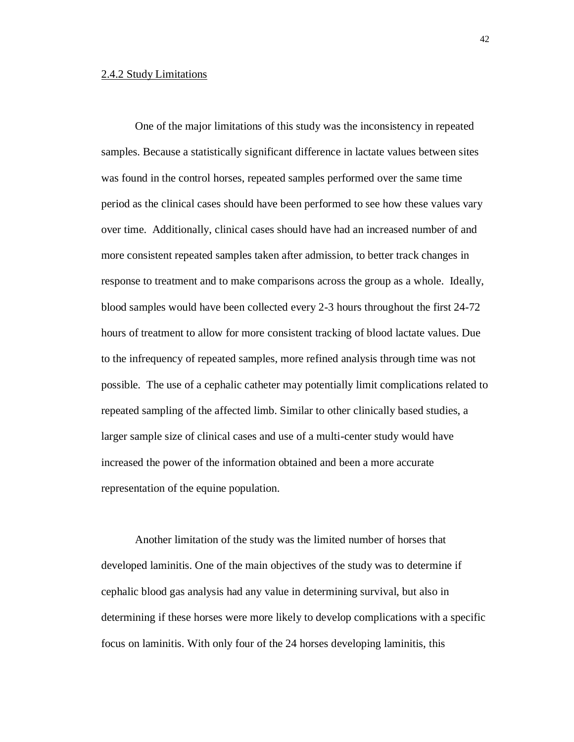#### 2.4.2 Study Limitations

One of the major limitations of this study was the inconsistency in repeated samples. Because a statistically significant difference in lactate values between sites was found in the control horses, repeated samples performed over the same time period as the clinical cases should have been performed to see how these values vary over time. Additionally, clinical cases should have had an increased number of and more consistent repeated samples taken after admission, to better track changes in response to treatment and to make comparisons across the group as a whole. Ideally, blood samples would have been collected every 2-3 hours throughout the first 24-72 hours of treatment to allow for more consistent tracking of blood lactate values. Due to the infrequency of repeated samples, more refined analysis through time was not possible. The use of a cephalic catheter may potentially limit complications related to repeated sampling of the affected limb. Similar to other clinically based studies, a larger sample size of clinical cases and use of a multi-center study would have increased the power of the information obtained and been a more accurate representation of the equine population.

Another limitation of the study was the limited number of horses that developed laminitis. One of the main objectives of the study was to determine if cephalic blood gas analysis had any value in determining survival, but also in determining if these horses were more likely to develop complications with a specific focus on laminitis. With only four of the 24 horses developing laminitis, this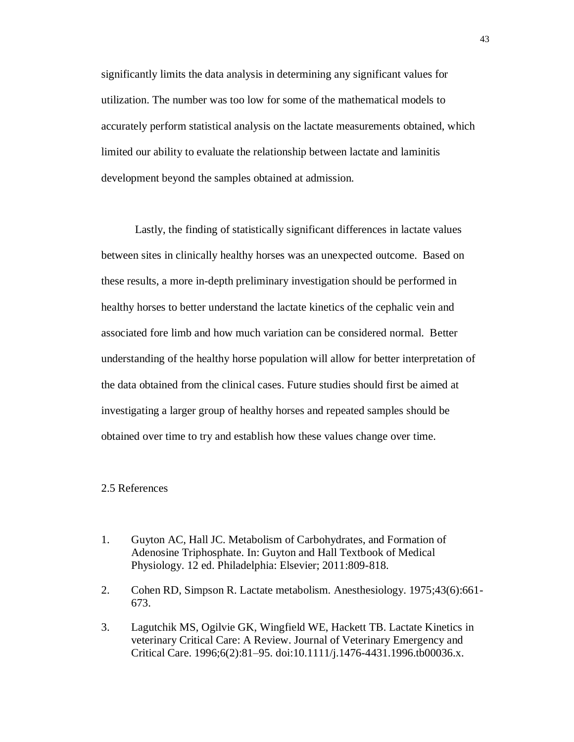significantly limits the data analysis in determining any significant values for utilization. The number was too low for some of the mathematical models to accurately perform statistical analysis on the lactate measurements obtained, which limited our ability to evaluate the relationship between lactate and laminitis development beyond the samples obtained at admission.

Lastly, the finding of statistically significant differences in lactate values between sites in clinically healthy horses was an unexpected outcome. Based on these results, a more in-depth preliminary investigation should be performed in healthy horses to better understand the lactate kinetics of the cephalic vein and associated fore limb and how much variation can be considered normal. Better understanding of the healthy horse population will allow for better interpretation of the data obtained from the clinical cases. Future studies should first be aimed at investigating a larger group of healthy horses and repeated samples should be obtained over time to try and establish how these values change over time.

## 2.5 References

- 1. Guyton AC, Hall JC. Metabolism of Carbohydrates, and Formation of Adenosine Triphosphate. In: Guyton and Hall Textbook of Medical Physiology. 12 ed. Philadelphia: Elsevier; 2011:809-818.
- 2. Cohen RD, Simpson R. Lactate metabolism. Anesthesiology. 1975;43(6):661- 673.
- 3. Lagutchik MS, Ogilvie GK, Wingfield WE, Hackett TB. Lactate Kinetics in veterinary Critical Care: A Review. Journal of Veterinary Emergency and Critical Care. 1996;6(2):81–95. doi:10.1111/j.1476-4431.1996.tb00036.x.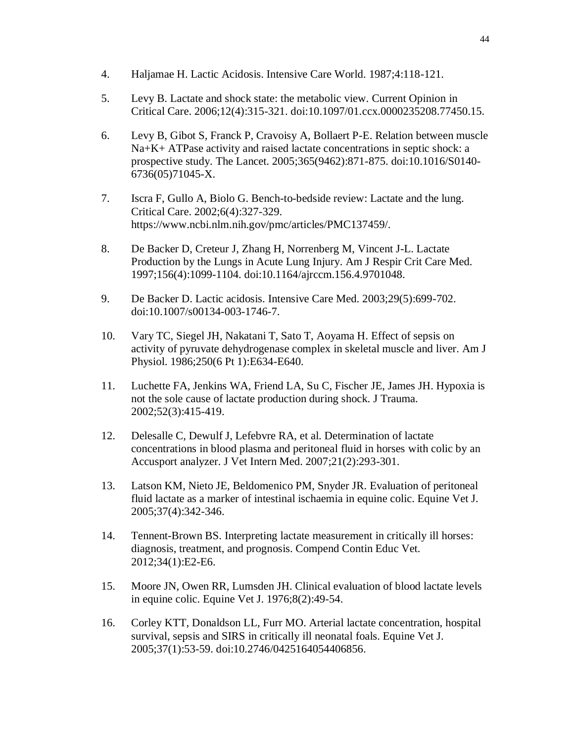- 4. Haljamae H. Lactic Acidosis. Intensive Care World. 1987;4:118-121.
- 5. Levy B. Lactate and shock state: the metabolic view. Current Opinion in Critical Care. 2006;12(4):315-321. doi:10.1097/01.ccx.0000235208.77450.15.
- 6. Levy B, Gibot S, Franck P, Cravoisy A, Bollaert P-E. Relation between muscle Na+K+ ATPase activity and raised lactate concentrations in septic shock: a prospective study. The Lancet. 2005;365(9462):871-875. doi:10.1016/S0140- 6736(05)71045-X.
- 7. Iscra F, Gullo A, Biolo G. Bench-to-bedside review: Lactate and the lung. Critical Care. 2002;6(4):327-329. https://www.ncbi.nlm.nih.gov/pmc/articles/PMC137459/.
- 8. De Backer D, Creteur J, Zhang H, Norrenberg M, Vincent J-L. Lactate Production by the Lungs in Acute Lung Injury. Am J Respir Crit Care Med. 1997;156(4):1099-1104. doi:10.1164/ajrccm.156.4.9701048.
- 9. De Backer D. Lactic acidosis. Intensive Care Med. 2003;29(5):699-702. doi:10.1007/s00134-003-1746-7.
- 10. Vary TC, Siegel JH, Nakatani T, Sato T, Aoyama H. Effect of sepsis on activity of pyruvate dehydrogenase complex in skeletal muscle and liver. Am J Physiol. 1986;250(6 Pt 1):E634-E640.
- 11. Luchette FA, Jenkins WA, Friend LA, Su C, Fischer JE, James JH. Hypoxia is not the sole cause of lactate production during shock. J Trauma. 2002;52(3):415-419.
- 12. Delesalle C, Dewulf J, Lefebvre RA, et al. Determination of lactate concentrations in blood plasma and peritoneal fluid in horses with colic by an Accusport analyzer. J Vet Intern Med. 2007;21(2):293-301.
- 13. Latson KM, Nieto JE, Beldomenico PM, Snyder JR. Evaluation of peritoneal fluid lactate as a marker of intestinal ischaemia in equine colic. Equine Vet J. 2005;37(4):342-346.
- 14. Tennent-Brown BS. Interpreting lactate measurement in critically ill horses: diagnosis, treatment, and prognosis. Compend Contin Educ Vet. 2012;34(1):E2-E6.
- 15. Moore JN, Owen RR, Lumsden JH. Clinical evaluation of blood lactate levels in equine colic. Equine Vet J. 1976;8(2):49-54.
- 16. Corley KTT, Donaldson LL, Furr MO. Arterial lactate concentration, hospital survival, sepsis and SIRS in critically ill neonatal foals. Equine Vet J. 2005;37(1):53-59. doi:10.2746/0425164054406856.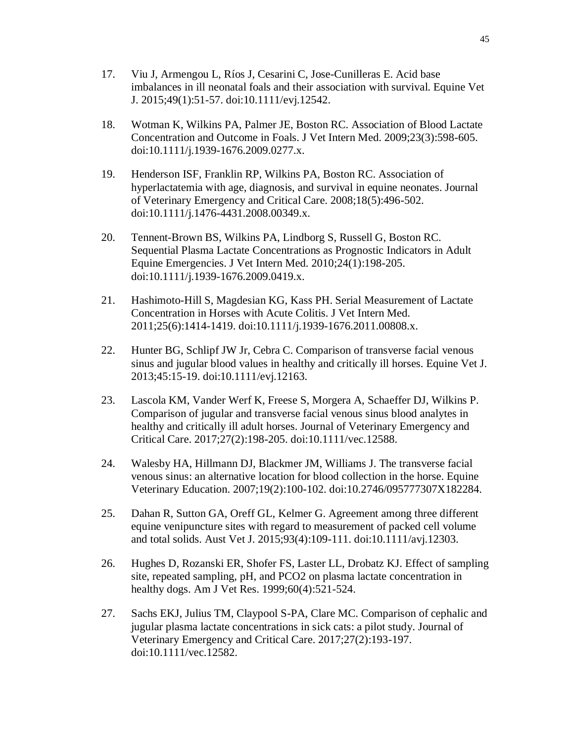- 17. Viu J, Armengou L, Ríos J, Cesarini C, Jose-Cunilleras E. Acid base imbalances in ill neonatal foals and their association with survival. Equine Vet J. 2015;49(1):51-57. doi:10.1111/evj.12542.
- 18. Wotman K, Wilkins PA, Palmer JE, Boston RC. Association of Blood Lactate Concentration and Outcome in Foals. J Vet Intern Med. 2009;23(3):598-605. doi:10.1111/j.1939-1676.2009.0277.x.
- 19. Henderson ISF, Franklin RP, Wilkins PA, Boston RC. Association of hyperlactatemia with age, diagnosis, and survival in equine neonates. Journal of Veterinary Emergency and Critical Care. 2008;18(5):496-502. doi:10.1111/j.1476-4431.2008.00349.x.
- 20. Tennent-Brown BS, Wilkins PA, Lindborg S, Russell G, Boston RC. Sequential Plasma Lactate Concentrations as Prognostic Indicators in Adult Equine Emergencies. J Vet Intern Med. 2010;24(1):198-205. doi:10.1111/j.1939-1676.2009.0419.x.
- 21. Hashimoto-Hill S, Magdesian KG, Kass PH. Serial Measurement of Lactate Concentration in Horses with Acute Colitis. J Vet Intern Med. 2011;25(6):1414-1419. doi:10.1111/j.1939-1676.2011.00808.x.
- 22. Hunter BG, Schlipf JW Jr, Cebra C. Comparison of transverse facial venous sinus and jugular blood values in healthy and critically ill horses. Equine Vet J. 2013;45:15-19. doi:10.1111/evj.12163.
- 23. Lascola KM, Vander Werf K, Freese S, Morgera A, Schaeffer DJ, Wilkins P. Comparison of jugular and transverse facial venous sinus blood analytes in healthy and critically ill adult horses. Journal of Veterinary Emergency and Critical Care. 2017;27(2):198-205. doi:10.1111/vec.12588.
- 24. Walesby HA, Hillmann DJ, Blackmer JM, Williams J. The transverse facial venous sinus: an alternative location for blood collection in the horse. Equine Veterinary Education. 2007;19(2):100-102. doi:10.2746/095777307X182284.
- 25. Dahan R, Sutton GA, Oreff GL, Kelmer G. Agreement among three different equine venipuncture sites with regard to measurement of packed cell volume and total solids. Aust Vet J. 2015;93(4):109-111. doi:10.1111/avj.12303.
- 26. Hughes D, Rozanski ER, Shofer FS, Laster LL, Drobatz KJ. Effect of sampling site, repeated sampling, pH, and PCO2 on plasma lactate concentration in healthy dogs. Am J Vet Res. 1999;60(4):521-524.
- 27. Sachs EKJ, Julius TM, Claypool S-PA, Clare MC. Comparison of cephalic and jugular plasma lactate concentrations in sick cats: a pilot study. Journal of Veterinary Emergency and Critical Care. 2017;27(2):193-197. doi:10.1111/vec.12582.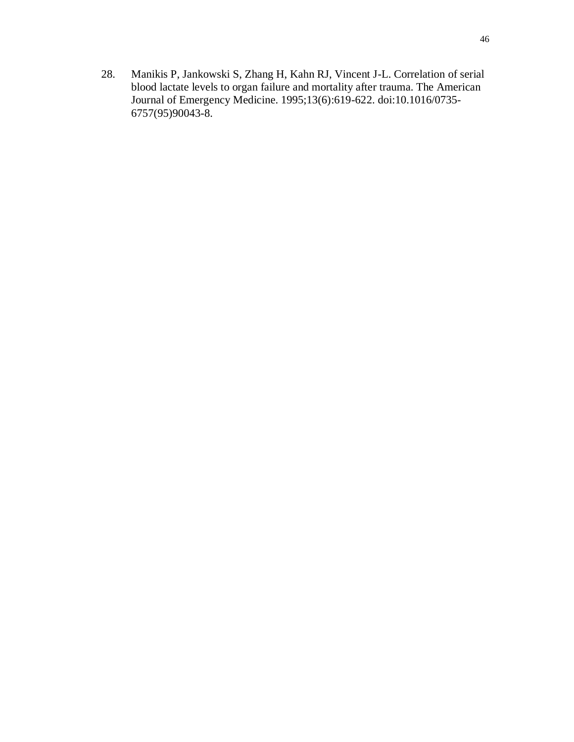28. Manikis P, Jankowski S, Zhang H, Kahn RJ, Vincent J-L. Correlation of serial blood lactate levels to organ failure and mortality after trauma. The American Journal of Emergency Medicine. 1995;13(6):619-622. doi:10.1016/0735- 6757(95)90043-8.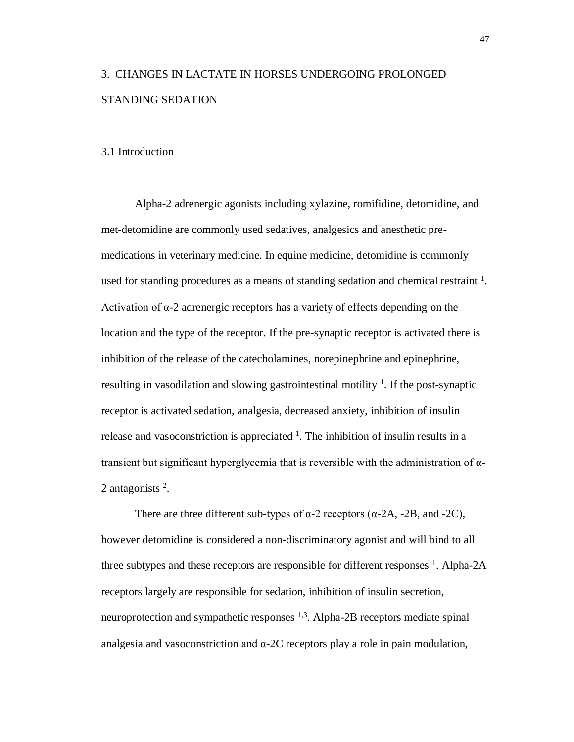# 3. CHANGES IN LACTATE IN HORSES UNDERGOING PROLONGED STANDING SEDATION

## 3.1 Introduction

Alpha-2 adrenergic agonists including xylazine, romifidine, detomidine, and met-detomidine are commonly used sedatives, analgesics and anesthetic premedications in veterinary medicine. In equine medicine, detomidine is commonly used for standing procedures as a means of standing sedation and chemical restraint  $<sup>1</sup>$ .</sup> Activation of  $\alpha$ -2 adrenergic receptors has a variety of effects depending on the location and the type of the receptor. If the pre-synaptic receptor is activated there is inhibition of the release of the catecholamines, norepinephrine and epinephrine, resulting in vasodilation and slowing gastrointestinal motility  $\frac{1}{1}$ . If the post-synaptic receptor is activated sedation, analgesia, decreased anxiety, inhibition of insulin release and vasoconstriction is appreciated  $\frac{1}{1}$ . The inhibition of insulin results in a transient but significant hyperglycemia that is reversible with the administration of α-2 antagonists <sup>2</sup>.

There are three different sub-types of  $\alpha$ -2 receptors ( $\alpha$ -2A, -2B, and -2C), however detomidine is considered a non-discriminatory agonist and will bind to all three subtypes and these receptors are responsible for different responses  $^1$ . Alpha-2A receptors largely are responsible for sedation, inhibition of insulin secretion, neuroprotection and sympathetic responses  $1,3$ . Alpha-2B receptors mediate spinal analgesia and vasoconstriction and  $\alpha$ -2C receptors play a role in pain modulation,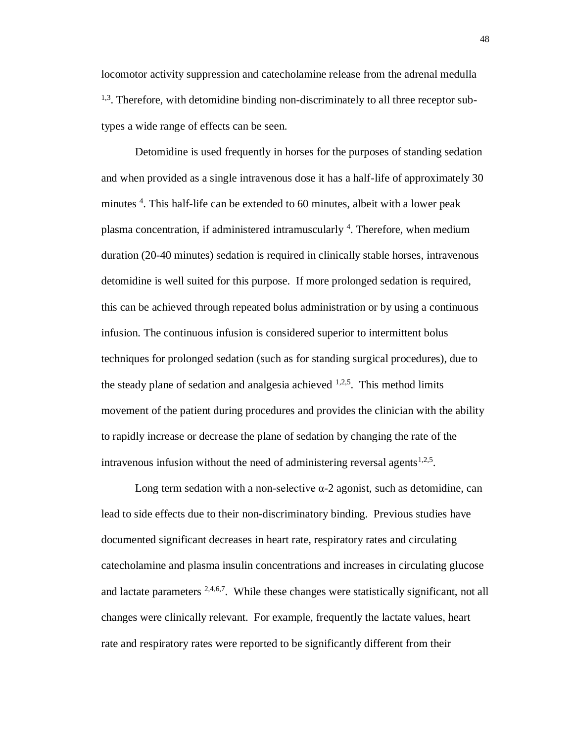locomotor activity suppression and catecholamine release from the adrenal medulla <sup>1,3</sup>. Therefore, with detomidine binding non-discriminately to all three receptor subtypes a wide range of effects can be seen.

Detomidine is used frequently in horses for the purposes of standing sedation and when provided as a single intravenous dose it has a half-life of approximately 30 minutes <sup>4</sup>. This half-life can be extended to 60 minutes, albeit with a lower peak plasma concentration, if administered intramuscularly <sup>4</sup>. Therefore, when medium duration (20-40 minutes) sedation is required in clinically stable horses, intravenous detomidine is well suited for this purpose. If more prolonged sedation is required, this can be achieved through repeated bolus administration or by using a continuous infusion. The continuous infusion is considered superior to intermittent bolus techniques for prolonged sedation (such as for standing surgical procedures), due to the steady plane of sedation and analgesia achieved  $1,2,5$ . This method limits movement of the patient during procedures and provides the clinician with the ability to rapidly increase or decrease the plane of sedation by changing the rate of the intravenous infusion without the need of administering reversal agents $1,2,5$ .

Long term sedation with a non-selective  $α-2$  agonist, such as detomidine, can lead to side effects due to their non-discriminatory binding. Previous studies have documented significant decreases in heart rate, respiratory rates and circulating catecholamine and plasma insulin concentrations and increases in circulating glucose and lactate parameters  $2,4,6,7$ . While these changes were statistically significant, not all changes were clinically relevant. For example, frequently the lactate values, heart rate and respiratory rates were reported to be significantly different from their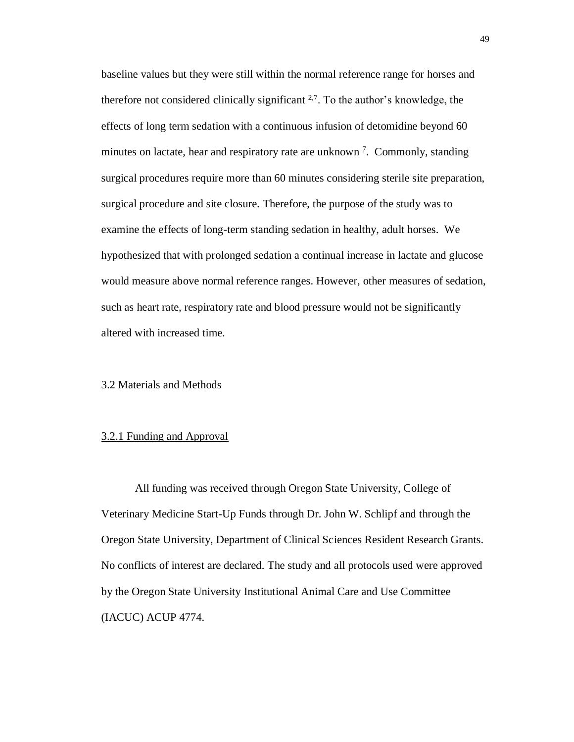baseline values but they were still within the normal reference range for horses and therefore not considered clinically significant  $2.7$ . To the author's knowledge, the effects of long term sedation with a continuous infusion of detomidine beyond 60 minutes on lactate, hear and respiratory rate are unknown<sup>7</sup>. Commonly, standing surgical procedures require more than 60 minutes considering sterile site preparation, surgical procedure and site closure. Therefore, the purpose of the study was to examine the effects of long-term standing sedation in healthy, adult horses. We hypothesized that with prolonged sedation a continual increase in lactate and glucose would measure above normal reference ranges. However, other measures of sedation, such as heart rate, respiratory rate and blood pressure would not be significantly altered with increased time.

### 3.2 Materials and Methods

### 3.2.1 Funding and Approval

All funding was received through Oregon State University, College of Veterinary Medicine Start-Up Funds through Dr. John W. Schlipf and through the Oregon State University, Department of Clinical Sciences Resident Research Grants. No conflicts of interest are declared. The study and all protocols used were approved by the Oregon State University Institutional Animal Care and Use Committee (IACUC) ACUP 4774.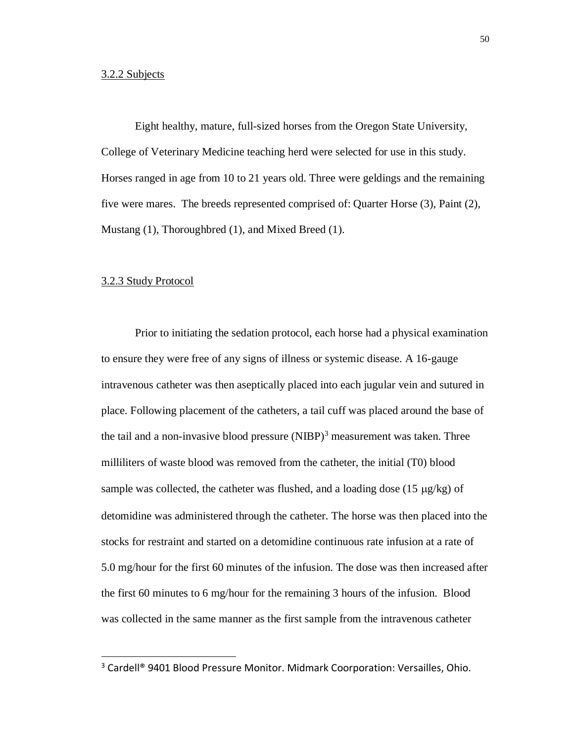Eight healthy, mature, full-sized horses from the Oregon State University, College of Veterinary Medicine teaching herd were selected for use in this study. Horses ranged in age from 10 to 21 years old. Three were geldings and the remaining five were mares. The breeds represented comprised of: Quarter Horse (3), Paint (2), Mustang (1), Thoroughbred (1), and Mixed Breed (1).

#### 3.2.3 Study Protocol

 $\overline{a}$ 

Prior to initiating the sedation protocol, each horse had a physical examination to ensure they were free of any signs of illness or systemic disease. A 16-gauge intravenous catheter was then aseptically placed into each jugular vein and sutured in place. Following placement of the catheters, a tail cuff was placed around the base of the tail and a non-invasive blood pressure  $(NIBP)^3$  measurement was taken. Three milliliters of waste blood was removed from the catheter, the initial (T0) blood sample was collected, the catheter was flushed, and a loading dose  $(15 \mu g/kg)$  of detomidine was administered through the catheter. The horse was then placed into the stocks for restraint and started on a detomidine continuous rate infusion at a rate of 5.0 mg/hour for the first 60 minutes of the infusion. The dose was then increased after the first 60 minutes to 6 mg/hour for the remaining 3 hours of the infusion. Blood was collected in the same manner as the first sample from the intravenous catheter

<sup>&</sup>lt;sup>3</sup> Cardell<sup>®</sup> 9401 Blood Pressure Monitor. Midmark Coorporation: Versailles, Ohio.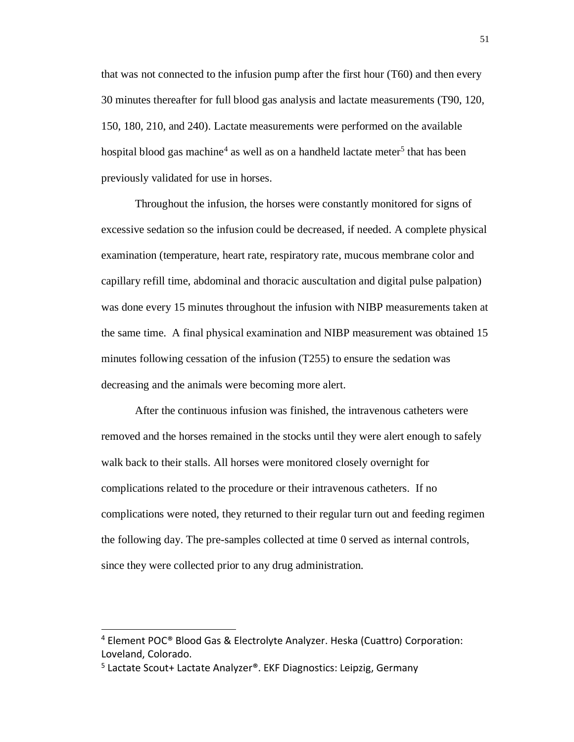that was not connected to the infusion pump after the first hour (T60) and then every 30 minutes thereafter for full blood gas analysis and lactate measurements (T90, 120, 150, 180, 210, and 240). Lactate measurements were performed on the available hospital blood gas machine<sup>4</sup> as well as on a handheld lactate meter<sup>5</sup> that has been previously validated for use in horses.

Throughout the infusion, the horses were constantly monitored for signs of excessive sedation so the infusion could be decreased, if needed. A complete physical examination (temperature, heart rate, respiratory rate, mucous membrane color and capillary refill time, abdominal and thoracic auscultation and digital pulse palpation) was done every 15 minutes throughout the infusion with NIBP measurements taken at the same time. A final physical examination and NIBP measurement was obtained 15 minutes following cessation of the infusion (T255) to ensure the sedation was decreasing and the animals were becoming more alert.

After the continuous infusion was finished, the intravenous catheters were removed and the horses remained in the stocks until they were alert enough to safely walk back to their stalls. All horses were monitored closely overnight for complications related to the procedure or their intravenous catheters. If no complications were noted, they returned to their regular turn out and feeding regimen the following day. The pre-samples collected at time 0 served as internal controls, since they were collected prior to any drug administration.

 $\overline{a}$ 

<sup>&</sup>lt;sup>4</sup> Element POC<sup>®</sup> Blood Gas & Electrolyte Analyzer. Heska (Cuattro) Corporation: Loveland, Colorado.

<sup>&</sup>lt;sup>5</sup> Lactate Scout+ Lactate Analyzer®. EKF Diagnostics: Leipzig, Germany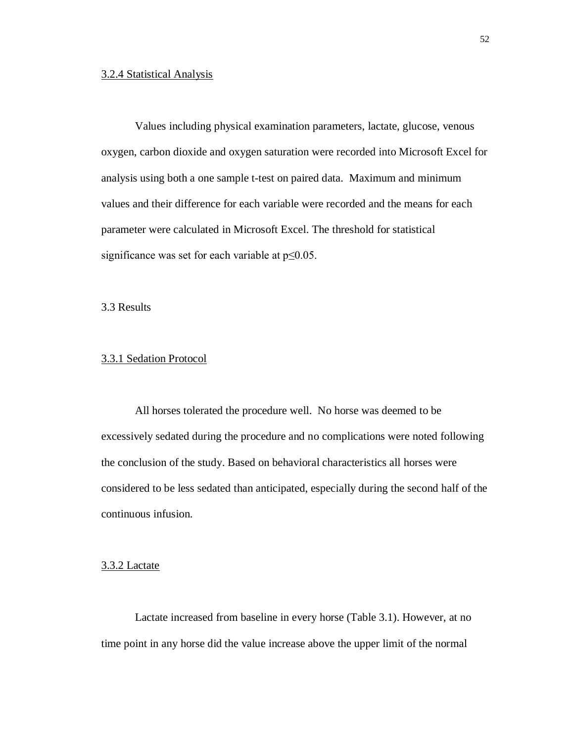### 3.2.4 Statistical Analysis

Values including physical examination parameters, lactate, glucose, venous oxygen, carbon dioxide and oxygen saturation were recorded into Microsoft Excel for analysis using both a one sample t-test on paired data. Maximum and minimum values and their difference for each variable were recorded and the means for each parameter were calculated in Microsoft Excel. The threshold for statistical significance was set for each variable at  $p \le 0.05$ .

3.3 Results

### 3.3.1 Sedation Protocol

All horses tolerated the procedure well. No horse was deemed to be excessively sedated during the procedure and no complications were noted following the conclusion of the study. Based on behavioral characteristics all horses were considered to be less sedated than anticipated, especially during the second half of the continuous infusion.

### 3.3.2 Lactate

Lactate increased from baseline in every horse (Table 3.1). However, at no time point in any horse did the value increase above the upper limit of the normal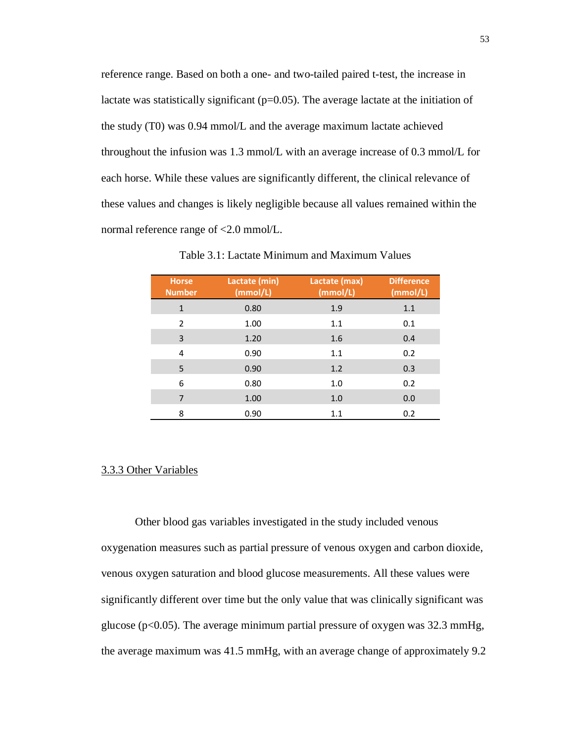reference range. Based on both a one- and two-tailed paired t-test, the increase in lactate was statistically significant  $(p=0.05)$ . The average lactate at the initiation of the study (T0) was 0.94 mmol/L and the average maximum lactate achieved throughout the infusion was 1.3 mmol/L with an average increase of 0.3 mmol/L for each horse. While these values are significantly different, the clinical relevance of these values and changes is likely negligible because all values remained within the normal reference range of <2.0 mmol/L.

| <b>Horse</b><br><b>Number</b> | Lactate (min)<br>(mmol/L) | Lactate (max)<br>(mmol/L) | <b>Difference</b><br>(mmol/L) |
|-------------------------------|---------------------------|---------------------------|-------------------------------|
| $\mathbf{1}$                  | 0.80                      | 1.9                       | 1.1                           |
| $\overline{2}$                | 1.00                      | 1.1                       | 0.1                           |
| 3                             | 1.20                      | 1.6                       | 0.4                           |
| 4                             | 0.90                      | 1.1                       | 0.2                           |
| 5                             | 0.90                      | 1.2                       | 0.3                           |
| 6                             | 0.80                      | 1.0                       | 0.2                           |
| $\overline{7}$                | 1.00                      | 1.0                       | 0.0                           |
| 8                             | 0.90                      | 1.1                       | 0.2                           |

Table 3.1: Lactate Minimum and Maximum Values

### 3.3.3 Other Variables

Other blood gas variables investigated in the study included venous oxygenation measures such as partial pressure of venous oxygen and carbon dioxide, venous oxygen saturation and blood glucose measurements. All these values were significantly different over time but the only value that was clinically significant was glucose (p<0.05). The average minimum partial pressure of oxygen was 32.3 mmHg, the average maximum was 41.5 mmHg, with an average change of approximately 9.2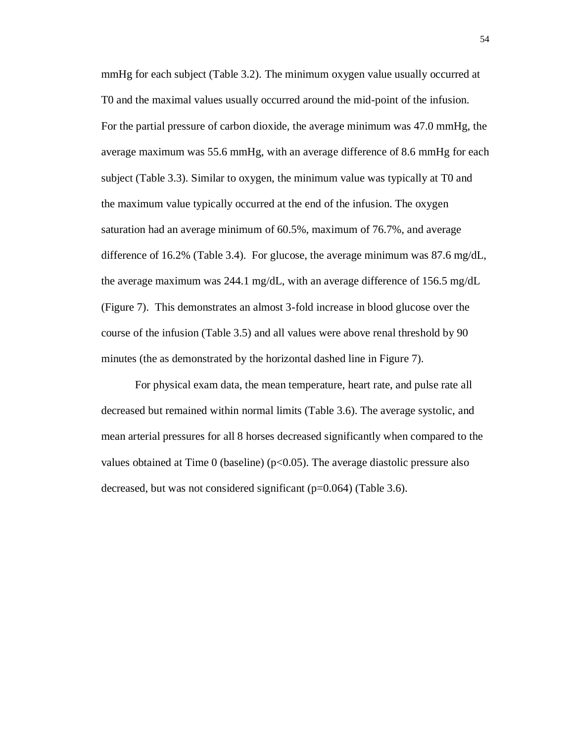mmHg for each subject (Table 3.2). The minimum oxygen value usually occurred at T0 and the maximal values usually occurred around the mid-point of the infusion. For the partial pressure of carbon dioxide, the average minimum was 47.0 mmHg, the average maximum was 55.6 mmHg, with an average difference of 8.6 mmHg for each subject (Table 3.3). Similar to oxygen, the minimum value was typically at T0 and the maximum value typically occurred at the end of the infusion. The oxygen saturation had an average minimum of 60.5%, maximum of 76.7%, and average difference of 16.2% (Table 3.4). For glucose, the average minimum was  $87.6 \text{ mg/dL}$ , the average maximum was 244.1 mg/dL, with an average difference of 156.5 mg/dL (Figure 7). This demonstrates an almost 3-fold increase in blood glucose over the course of the infusion (Table 3.5) and all values were above renal threshold by 90 minutes (the as demonstrated by the horizontal dashed line in Figure 7).

For physical exam data, the mean temperature, heart rate, and pulse rate all decreased but remained within normal limits (Table 3.6). The average systolic, and mean arterial pressures for all 8 horses decreased significantly when compared to the values obtained at Time 0 (baseline)  $(p<0.05)$ . The average diastolic pressure also decreased, but was not considered significant (p=0.064) (Table 3.6).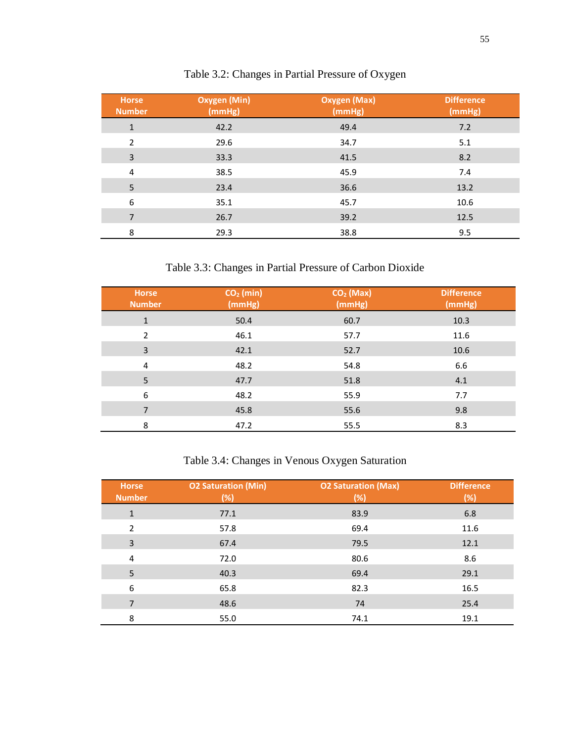| <b>Horse</b><br><b>Number</b> | <b>Oxygen (Min)</b><br>(mmHg) | <b>Oxygen (Max)</b><br>(mmHg) | <b>Difference</b><br>(mmHg) |
|-------------------------------|-------------------------------|-------------------------------|-----------------------------|
| $\mathbf{1}$                  | 42.2                          | 49.4                          | 7.2                         |
| 2                             | 29.6                          | 34.7                          | 5.1                         |
| 3                             | 33.3                          | 41.5                          | 8.2                         |
| 4                             | 38.5                          | 45.9                          | 7.4                         |
| 5                             | 23.4                          | 36.6                          | 13.2                        |
| 6                             | 35.1                          | 45.7                          | 10.6                        |
| 7                             | 26.7                          | 39.2                          | 12.5                        |
| 8                             | 29.3                          | 38.8                          | 9.5                         |

# Table 3.2: Changes in Partial Pressure of Oxygen

# Table 3.3: Changes in Partial Pressure of Carbon Dioxide

| Horse<br><b>Number</b> | $CO2$ (min)<br>(mmHg) | $CO2$ (Max)<br>(mmHg) | <b>Difference</b><br>(mmHg) |
|------------------------|-----------------------|-----------------------|-----------------------------|
| $\mathbf{1}$           | 50.4                  | 60.7                  | 10.3                        |
| $\overline{2}$         | 46.1                  | 57.7                  | 11.6                        |
| 3                      | 42.1                  | 52.7                  | 10.6                        |
| 4                      | 48.2                  | 54.8                  | 6.6                         |
| 5                      | 47.7                  | 51.8                  | 4.1                         |
| 6                      | 48.2                  | 55.9                  | 7.7                         |
| $\overline{7}$         | 45.8                  | 55.6                  | 9.8                         |
| 8                      | 47.2                  | 55.5                  | 8.3                         |

# Table 3.4: Changes in Venous Oxygen Saturation

| <b>Horse</b><br><b>Number</b> | <b>O2 Saturation (Min)</b><br>(%) | <b>O2 Saturation (Max)</b><br>(%) | <b>Difference</b><br>(%) |
|-------------------------------|-----------------------------------|-----------------------------------|--------------------------|
| $\mathbf{1}$                  | 77.1                              | 83.9                              | 6.8                      |
| 2                             | 57.8                              | 69.4                              | 11.6                     |
| 3                             | 67.4                              | 79.5                              | 12.1                     |
| 4                             | 72.0                              | 80.6                              | 8.6                      |
| 5                             | 40.3                              | 69.4                              | 29.1                     |
| 6                             | 65.8                              | 82.3                              | 16.5                     |
| 7                             | 48.6                              | 74                                | 25.4                     |
| 8                             | 55.0                              | 74.1                              | 19.1                     |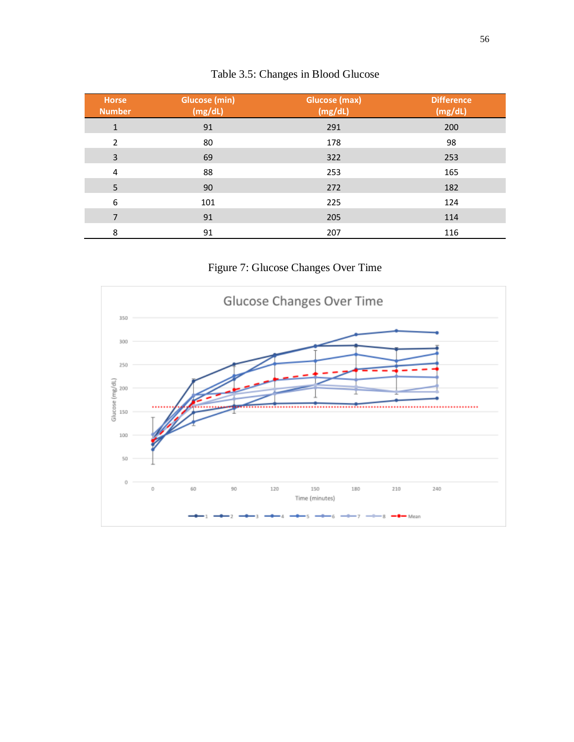| <b>Horse</b><br><b>Number</b> | <b>Glucose (min)</b><br>(mg/dL) | <b>Glucose (max)</b><br>(mg/dL) | <b>Difference</b><br>(mg/dL) |
|-------------------------------|---------------------------------|---------------------------------|------------------------------|
| $\mathbf{1}$                  | 91                              | 291                             | 200                          |
| $\overline{2}$                | 80                              | 178                             | 98                           |
| 3                             | 69                              | 322                             | 253                          |
| 4                             | 88                              | 253                             | 165                          |
| 5                             | 90                              | 272                             | 182                          |
| 6                             | 101                             | 225                             | 124                          |
| 7                             | 91                              | 205                             | 114                          |
| 8                             | 91                              | 207                             | 116                          |

# Table 3.5: Changes in Blood Glucose

Figure 7: Glucose Changes Over Time

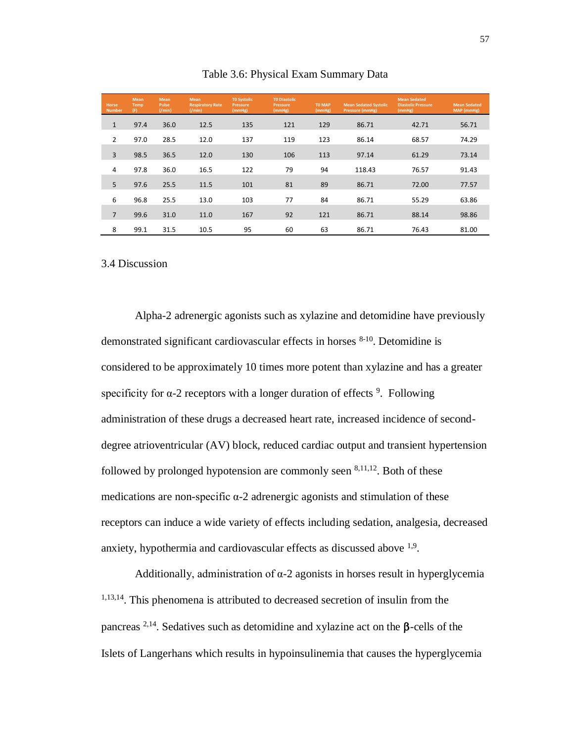| <b>Horse</b><br><b>Number</b> | <b>Mean</b><br>Temp<br>(F) | <b>Mean</b><br><b>Pulse</b><br>( / min) | Mean<br><b>Respiratory Rate</b><br>( / min) | <b>TO Systolic</b><br>Pressure<br>(mmHg) | <b>TO Diastolic</b><br>Pressure<br>(mmHg) | <b>TO MAP</b><br>(mmHg) | <b>Mean Sedated Systolic</b><br>Pressure (mmHg) | <b>Mean Sedated</b><br><b>Diastolic Pressure</b><br>(mmHg) | <b>Mean Sedated</b><br>MAP (mmHg) |
|-------------------------------|----------------------------|-----------------------------------------|---------------------------------------------|------------------------------------------|-------------------------------------------|-------------------------|-------------------------------------------------|------------------------------------------------------------|-----------------------------------|
| $\mathbf{1}$                  | 97.4                       | 36.0                                    | 12.5                                        | 135                                      | 121                                       | 129                     | 86.71                                           | 42.71                                                      | 56.71                             |
| $\overline{2}$                | 97.0                       | 28.5                                    | 12.0                                        | 137                                      | 119                                       | 123                     | 86.14                                           | 68.57                                                      | 74.29                             |
| 3                             | 98.5                       | 36.5                                    | 12.0                                        | 130                                      | 106                                       | 113                     | 97.14                                           | 61.29                                                      | 73.14                             |
| 4                             | 97.8                       | 36.0                                    | 16.5                                        | 122                                      | 79                                        | 94                      | 118.43                                          | 76.57                                                      | 91.43                             |
| 5                             | 97.6                       | 25.5                                    | 11.5                                        | 101                                      | 81                                        | 89                      | 86.71                                           | 72.00                                                      | 77.57                             |
| 6                             | 96.8                       | 25.5                                    | 13.0                                        | 103                                      | 77                                        | 84                      | 86.71                                           | 55.29                                                      | 63.86                             |
| $\overline{7}$                | 99.6                       | 31.0                                    | 11.0                                        | 167                                      | 92                                        | 121                     | 86.71                                           | 88.14                                                      | 98.86                             |
| 8                             | 99.1                       | 31.5                                    | 10.5                                        | 95                                       | 60                                        | 63                      | 86.71                                           | 76.43                                                      | 81.00                             |

Table 3.6: Physical Exam Summary Data

### 3.4 Discussion

Alpha-2 adrenergic agonists such as xylazine and detomidine have previously demonstrated significant cardiovascular effects in horses 8-10. Detomidine is considered to be approximately 10 times more potent than xylazine and has a greater specificity for  $\alpha$ -2 receptors with a longer duration of effects <sup>9</sup>. Following administration of these drugs a decreased heart rate, increased incidence of seconddegree atrioventricular (AV) block, reduced cardiac output and transient hypertension followed by prolonged hypotension are commonly seen  $8,11,12$ . Both of these medications are non-specific  $\alpha$ -2 adrenergic agonists and stimulation of these receptors can induce a wide variety of effects including sedation, analgesia, decreased anxiety, hypothermia and cardiovascular effects as discussed above <sup>1,9</sup>.

Additionally, administration of  $\alpha$ -2 agonists in horses result in hyperglycemia 1,13,14. This phenomena is attributed to decreased secretion of insulin from the pancreas  $2,14$ . Sedatives such as detomidine and xylazine act on the  $\beta$ -cells of the Islets of Langerhans which results in hypoinsulinemia that causes the hyperglycemia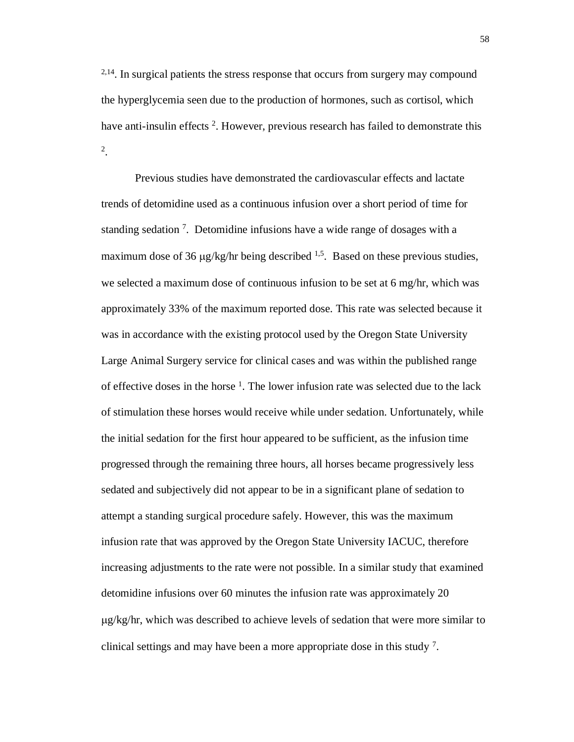<sup>2,14</sup>. In surgical patients the stress response that occurs from surgery may compound the hyperglycemia seen due to the production of hormones, such as cortisol, which have anti-insulin effects<sup>2</sup>. However, previous research has failed to demonstrate this 2 .

Previous studies have demonstrated the cardiovascular effects and lactate trends of detomidine used as a continuous infusion over a short period of time for standing sedation<sup>7</sup>. Detomidine infusions have a wide range of dosages with a maximum dose of 36  $\mu$ g/kg/hr being described <sup>1,5</sup>. Based on these previous studies, we selected a maximum dose of continuous infusion to be set at 6 mg/hr, which was approximately 33% of the maximum reported dose. This rate was selected because it was in accordance with the existing protocol used by the Oregon State University Large Animal Surgery service for clinical cases and was within the published range of effective doses in the horse  $<sup>1</sup>$ . The lower infusion rate was selected due to the lack</sup> of stimulation these horses would receive while under sedation. Unfortunately, while the initial sedation for the first hour appeared to be sufficient, as the infusion time progressed through the remaining three hours, all horses became progressively less sedated and subjectively did not appear to be in a significant plane of sedation to attempt a standing surgical procedure safely. However, this was the maximum infusion rate that was approved by the Oregon State University IACUC, therefore increasing adjustments to the rate were not possible. In a similar study that examined detomidine infusions over 60 minutes the infusion rate was approximately 20 g/kg/hr, which was described to achieve levels of sedation that were more similar to clinical settings and may have been a more appropriate dose in this study 7.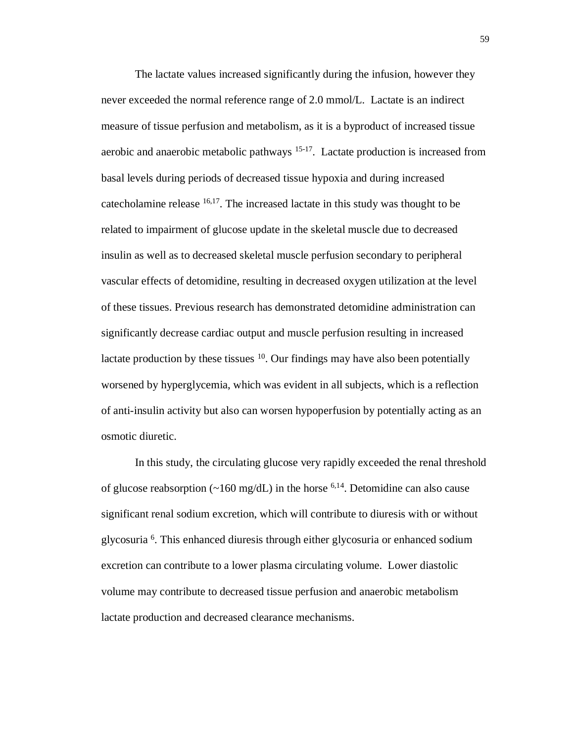The lactate values increased significantly during the infusion, however they never exceeded the normal reference range of 2.0 mmol/L. Lactate is an indirect measure of tissue perfusion and metabolism, as it is a byproduct of increased tissue aerobic and anaerobic metabolic pathways 15-17. Lactate production is increased from basal levels during periods of decreased tissue hypoxia and during increased catecholamine release 16,17. The increased lactate in this study was thought to be related to impairment of glucose update in the skeletal muscle due to decreased insulin as well as to decreased skeletal muscle perfusion secondary to peripheral vascular effects of detomidine, resulting in decreased oxygen utilization at the level of these tissues. Previous research has demonstrated detomidine administration can significantly decrease cardiac output and muscle perfusion resulting in increased lactate production by these tissues  $10$ . Our findings may have also been potentially worsened by hyperglycemia, which was evident in all subjects, which is a reflection of anti-insulin activity but also can worsen hypoperfusion by potentially acting as an osmotic diuretic.

In this study, the circulating glucose very rapidly exceeded the renal threshold of glucose reabsorption ( $\sim$ 160 mg/dL) in the horse <sup>6,14</sup>. Detomidine can also cause significant renal sodium excretion, which will contribute to diuresis with or without glycosuria <sup>6</sup> . This enhanced diuresis through either glycosuria or enhanced sodium excretion can contribute to a lower plasma circulating volume. Lower diastolic volume may contribute to decreased tissue perfusion and anaerobic metabolism lactate production and decreased clearance mechanisms.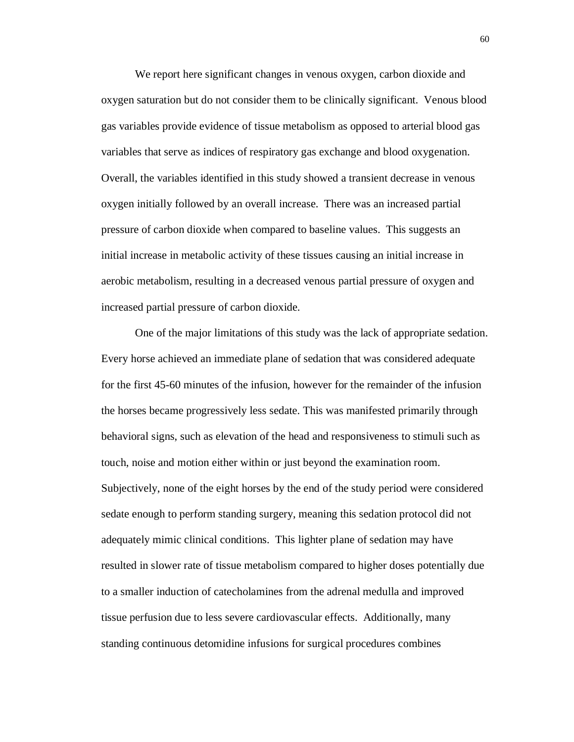We report here significant changes in venous oxygen, carbon dioxide and oxygen saturation but do not consider them to be clinically significant. Venous blood gas variables provide evidence of tissue metabolism as opposed to arterial blood gas variables that serve as indices of respiratory gas exchange and blood oxygenation. Overall, the variables identified in this study showed a transient decrease in venous oxygen initially followed by an overall increase. There was an increased partial pressure of carbon dioxide when compared to baseline values. This suggests an initial increase in metabolic activity of these tissues causing an initial increase in aerobic metabolism, resulting in a decreased venous partial pressure of oxygen and increased partial pressure of carbon dioxide.

One of the major limitations of this study was the lack of appropriate sedation. Every horse achieved an immediate plane of sedation that was considered adequate for the first 45-60 minutes of the infusion, however for the remainder of the infusion the horses became progressively less sedate. This was manifested primarily through behavioral signs, such as elevation of the head and responsiveness to stimuli such as touch, noise and motion either within or just beyond the examination room. Subjectively, none of the eight horses by the end of the study period were considered sedate enough to perform standing surgery, meaning this sedation protocol did not adequately mimic clinical conditions. This lighter plane of sedation may have resulted in slower rate of tissue metabolism compared to higher doses potentially due to a smaller induction of catecholamines from the adrenal medulla and improved tissue perfusion due to less severe cardiovascular effects. Additionally, many standing continuous detomidine infusions for surgical procedures combines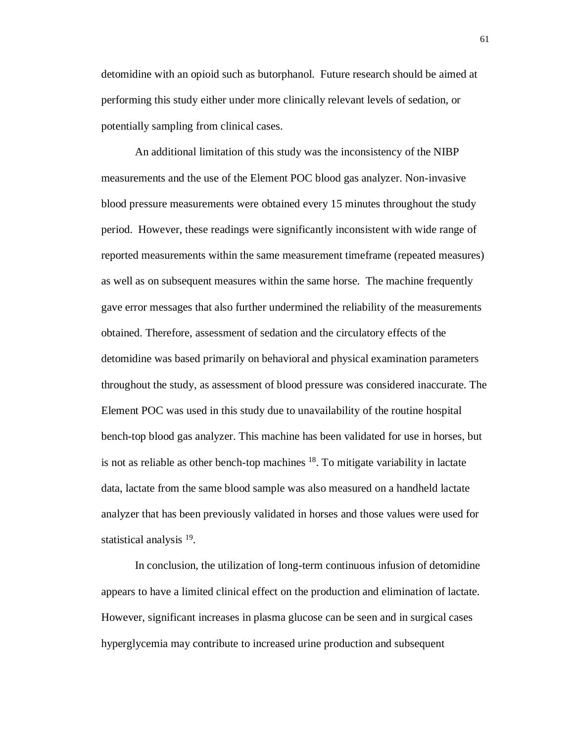detomidine with an opioid such as butorphanol. Future research should be aimed at performing this study either under more clinically relevant levels of sedation, or potentially sampling from clinical cases.

An additional limitation of this study was the inconsistency of the NIBP measurements and the use of the Element POC blood gas analyzer. Non-invasive blood pressure measurements were obtained every 15 minutes throughout the study period. However, these readings were significantly inconsistent with wide range of reported measurements within the same measurement timeframe (repeated measures) as well as on subsequent measures within the same horse. The machine frequently gave error messages that also further undermined the reliability of the measurements obtained. Therefore, assessment of sedation and the circulatory effects of the detomidine was based primarily on behavioral and physical examination parameters throughout the study, as assessment of blood pressure was considered inaccurate. The Element POC was used in this study due to unavailability of the routine hospital bench-top blood gas analyzer. This machine has been validated for use in horses, but is not as reliable as other bench-top machines  $^{18}$ . To mitigate variability in lactate data, lactate from the same blood sample was also measured on a handheld lactate analyzer that has been previously validated in horses and those values were used for statistical analysis <sup>19</sup>.

In conclusion, the utilization of long-term continuous infusion of detomidine appears to have a limited clinical effect on the production and elimination of lactate. However, significant increases in plasma glucose can be seen and in surgical cases hyperglycemia may contribute to increased urine production and subsequent

61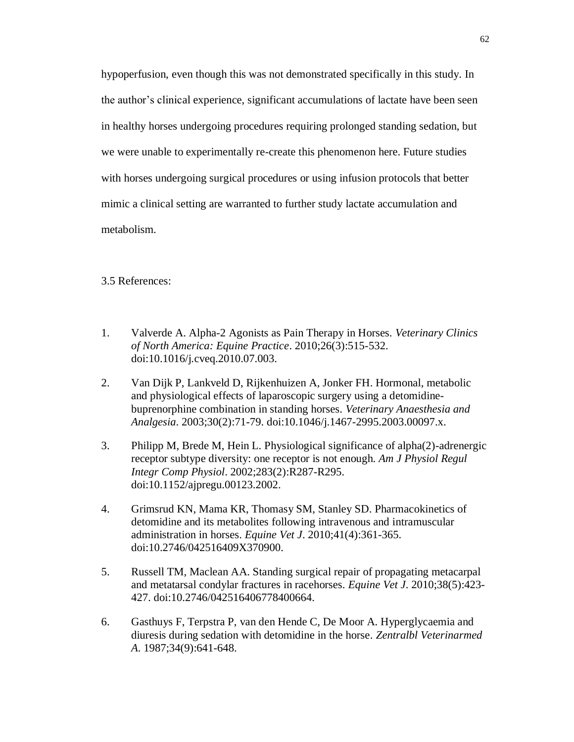hypoperfusion, even though this was not demonstrated specifically in this study. In the author's clinical experience, significant accumulations of lactate have been seen in healthy horses undergoing procedures requiring prolonged standing sedation, but we were unable to experimentally re-create this phenomenon here. Future studies with horses undergoing surgical procedures or using infusion protocols that better mimic a clinical setting are warranted to further study lactate accumulation and metabolism.

3.5 References:

- 1. Valverde A. Alpha-2 Agonists as Pain Therapy in Horses. *Veterinary Clinics of North America: Equine Practice*. 2010;26(3):515-532. doi:10.1016/j.cveq.2010.07.003.
- 2. Van Dijk P, Lankveld D, Rijkenhuizen A, Jonker FH. Hormonal, metabolic and physiological effects of laparoscopic surgery using a detomidinebuprenorphine combination in standing horses. *Veterinary Anaesthesia and Analgesia*. 2003;30(2):71-79. doi:10.1046/j.1467-2995.2003.00097.x.
- 3. Philipp M, Brede M, Hein L. Physiological significance of alpha(2)-adrenergic receptor subtype diversity: one receptor is not enough. *Am J Physiol Regul Integr Comp Physiol*. 2002;283(2):R287-R295. doi:10.1152/ajpregu.00123.2002.
- 4. Grimsrud KN, Mama KR, Thomasy SM, Stanley SD. Pharmacokinetics of detomidine and its metabolites following intravenous and intramuscular administration in horses. *Equine Vet J*. 2010;41(4):361-365. doi:10.2746/042516409X370900.
- 5. Russell TM, Maclean AA. Standing surgical repair of propagating metacarpal and metatarsal condylar fractures in racehorses. *Equine Vet J*. 2010;38(5):423- 427. doi:10.2746/042516406778400664.
- 6. Gasthuys F, Terpstra P, van den Hende C, De Moor A. Hyperglycaemia and diuresis during sedation with detomidine in the horse. *Zentralbl Veterinarmed A*. 1987;34(9):641-648.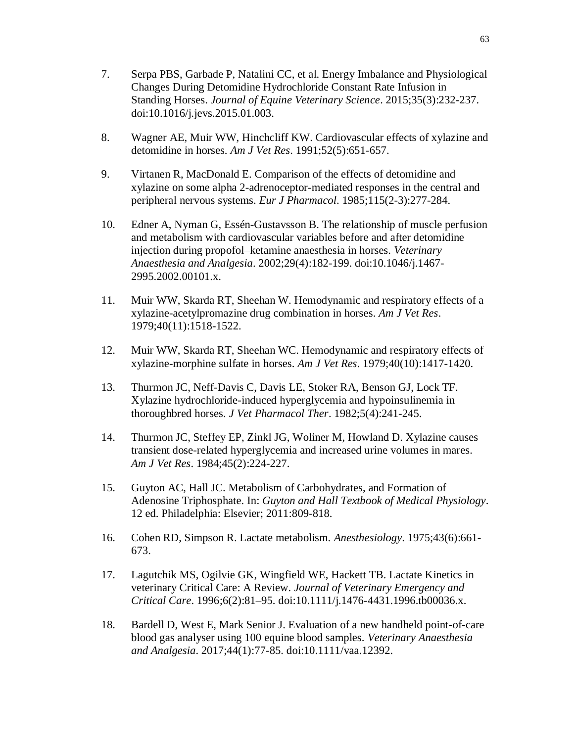- 7. Serpa PBS, Garbade P, Natalini CC, et al. Energy Imbalance and Physiological Changes During Detomidine Hydrochloride Constant Rate Infusion in Standing Horses. *Journal of Equine Veterinary Science*. 2015;35(3):232-237. doi:10.1016/j.jevs.2015.01.003.
- 8. Wagner AE, Muir WW, Hinchcliff KW. Cardiovascular effects of xylazine and detomidine in horses. *Am J Vet Res*. 1991;52(5):651-657.
- 9. Virtanen R, MacDonald E. Comparison of the effects of detomidine and xylazine on some alpha 2-adrenoceptor-mediated responses in the central and peripheral nervous systems. *Eur J Pharmacol*. 1985;115(2-3):277-284.
- 10. Edner A, Nyman G, Essén-Gustavsson B. The relationship of muscle perfusion and metabolism with cardiovascular variables before and after detomidine injection during propofol–ketamine anaesthesia in horses. *Veterinary Anaesthesia and Analgesia*. 2002;29(4):182-199. doi:10.1046/j.1467- 2995.2002.00101.x.
- 11. Muir WW, Skarda RT, Sheehan W. Hemodynamic and respiratory effects of a xylazine-acetylpromazine drug combination in horses. *Am J Vet Res*. 1979;40(11):1518-1522.
- 12. Muir WW, Skarda RT, Sheehan WC. Hemodynamic and respiratory effects of xylazine-morphine sulfate in horses. *Am J Vet Res*. 1979;40(10):1417-1420.
- 13. Thurmon JC, Neff-Davis C, Davis LE, Stoker RA, Benson GJ, Lock TF. Xylazine hydrochloride-induced hyperglycemia and hypoinsulinemia in thoroughbred horses. *J Vet Pharmacol Ther*. 1982;5(4):241-245.
- 14. Thurmon JC, Steffey EP, Zinkl JG, Woliner M, Howland D. Xylazine causes transient dose-related hyperglycemia and increased urine volumes in mares. *Am J Vet Res*. 1984;45(2):224-227.
- 15. Guyton AC, Hall JC. Metabolism of Carbohydrates, and Formation of Adenosine Triphosphate. In: *Guyton and Hall Textbook of Medical Physiology*. 12 ed. Philadelphia: Elsevier; 2011:809-818.
- 16. Cohen RD, Simpson R. Lactate metabolism. *Anesthesiology*. 1975;43(6):661- 673.
- 17. Lagutchik MS, Ogilvie GK, Wingfield WE, Hackett TB. Lactate Kinetics in veterinary Critical Care: A Review. *Journal of Veterinary Emergency and Critical Care*. 1996;6(2):81–95. doi:10.1111/j.1476-4431.1996.tb00036.x.
- 18. Bardell D, West E, Mark Senior J. Evaluation of a new handheld point-of-care blood gas analyser using 100 equine blood samples. *Veterinary Anaesthesia and Analgesia*. 2017;44(1):77-85. doi:10.1111/vaa.12392.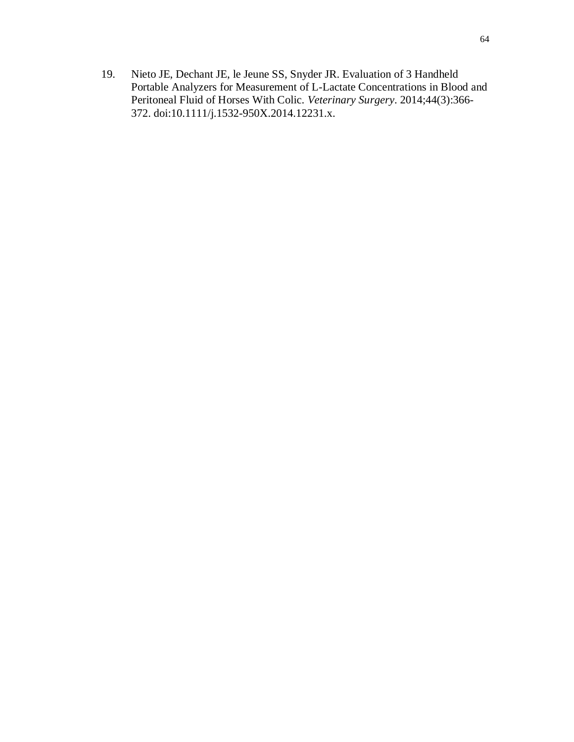19. Nieto JE, Dechant JE, le Jeune SS, Snyder JR. Evaluation of 3 Handheld Portable Analyzers for Measurement of L-Lactate Concentrations in Blood and Peritoneal Fluid of Horses With Colic. *Veterinary Surgery*. 2014;44(3):366- 372. doi:10.1111/j.1532-950X.2014.12231.x.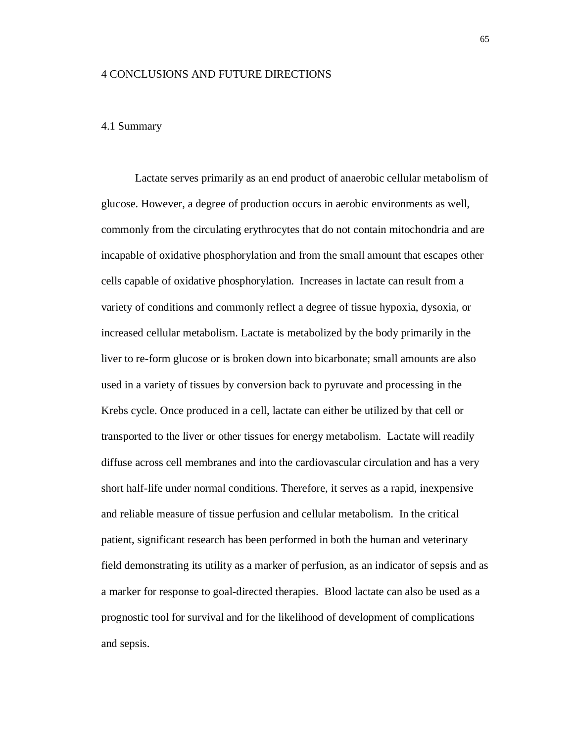## 4 CONCLUSIONS AND FUTURE DIRECTIONS

## 4.1 Summary

Lactate serves primarily as an end product of anaerobic cellular metabolism of glucose. However, a degree of production occurs in aerobic environments as well, commonly from the circulating erythrocytes that do not contain mitochondria and are incapable of oxidative phosphorylation and from the small amount that escapes other cells capable of oxidative phosphorylation. Increases in lactate can result from a variety of conditions and commonly reflect a degree of tissue hypoxia, dysoxia, or increased cellular metabolism. Lactate is metabolized by the body primarily in the liver to re-form glucose or is broken down into bicarbonate; small amounts are also used in a variety of tissues by conversion back to pyruvate and processing in the Krebs cycle. Once produced in a cell, lactate can either be utilized by that cell or transported to the liver or other tissues for energy metabolism. Lactate will readily diffuse across cell membranes and into the cardiovascular circulation and has a very short half-life under normal conditions. Therefore, it serves as a rapid, inexpensive and reliable measure of tissue perfusion and cellular metabolism. In the critical patient, significant research has been performed in both the human and veterinary field demonstrating its utility as a marker of perfusion, as an indicator of sepsis and as a marker for response to goal-directed therapies. Blood lactate can also be used as a prognostic tool for survival and for the likelihood of development of complications and sepsis.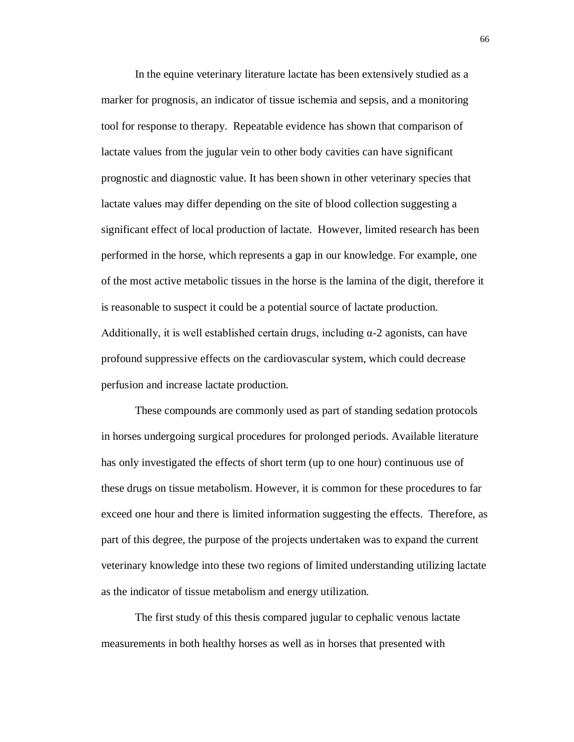In the equine veterinary literature lactate has been extensively studied as a marker for prognosis, an indicator of tissue ischemia and sepsis, and a monitoring tool for response to therapy. Repeatable evidence has shown that comparison of lactate values from the jugular vein to other body cavities can have significant prognostic and diagnostic value. It has been shown in other veterinary species that lactate values may differ depending on the site of blood collection suggesting a significant effect of local production of lactate. However, limited research has been performed in the horse, which represents a gap in our knowledge. For example, one of the most active metabolic tissues in the horse is the lamina of the digit, therefore it is reasonable to suspect it could be a potential source of lactate production. Additionally, it is well established certain drugs, including  $\alpha$ -2 agonists, can have profound suppressive effects on the cardiovascular system, which could decrease perfusion and increase lactate production.

These compounds are commonly used as part of standing sedation protocols in horses undergoing surgical procedures for prolonged periods. Available literature has only investigated the effects of short term (up to one hour) continuous use of these drugs on tissue metabolism. However, it is common for these procedures to far exceed one hour and there is limited information suggesting the effects. Therefore, as part of this degree, the purpose of the projects undertaken was to expand the current veterinary knowledge into these two regions of limited understanding utilizing lactate as the indicator of tissue metabolism and energy utilization.

The first study of this thesis compared jugular to cephalic venous lactate measurements in both healthy horses as well as in horses that presented with

66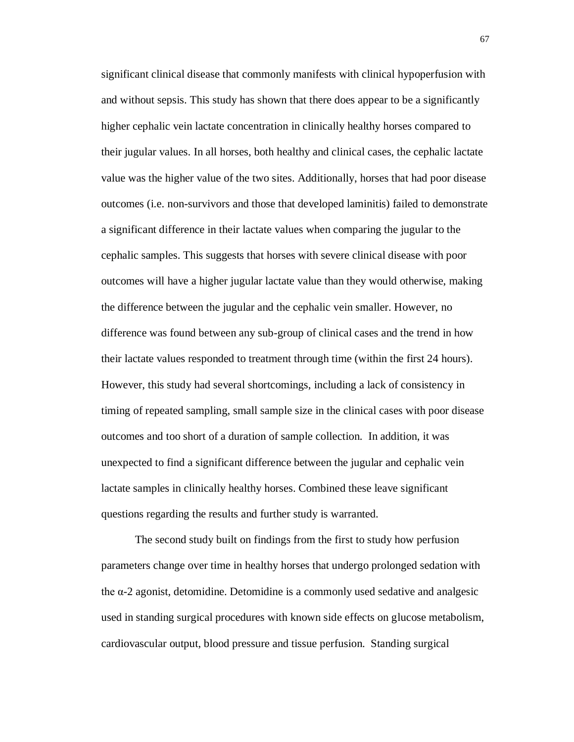significant clinical disease that commonly manifests with clinical hypoperfusion with and without sepsis. This study has shown that there does appear to be a significantly higher cephalic vein lactate concentration in clinically healthy horses compared to their jugular values. In all horses, both healthy and clinical cases, the cephalic lactate value was the higher value of the two sites. Additionally, horses that had poor disease outcomes (i.e. non-survivors and those that developed laminitis) failed to demonstrate a significant difference in their lactate values when comparing the jugular to the cephalic samples. This suggests that horses with severe clinical disease with poor outcomes will have a higher jugular lactate value than they would otherwise, making the difference between the jugular and the cephalic vein smaller. However, no difference was found between any sub-group of clinical cases and the trend in how their lactate values responded to treatment through time (within the first 24 hours). However, this study had several shortcomings, including a lack of consistency in timing of repeated sampling, small sample size in the clinical cases with poor disease outcomes and too short of a duration of sample collection. In addition, it was unexpected to find a significant difference between the jugular and cephalic vein lactate samples in clinically healthy horses. Combined these leave significant questions regarding the results and further study is warranted.

The second study built on findings from the first to study how perfusion parameters change over time in healthy horses that undergo prolonged sedation with the α-2 agonist, detomidine. Detomidine is a commonly used sedative and analgesic used in standing surgical procedures with known side effects on glucose metabolism, cardiovascular output, blood pressure and tissue perfusion. Standing surgical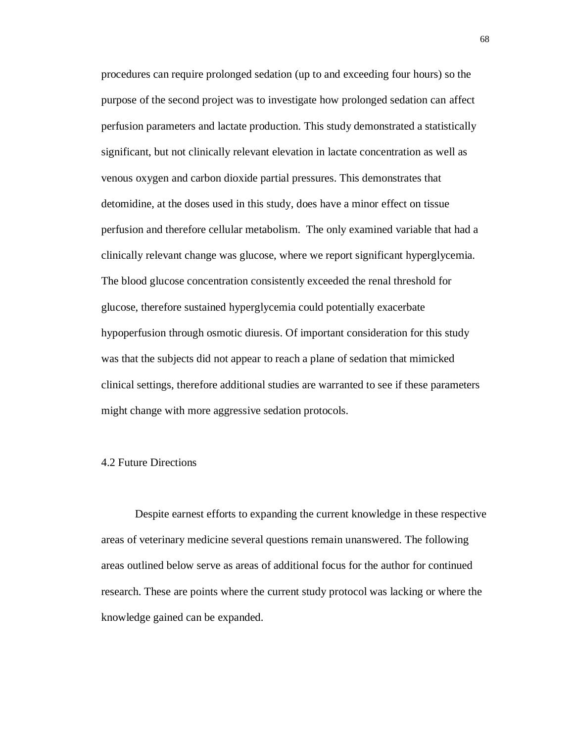procedures can require prolonged sedation (up to and exceeding four hours) so the purpose of the second project was to investigate how prolonged sedation can affect perfusion parameters and lactate production. This study demonstrated a statistically significant, but not clinically relevant elevation in lactate concentration as well as venous oxygen and carbon dioxide partial pressures. This demonstrates that detomidine, at the doses used in this study, does have a minor effect on tissue perfusion and therefore cellular metabolism. The only examined variable that had a clinically relevant change was glucose, where we report significant hyperglycemia. The blood glucose concentration consistently exceeded the renal threshold for glucose, therefore sustained hyperglycemia could potentially exacerbate hypoperfusion through osmotic diuresis. Of important consideration for this study was that the subjects did not appear to reach a plane of sedation that mimicked clinical settings, therefore additional studies are warranted to see if these parameters might change with more aggressive sedation protocols.

## 4.2 Future Directions

Despite earnest efforts to expanding the current knowledge in these respective areas of veterinary medicine several questions remain unanswered. The following areas outlined below serve as areas of additional focus for the author for continued research. These are points where the current study protocol was lacking or where the knowledge gained can be expanded.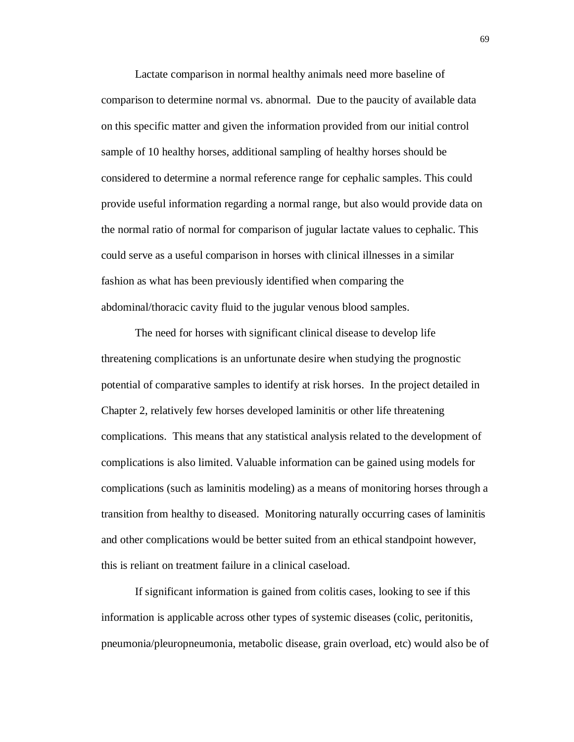Lactate comparison in normal healthy animals need more baseline of comparison to determine normal vs. abnormal. Due to the paucity of available data on this specific matter and given the information provided from our initial control sample of 10 healthy horses, additional sampling of healthy horses should be considered to determine a normal reference range for cephalic samples. This could provide useful information regarding a normal range, but also would provide data on the normal ratio of normal for comparison of jugular lactate values to cephalic. This could serve as a useful comparison in horses with clinical illnesses in a similar fashion as what has been previously identified when comparing the abdominal/thoracic cavity fluid to the jugular venous blood samples.

The need for horses with significant clinical disease to develop life threatening complications is an unfortunate desire when studying the prognostic potential of comparative samples to identify at risk horses. In the project detailed in Chapter 2, relatively few horses developed laminitis or other life threatening complications. This means that any statistical analysis related to the development of complications is also limited. Valuable information can be gained using models for complications (such as laminitis modeling) as a means of monitoring horses through a transition from healthy to diseased. Monitoring naturally occurring cases of laminitis and other complications would be better suited from an ethical standpoint however, this is reliant on treatment failure in a clinical caseload.

If significant information is gained from colitis cases, looking to see if this information is applicable across other types of systemic diseases (colic, peritonitis, pneumonia/pleuropneumonia, metabolic disease, grain overload, etc) would also be of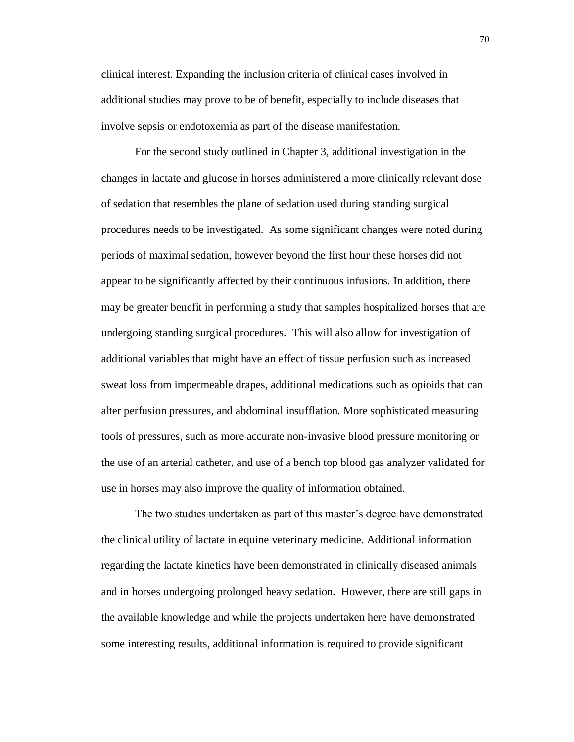clinical interest. Expanding the inclusion criteria of clinical cases involved in additional studies may prove to be of benefit, especially to include diseases that involve sepsis or endotoxemia as part of the disease manifestation.

For the second study outlined in Chapter 3, additional investigation in the changes in lactate and glucose in horses administered a more clinically relevant dose of sedation that resembles the plane of sedation used during standing surgical procedures needs to be investigated. As some significant changes were noted during periods of maximal sedation, however beyond the first hour these horses did not appear to be significantly affected by their continuous infusions. In addition, there may be greater benefit in performing a study that samples hospitalized horses that are undergoing standing surgical procedures. This will also allow for investigation of additional variables that might have an effect of tissue perfusion such as increased sweat loss from impermeable drapes, additional medications such as opioids that can alter perfusion pressures, and abdominal insufflation. More sophisticated measuring tools of pressures, such as more accurate non-invasive blood pressure monitoring or the use of an arterial catheter, and use of a bench top blood gas analyzer validated for use in horses may also improve the quality of information obtained.

The two studies undertaken as part of this master's degree have demonstrated the clinical utility of lactate in equine veterinary medicine. Additional information regarding the lactate kinetics have been demonstrated in clinically diseased animals and in horses undergoing prolonged heavy sedation. However, there are still gaps in the available knowledge and while the projects undertaken here have demonstrated some interesting results, additional information is required to provide significant